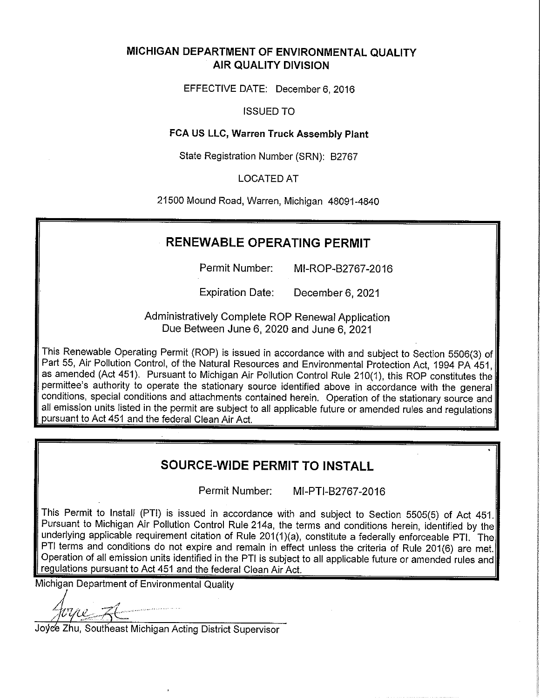## MICHIGAN DEPARTMENT OF ENVIRONMENTAL QUALITY **AIR QUALITY DIVISION**

EFFECTIVE DATE: December 6, 2016

## **ISSUED TO**

## FCA US LLC, Warren Truck Assembly Plant

State Registration Number (SRN): B2767

## **LOCATED AT**

21500 Mound Road, Warren, Michigan 48091-4840

## **RENEWABLE OPERATING PERMIT**

Permit Number: MI-ROP-B2767-2016

**Expiration Date:** December 6, 2021

Administratively Complete ROP Renewal Application Due Between June 6, 2020 and June 6, 2021

This Renewable Operating Permit (ROP) is issued in accordance with and subject to Section 5506(3) of Part 55, Air Pollution Control, of the Natural Resources and Environmental Protection Act, 1994 PA 451, as amended (Act 451). Pursuant to Michigan Air Pollution Control Rule 210(1), this ROP constitutes the permittee's authority to operate the stationary source identified above in accordance with the general conditions, special conditions and attachments contained herein. Operation of the stationary source and all emission units listed in the permit are subject to all applicable future or amended rules and regulations pursuant to Act 451 and the federal Clean Air Act.

## **SOURCE-WIDE PERMIT TO INSTALL**

Permit Number: MI-PTI-B2767-2016

This Permit to Install (PTI) is issued in accordance with and subject to Section 5505(5) of Act 451. Pursuant to Michigan Air Pollution Control Rule 214a, the terms and conditions herein, identified by the underlying applicable requirement citation of Rule 201(1)(a), constitute a federally enforceable PTI. The PTI terms and conditions do not expire and remain in effect unless the criteria of Rule 201(6) are met. Operation of all emission units identified in the PTI is subject to all applicable future or amended rules and regulations pursuant to Act 451 and the federal Clean Air Act.

Michigan Department of Environmental Quality

Joyce Zhu, Southeast Michigan Acting District Supervisor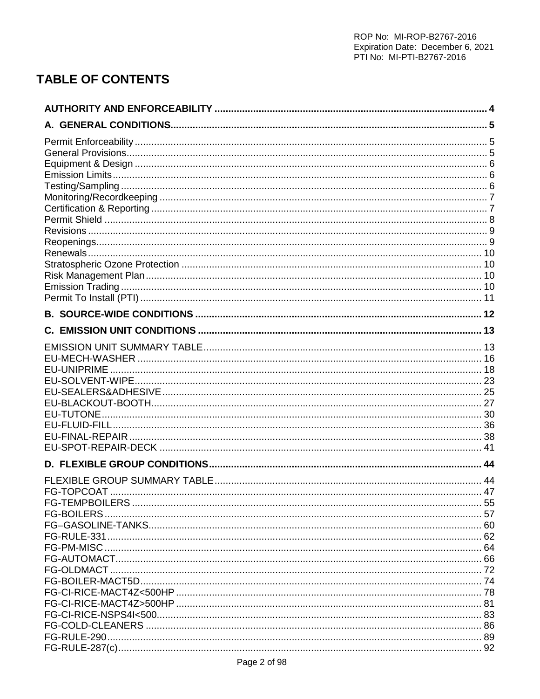# **TABLE OF CONTENTS**

| EU-UNIPRIME |    |
|-------------|----|
|             |    |
|             |    |
|             |    |
|             |    |
|             |    |
|             |    |
|             |    |
|             |    |
|             |    |
|             | 47 |
|             |    |
|             |    |
|             |    |
|             |    |
|             |    |
|             |    |
|             |    |
|             |    |
|             |    |
|             |    |
|             |    |
|             |    |
|             |    |
|             |    |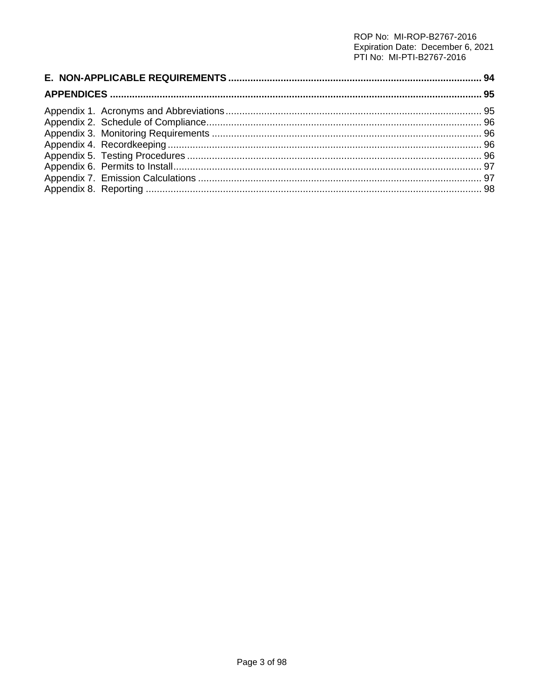# ROP No: MI-ROP-B2767-2016 Expiration Date: December 6, 2021<br>PTI No: MI-PTI-B2767-2016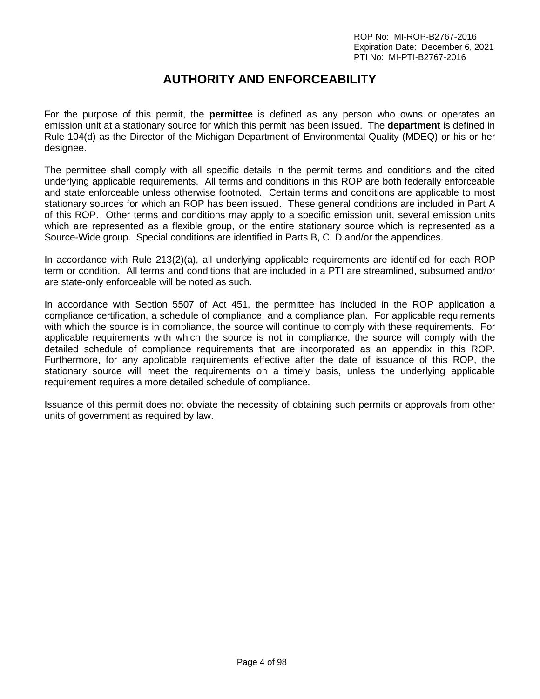## **AUTHORITY AND ENFORCEABILITY**

<span id="page-3-0"></span>For the purpose of this permit, the **permittee** is defined as any person who owns or operates an emission unit at a stationary source for which this permit has been issued. The **department** is defined in Rule 104(d) as the Director of the Michigan Department of Environmental Quality (MDEQ) or his or her designee.

The permittee shall comply with all specific details in the permit terms and conditions and the cited underlying applicable requirements. All terms and conditions in this ROP are both federally enforceable and state enforceable unless otherwise footnoted. Certain terms and conditions are applicable to most stationary sources for which an ROP has been issued. These general conditions are included in Part A of this ROP. Other terms and conditions may apply to a specific emission unit, several emission units which are represented as a flexible group, or the entire stationary source which is represented as a Source-Wide group. Special conditions are identified in Parts B, C, D and/or the appendices.

In accordance with Rule 213(2)(a), all underlying applicable requirements are identified for each ROP term or condition. All terms and conditions that are included in a PTI are streamlined, subsumed and/or are state-only enforceable will be noted as such.

In accordance with Section 5507 of Act 451, the permittee has included in the ROP application a compliance certification, a schedule of compliance, and a compliance plan. For applicable requirements with which the source is in compliance, the source will continue to comply with these requirements. For applicable requirements with which the source is not in compliance, the source will comply with the detailed schedule of compliance requirements that are incorporated as an appendix in this ROP. Furthermore, for any applicable requirements effective after the date of issuance of this ROP, the stationary source will meet the requirements on a timely basis, unless the underlying applicable requirement requires a more detailed schedule of compliance.

Issuance of this permit does not obviate the necessity of obtaining such permits or approvals from other units of government as required by law.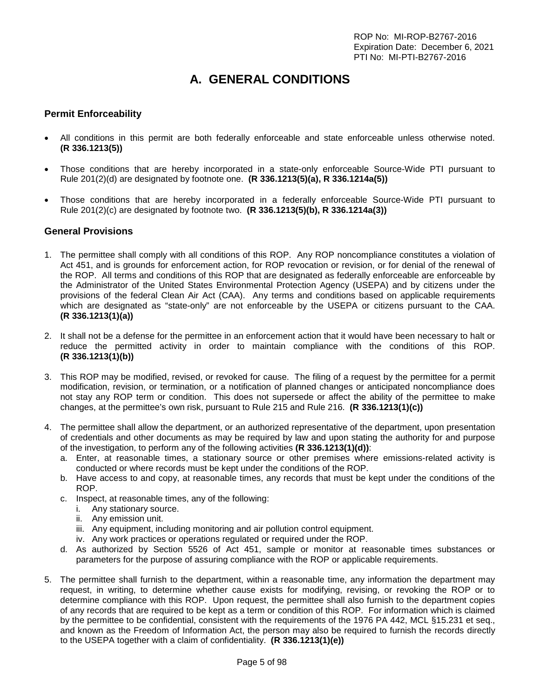# **A. GENERAL CONDITIONS**

## <span id="page-4-1"></span><span id="page-4-0"></span>**Permit Enforceability**

- All conditions in this permit are both federally enforceable and state enforceable unless otherwise noted. **(R 336.1213(5))**
- Those conditions that are hereby incorporated in a state-only enforceable Source-Wide PTI pursuant to Rule 201(2)(d) are designated by footnote one. **(R 336.1213(5)(a), R 336.1214a(5))**
- Those conditions that are hereby incorporated in a federally enforceable Source-Wide PTI pursuant to Rule 201(2)(c) are designated by footnote two. **(R 336.1213(5)(b), R 336.1214a(3))**

#### <span id="page-4-2"></span>**General Provisions**

- 1. The permittee shall comply with all conditions of this ROP. Any ROP noncompliance constitutes a violation of Act 451, and is grounds for enforcement action, for ROP revocation or revision, or for denial of the renewal of the ROP. All terms and conditions of this ROP that are designated as federally enforceable are enforceable by the Administrator of the United States Environmental Protection Agency (USEPA) and by citizens under the provisions of the federal Clean Air Act (CAA). Any terms and conditions based on applicable requirements which are designated as "state-only" are not enforceable by the USEPA or citizens pursuant to the CAA. **(R 336.1213(1)(a))**
- 2. It shall not be a defense for the permittee in an enforcement action that it would have been necessary to halt or reduce the permitted activity in order to maintain compliance with the conditions of this ROP. **(R 336.1213(1)(b))**
- 3. This ROP may be modified, revised, or revoked for cause. The filing of a request by the permittee for a permit modification, revision, or termination, or a notification of planned changes or anticipated noncompliance does not stay any ROP term or condition. This does not supersede or affect the ability of the permittee to make changes, at the permittee's own risk, pursuant to Rule 215 and Rule 216. **(R 336.1213(1)(c))**
- 4. The permittee shall allow the department, or an authorized representative of the department, upon presentation of credentials and other documents as may be required by law and upon stating the authority for and purpose of the investigation, to perform any of the following activities **(R 336.1213(1)(d))**:
	- a. Enter, at reasonable times, a stationary source or other premises where emissions-related activity is conducted or where records must be kept under the conditions of the ROP.
	- b. Have access to and copy, at reasonable times, any records that must be kept under the conditions of the ROP.
	- c. Inspect, at reasonable times, any of the following:
		- i. Any stationary source.
		- ii. Any emission unit.
		- iii. Any equipment, including monitoring and air pollution control equipment.
		- iv. Any work practices or operations regulated or required under the ROP.
	- d. As authorized by Section 5526 of Act 451, sample or monitor at reasonable times substances or parameters for the purpose of assuring compliance with the ROP or applicable requirements.
- 5. The permittee shall furnish to the department, within a reasonable time, any information the department may request, in writing, to determine whether cause exists for modifying, revising, or revoking the ROP or to determine compliance with this ROP. Upon request, the permittee shall also furnish to the department copies of any records that are required to be kept as a term or condition of this ROP. For information which is claimed by the permittee to be confidential, consistent with the requirements of the 1976 PA 442, MCL §15.231 et seq., and known as the Freedom of Information Act, the person may also be required to furnish the records directly to the USEPA together with a claim of confidentiality. **(R 336.1213(1)(e))**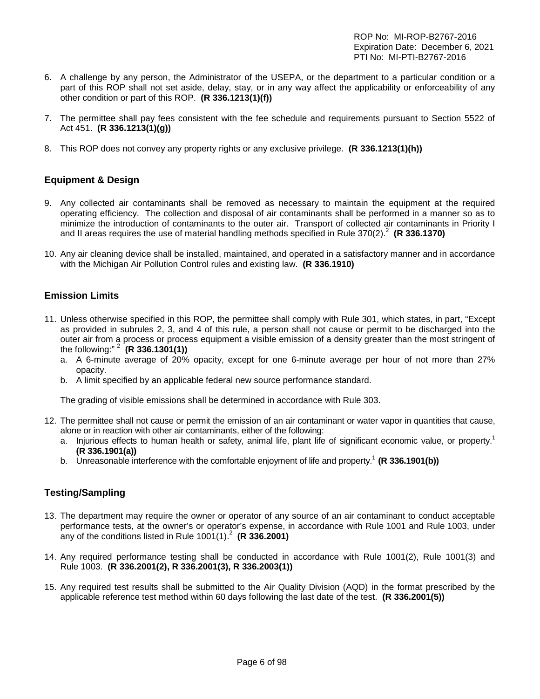- 6. A challenge by any person, the Administrator of the USEPA, or the department to a particular condition or a part of this ROP shall not set aside, delay, stay, or in any way affect the applicability or enforceability of any other condition or part of this ROP. **(R 336.1213(1)(f))**
- 7. The permittee shall pay fees consistent with the fee schedule and requirements pursuant to Section 5522 of Act 451. **(R 336.1213(1)(g))**
- 8. This ROP does not convey any property rights or any exclusive privilege. **(R 336.1213(1)(h))**

## <span id="page-5-0"></span>**Equipment & Design**

- 9. Any collected air contaminants shall be removed as necessary to maintain the equipment at the required operating efficiency. The collection and disposal of air contaminants shall be performed in a manner so as to minimize the introduction of contaminants to the outer air. Transport of collected air contaminants in Priority I and II areas requires the use of material handling methods specified in Rule 370(2).<sup>2</sup> (R 336.1370)
- 10. Any air cleaning device shall be installed, maintained, and operated in a satisfactory manner and in accordance with the Michigan Air Pollution Control rules and existing law. **(R 336.1910)**

#### <span id="page-5-1"></span>**Emission Limits**

- 11. Unless otherwise specified in this ROP, the permittee shall comply with Rule 301, which states, in part, "Except as provided in subrules 2, 3, and 4 of this rule, a person shall not cause or permit to be discharged into the outer air from a process or process equipment a visible emission of a density greater than the most stringent of the following:" <sup>2</sup> **(R 336.1301(1))**
	- a. A 6-minute average of 20% opacity, except for one 6-minute average per hour of not more than 27% opacity.
	- b. A limit specified by an applicable federal new source performance standard.

The grading of visible emissions shall be determined in accordance with Rule 303.

- 12. The permittee shall not cause or permit the emission of an air contaminant or water vapor in quantities that cause, alone or in reaction with other air contaminants, either of the following:
	- a. Injurious effects to human health or safety, animal life, plant life of significant economic value, or property.<sup>1</sup> **(R 336.1901(a))**
	- b. Unreasonable interference with the comfortable enjoyment of life and property. <sup>1</sup> **(R 336.1901(b))**

## <span id="page-5-2"></span>**Testing/Sampling**

- 13. The department may require the owner or operator of any source of an air contaminant to conduct acceptable performance tests, at the owner's or operator's expense, in accordance with Rule 1001 and Rule 1003, under any of the conditions listed in Rule 1001(1).<sup>2</sup> **(R 336.2001)**
- 14. Any required performance testing shall be conducted in accordance with Rule 1001(2), Rule 1001(3) and Rule 1003. **(R 336.2001(2), R 336.2001(3), R 336.2003(1))**
- 15. Any required test results shall be submitted to the Air Quality Division (AQD) in the format prescribed by the applicable reference test method within 60 days following the last date of the test. **(R 336.2001(5))**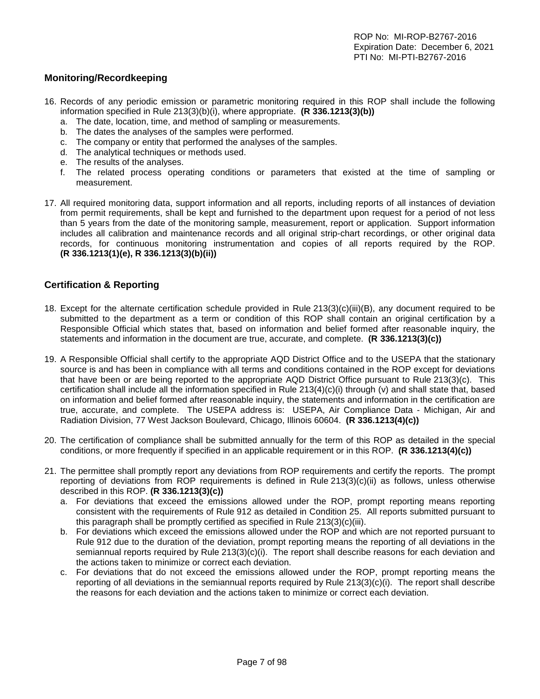## <span id="page-6-0"></span>**Monitoring/Recordkeeping**

- 16. Records of any periodic emission or parametric monitoring required in this ROP shall include the following information specified in Rule 213(3)(b)(i), where appropriate. **(R 336.1213(3)(b))**
	- a. The date, location, time, and method of sampling or measurements.
	- b. The dates the analyses of the samples were performed.
	- c. The company or entity that performed the analyses of the samples.
	- d. The analytical techniques or methods used.
	- e. The results of the analyses.
	- f. The related process operating conditions or parameters that existed at the time of sampling or measurement.
- 17. All required monitoring data, support information and all reports, including reports of all instances of deviation from permit requirements, shall be kept and furnished to the department upon request for a period of not less than 5 years from the date of the monitoring sample, measurement, report or application. Support information includes all calibration and maintenance records and all original strip-chart recordings, or other original data records, for continuous monitoring instrumentation and copies of all reports required by the ROP. **(R 336.1213(1)(e), R 336.1213(3)(b)(ii))**

## <span id="page-6-1"></span>**Certification & Reporting**

- 18. Except for the alternate certification schedule provided in Rule 213(3)(c)(iii)(B), any document required to be submitted to the department as a term or condition of this ROP shall contain an original certification by a Responsible Official which states that, based on information and belief formed after reasonable inquiry, the statements and information in the document are true, accurate, and complete. **(R 336.1213(3)(c))**
- 19. A Responsible Official shall certify to the appropriate AQD District Office and to the USEPA that the stationary source is and has been in compliance with all terms and conditions contained in the ROP except for deviations that have been or are being reported to the appropriate AQD District Office pursuant to Rule 213(3)(c). This certification shall include all the information specified in Rule 213(4)(c)(i) through (v) and shall state that, based on information and belief formed after reasonable inquiry, the statements and information in the certification are true, accurate, and complete. The USEPA address is: USEPA, Air Compliance Data - Michigan, Air and Radiation Division, 77 West Jackson Boulevard, Chicago, Illinois 60604. **(R 336.1213(4)(c))**
- 20. The certification of compliance shall be submitted annually for the term of this ROP as detailed in the special conditions, or more frequently if specified in an applicable requirement or in this ROP. **(R 336.1213(4)(c))**
- 21. The permittee shall promptly report any deviations from ROP requirements and certify the reports. The prompt reporting of deviations from ROP requirements is defined in Rule 213(3)(c)(ii) as follows, unless otherwise described in this ROP. **(R 336.1213(3)(c))**
	- a. For deviations that exceed the emissions allowed under the ROP, prompt reporting means reporting consistent with the requirements of Rule 912 as detailed in Condition 25. All reports submitted pursuant to this paragraph shall be promptly certified as specified in Rule 213(3)(c)(iii).
	- b. For deviations which exceed the emissions allowed under the ROP and which are not reported pursuant to Rule 912 due to the duration of the deviation, prompt reporting means the reporting of all deviations in the semiannual reports required by Rule 213(3)(c)(i). The report shall describe reasons for each deviation and the actions taken to minimize or correct each deviation.
	- c. For deviations that do not exceed the emissions allowed under the ROP, prompt reporting means the reporting of all deviations in the semiannual reports required by Rule 213(3)(c)(i). The report shall describe the reasons for each deviation and the actions taken to minimize or correct each deviation.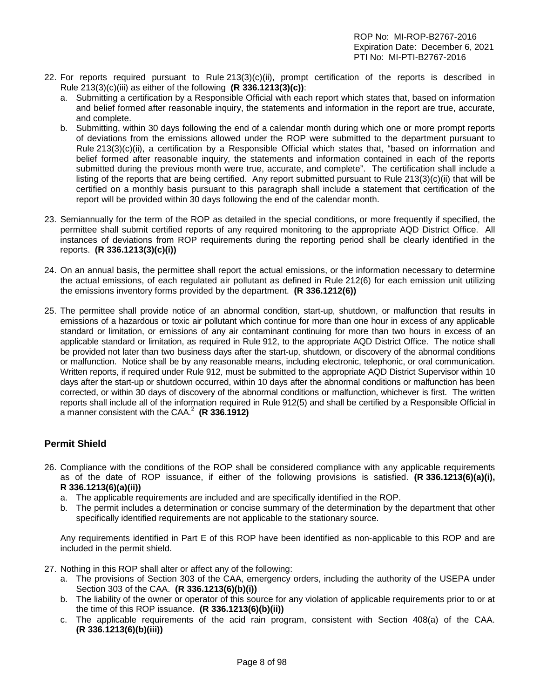- 22. For reports required pursuant to Rule 213(3)(c)(ii), prompt certification of the reports is described in Rule 213(3)(c)(iii) as either of the following **(R 336.1213(3)(c))**:
	- a. Submitting a certification by a Responsible Official with each report which states that, based on information and belief formed after reasonable inquiry, the statements and information in the report are true, accurate, and complete.
	- b. Submitting, within 30 days following the end of a calendar month during which one or more prompt reports of deviations from the emissions allowed under the ROP were submitted to the department pursuant to Rule 213(3)(c)(ii), a certification by a Responsible Official which states that, "based on information and belief formed after reasonable inquiry, the statements and information contained in each of the reports submitted during the previous month were true, accurate, and complete". The certification shall include a listing of the reports that are being certified. Any report submitted pursuant to Rule 213(3)(c)(ii) that will be certified on a monthly basis pursuant to this paragraph shall include a statement that certification of the report will be provided within 30 days following the end of the calendar month.
- 23. Semiannually for the term of the ROP as detailed in the special conditions, or more frequently if specified, the permittee shall submit certified reports of any required monitoring to the appropriate AQD District Office. All instances of deviations from ROP requirements during the reporting period shall be clearly identified in the reports. **(R 336.1213(3)(c)(i))**
- 24. On an annual basis, the permittee shall report the actual emissions, or the information necessary to determine the actual emissions, of each regulated air pollutant as defined in Rule 212(6) for each emission unit utilizing the emissions inventory forms provided by the department. **(R 336.1212(6))**
- 25. The permittee shall provide notice of an abnormal condition, start-up, shutdown, or malfunction that results in emissions of a hazardous or toxic air pollutant which continue for more than one hour in excess of any applicable standard or limitation, or emissions of any air contaminant continuing for more than two hours in excess of an applicable standard or limitation, as required in Rule 912, to the appropriate AQD District Office. The notice shall be provided not later than two business days after the start-up, shutdown, or discovery of the abnormal conditions or malfunction. Notice shall be by any reasonable means, including electronic, telephonic, or oral communication. Written reports, if required under Rule 912, must be submitted to the appropriate AQD District Supervisor within 10 days after the start-up or shutdown occurred, within 10 days after the abnormal conditions or malfunction has been corrected, or within 30 days of discovery of the abnormal conditions or malfunction, whichever is first. The written reports shall include all of the information required in Rule 912(5) and shall be certified by a Responsible Official in a manner consistent with the CAA.2 **(R 336.1912)**

## <span id="page-7-0"></span>**Permit Shield**

- 26. Compliance with the conditions of the ROP shall be considered compliance with any applicable requirements as of the date of ROP issuance, if either of the following provisions is satisfied. **(R 336.1213(6)(a)(i), R 336.1213(6)(a)(ii))**
	- a. The applicable requirements are included and are specifically identified in the ROP.
	- b. The permit includes a determination or concise summary of the determination by the department that other specifically identified requirements are not applicable to the stationary source.

Any requirements identified in Part E of this ROP have been identified as non-applicable to this ROP and are included in the permit shield.

- 27. Nothing in this ROP shall alter or affect any of the following:
	- a. The provisions of Section 303 of the CAA, emergency orders, including the authority of the USEPA under Section 303 of the CAA. **(R 336.1213(6)(b)(i))**
	- b. The liability of the owner or operator of this source for any violation of applicable requirements prior to or at the time of this ROP issuance. **(R 336.1213(6)(b)(ii))**
	- c. The applicable requirements of the acid rain program, consistent with Section 408(a) of the CAA. **(R 336.1213(6)(b)(iii))**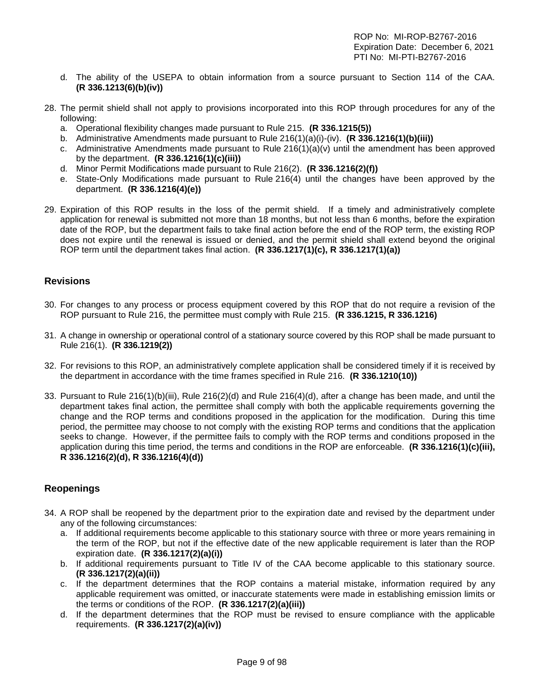- d. The ability of the USEPA to obtain information from a source pursuant to Section 114 of the CAA. **(R 336.1213(6)(b)(iv))**
- 28. The permit shield shall not apply to provisions incorporated into this ROP through procedures for any of the following:
	- a. Operational flexibility changes made pursuant to Rule 215. **(R 336.1215(5))**
	- b. Administrative Amendments made pursuant to Rule 216(1)(a)(i)-(iv). **(R 336.1216(1)(b)(iii))**
	- c. Administrative Amendments made pursuant to Rule  $216(1)(a)(v)$  until the amendment has been approved by the department. **(R 336.1216(1)(c)(iii))**
	- d. Minor Permit Modifications made pursuant to Rule 216(2). **(R 336.1216(2)(f))**
	- e. State-Only Modifications made pursuant to Rule 216(4) until the changes have been approved by the department. **(R 336.1216(4)(e))**
- 29. Expiration of this ROP results in the loss of the permit shield. If a timely and administratively complete application for renewal is submitted not more than 18 months, but not less than 6 months, before the expiration date of the ROP, but the department fails to take final action before the end of the ROP term, the existing ROP does not expire until the renewal is issued or denied, and the permit shield shall extend beyond the original ROP term until the department takes final action. **(R 336.1217(1)(c), R 336.1217(1)(a))**

#### <span id="page-8-0"></span>**Revisions**

- 30. For changes to any process or process equipment covered by this ROP that do not require a revision of the ROP pursuant to Rule 216, the permittee must comply with Rule 215. **(R 336.1215, R 336.1216)**
- 31. A change in ownership or operational control of a stationary source covered by this ROP shall be made pursuant to Rule 216(1). **(R 336.1219(2))**
- 32. For revisions to this ROP, an administratively complete application shall be considered timely if it is received by the department in accordance with the time frames specified in Rule 216. **(R 336.1210(10))**
- 33. Pursuant to Rule 216(1)(b)(iii), Rule 216(2)(d) and Rule 216(4)(d), after a change has been made, and until the department takes final action, the permittee shall comply with both the applicable requirements governing the change and the ROP terms and conditions proposed in the application for the modification. During this time period, the permittee may choose to not comply with the existing ROP terms and conditions that the application seeks to change. However, if the permittee fails to comply with the ROP terms and conditions proposed in the application during this time period, the terms and conditions in the ROP are enforceable. **(R 336.1216(1)(c)(iii), R 336.1216(2)(d), R 336.1216(4)(d))**

#### <span id="page-8-1"></span>**Reopenings**

- 34. A ROP shall be reopened by the department prior to the expiration date and revised by the department under any of the following circumstances:
	- a. If additional requirements become applicable to this stationary source with three or more years remaining in the term of the ROP, but not if the effective date of the new applicable requirement is later than the ROP expiration date. **(R 336.1217(2)(a)(i))**
	- b. If additional requirements pursuant to Title IV of the CAA become applicable to this stationary source. **(R 336.1217(2)(a)(ii))**
	- c. If the department determines that the ROP contains a material mistake, information required by any applicable requirement was omitted, or inaccurate statements were made in establishing emission limits or the terms or conditions of the ROP. **(R 336.1217(2)(a)(iii))**
	- d. If the department determines that the ROP must be revised to ensure compliance with the applicable requirements. **(R 336.1217(2)(a)(iv))**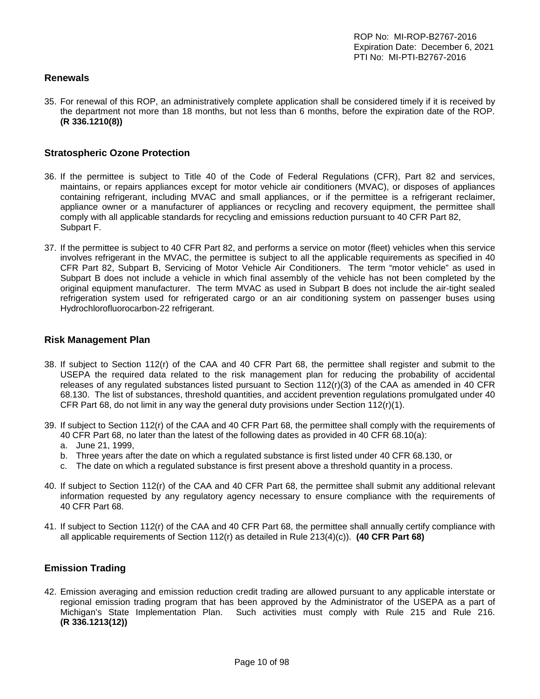## <span id="page-9-0"></span>**Renewals**

35. For renewal of this ROP, an administratively complete application shall be considered timely if it is received by the department not more than 18 months, but not less than 6 months, before the expiration date of the ROP. **(R 336.1210(8))**

#### <span id="page-9-1"></span>**Stratospheric Ozone Protection**

- 36. If the permittee is subject to Title 40 of the Code of Federal Regulations (CFR), Part 82 and services, maintains, or repairs appliances except for motor vehicle air conditioners (MVAC), or disposes of appliances containing refrigerant, including MVAC and small appliances, or if the permittee is a refrigerant reclaimer, appliance owner or a manufacturer of appliances or recycling and recovery equipment, the permittee shall comply with all applicable standards for recycling and emissions reduction pursuant to 40 CFR Part 82, Subpart F.
- 37. If the permittee is subject to 40 CFR Part 82, and performs a service on motor (fleet) vehicles when this service involves refrigerant in the MVAC, the permittee is subject to all the applicable requirements as specified in 40 CFR Part 82, Subpart B, Servicing of Motor Vehicle Air Conditioners. The term "motor vehicle" as used in Subpart B does not include a vehicle in which final assembly of the vehicle has not been completed by the original equipment manufacturer. The term MVAC as used in Subpart B does not include the air-tight sealed refrigeration system used for refrigerated cargo or an air conditioning system on passenger buses using Hydrochlorofluorocarbon-22 refrigerant.

#### <span id="page-9-2"></span>**Risk Management Plan**

- 38. If subject to Section 112(r) of the CAA and 40 CFR Part 68, the permittee shall register and submit to the USEPA the required data related to the risk management plan for reducing the probability of accidental releases of any regulated substances listed pursuant to Section 112(r)(3) of the CAA as amended in 40 CFR 68.130. The list of substances, threshold quantities, and accident prevention regulations promulgated under 40 CFR Part 68, do not limit in any way the general duty provisions under Section  $112(r)(1)$ .
- 39. If subject to Section 112(r) of the CAA and 40 CFR Part 68, the permittee shall comply with the requirements of 40 CFR Part 68, no later than the latest of the following dates as provided in 40 CFR 68.10(a):
	- a. June 21, 1999,
	- b. Three years after the date on which a regulated substance is first listed under 40 CFR 68.130, or
	- c. The date on which a regulated substance is first present above a threshold quantity in a process.
- 40. If subject to Section 112(r) of the CAA and 40 CFR Part 68, the permittee shall submit any additional relevant information requested by any regulatory agency necessary to ensure compliance with the requirements of 40 CFR Part 68.
- 41. If subject to Section 112(r) of the CAA and 40 CFR Part 68, the permittee shall annually certify compliance with all applicable requirements of Section 112(r) as detailed in Rule 213(4)(c)). **(40 CFR Part 68)**

### <span id="page-9-3"></span>**Emission Trading**

42. Emission averaging and emission reduction credit trading are allowed pursuant to any applicable interstate or regional emission trading program that has been approved by the Administrator of the USEPA as a part of Michigan's State Implementation Plan. Such activities must comply with Rule 215 and Rule 216. **(R 336.1213(12))**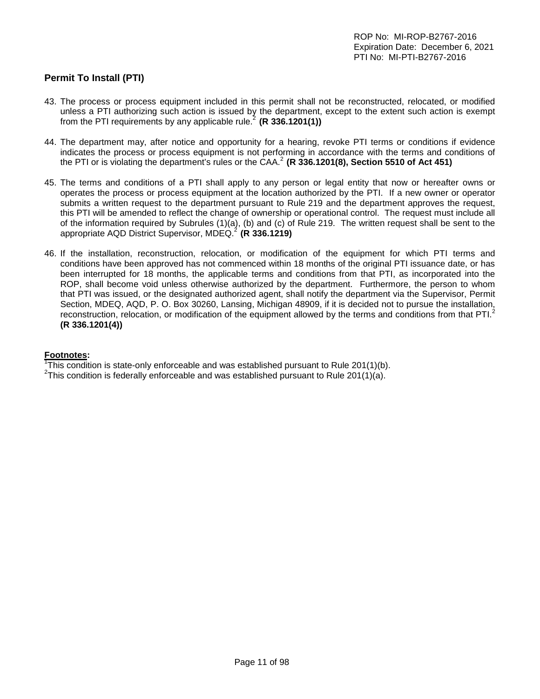## <span id="page-10-0"></span>**Permit To Install (PTI)**

- 43. The process or process equipment included in this permit shall not be reconstructed, relocated, or modified unless a PTI authorizing such action is issued by the department, except to the extent such action is exempt from the PTI requirements by any applicable rule.<sup>2</sup> (R  $336.1201(1)$ )
- 44. The department may, after notice and opportunity for a hearing, revoke PTI terms or conditions if evidence indicates the process or process equipment is not performing in accordance with the terms and conditions of the PTI or is violating the department's rules or the CAA.<sup>2</sup> (R 336.1201(8), Section 5510 of Act 451)
- 45. The terms and conditions of a PTI shall apply to any person or legal entity that now or hereafter owns or operates the process or process equipment at the location authorized by the PTI. If a new owner or operator submits a written request to the department pursuant to Rule 219 and the department approves the request, this PTI will be amended to reflect the change of ownership or operational control. The request must include all of the information required by Subrules (1)(a), (b) and (c) of Rule 219. The written request shall be sent to the appropriate AQD District Supervisor, MDEQ. <sup>2</sup> **(R 336.1219)**
- 46. If the installation, reconstruction, relocation, or modification of the equipment for which PTI terms and conditions have been approved has not commenced within 18 months of the original PTI issuance date, or has been interrupted for 18 months, the applicable terms and conditions from that PTI, as incorporated into the ROP, shall become void unless otherwise authorized by the department. Furthermore, the person to whom that PTI was issued, or the designated authorized agent, shall notify the department via the Supervisor, Permit Section, MDEQ, AQD, P. O. Box 30260, Lansing, Michigan 48909, if it is decided not to pursue the installation, reconstruction, relocation, or modification of the equipment allowed by the terms and conditions from that PTI.<sup>2</sup> **(R 336.1201(4))**

#### **Footnotes:**

<sup>1</sup>This condition is state-only enforceable and was established pursuant to Rule 201(1)(b).<br><sup>2</sup>This condition is foderally enforceable and was established pursuant to Rule 201(1)(o).

<sup>2</sup>This condition is federally enforceable and was established pursuant to Rule 201(1)(a).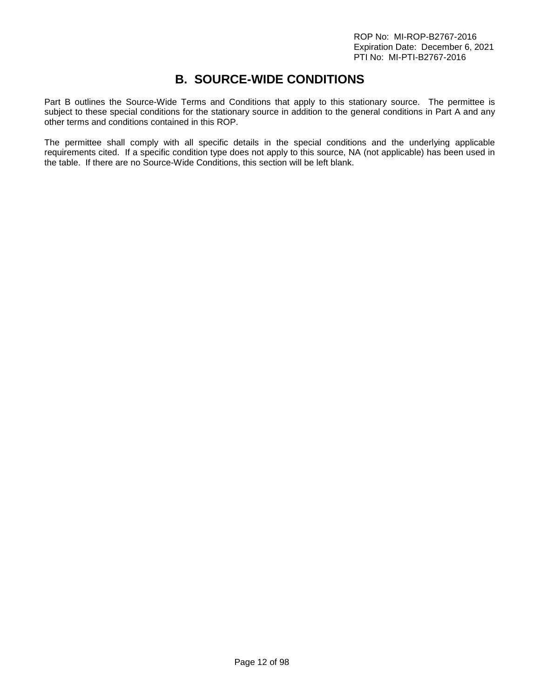## **B. SOURCE-WIDE CONDITIONS**

<span id="page-11-0"></span>Part B outlines the Source-Wide Terms and Conditions that apply to this stationary source. The permittee is subject to these special conditions for the stationary source in addition to the general conditions in Part A and any other terms and conditions contained in this ROP.

The permittee shall comply with all specific details in the special conditions and the underlying applicable requirements cited. If a specific condition type does not apply to this source, NA (not applicable) has been used in the table. If there are no Source-Wide Conditions, this section will be left blank.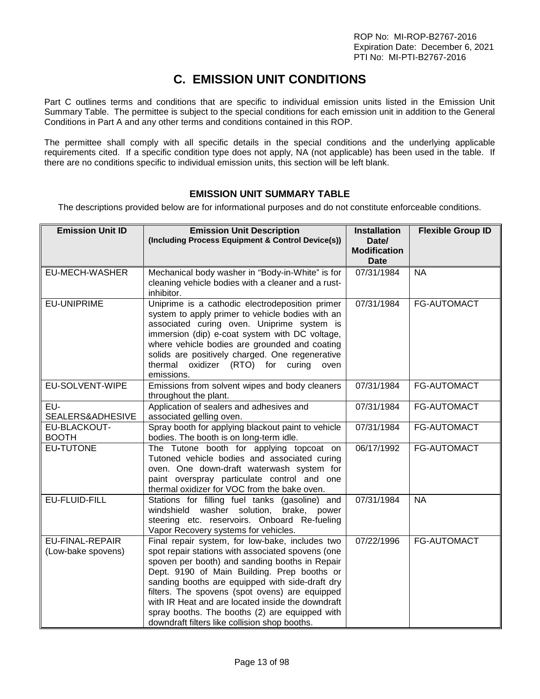# **C. EMISSION UNIT CONDITIONS**

<span id="page-12-0"></span>Part C outlines terms and conditions that are specific to individual emission units listed in the Emission Unit Summary Table. The permittee is subject to the special conditions for each emission unit in addition to the General Conditions in Part A and any other terms and conditions contained in this ROP.

The permittee shall comply with all specific details in the special conditions and the underlying applicable requirements cited. If a specific condition type does not apply, NA (not applicable) has been used in the table. If there are no conditions specific to individual emission units, this section will be left blank.

## **EMISSION UNIT SUMMARY TABLE**

<span id="page-12-1"></span>The descriptions provided below are for informational purposes and do not constitute enforceable conditions.

| <b>Emission Unit ID</b>                      | <b>Emission Unit Description</b><br>(Including Process Equipment & Control Device(s))                                                                                                                                                                                                                                                                                                                                                                              | <b>Installation</b><br>Date/       | <b>Flexible Group ID</b> |
|----------------------------------------------|--------------------------------------------------------------------------------------------------------------------------------------------------------------------------------------------------------------------------------------------------------------------------------------------------------------------------------------------------------------------------------------------------------------------------------------------------------------------|------------------------------------|--------------------------|
|                                              |                                                                                                                                                                                                                                                                                                                                                                                                                                                                    | <b>Modification</b><br><b>Date</b> |                          |
| EU-MECH-WASHER                               | Mechanical body washer in "Body-in-White" is for<br>cleaning vehicle bodies with a cleaner and a rust-<br>inhibitor.                                                                                                                                                                                                                                                                                                                                               | 07/31/1984                         | <b>NA</b>                |
| EU-UNIPRIME                                  | Uniprime is a cathodic electrodeposition primer<br>system to apply primer to vehicle bodies with an<br>associated curing oven. Uniprime system is<br>immersion (dip) e-coat system with DC voltage,<br>where vehicle bodies are grounded and coating<br>solids are positively charged. One regenerative<br>thermal oxidizer (RTO) for curing<br>oven<br>emissions.                                                                                                 | 07/31/1984                         | FG-AUTOMACT              |
| EU-SOLVENT-WIPE                              | Emissions from solvent wipes and body cleaners<br>throughout the plant.                                                                                                                                                                                                                                                                                                                                                                                            | 07/31/1984                         | FG-AUTOMACT              |
| EU-<br>SEALERS&ADHESIVE                      | Application of sealers and adhesives and<br>associated gelling oven.                                                                                                                                                                                                                                                                                                                                                                                               | 07/31/1984                         | FG-AUTOMACT              |
| EU-BLACKOUT-<br><b>BOOTH</b>                 | Spray booth for applying blackout paint to vehicle<br>bodies. The booth is on long-term idle.                                                                                                                                                                                                                                                                                                                                                                      | 07/31/1984                         | FG-AUTOMACT              |
| <b>EU-TUTONE</b>                             | The Tutone booth for applying topcoat on<br>Tutoned vehicle bodies and associated curing<br>oven. One down-draft waterwash system for<br>paint overspray particulate control and one<br>thermal oxidizer for VOC from the bake oven.                                                                                                                                                                                                                               | 06/17/1992                         | FG-AUTOMACT              |
| EU-FLUID-FILL                                | Stations for filling fuel tanks (gasoline) and<br>windshield<br>washer solution,<br>brake, power<br>steering etc. reservoirs. Onboard Re-fueling<br>Vapor Recovery systems for vehicles.                                                                                                                                                                                                                                                                           | 07/31/1984                         | <b>NA</b>                |
| <b>EU-FINAL-REPAIR</b><br>(Low-bake spovens) | Final repair system, for low-bake, includes two<br>spot repair stations with associated spovens (one<br>spoven per booth) and sanding booths in Repair<br>Dept. 9190 of Main Building. Prep booths or<br>sanding booths are equipped with side-draft dry<br>filters. The spovens (spot ovens) are equipped<br>with IR Heat and are located inside the downdraft<br>spray booths. The booths (2) are equipped with<br>downdraft filters like collision shop booths. | 07/22/1996                         | <b>FG-AUTOMACT</b>       |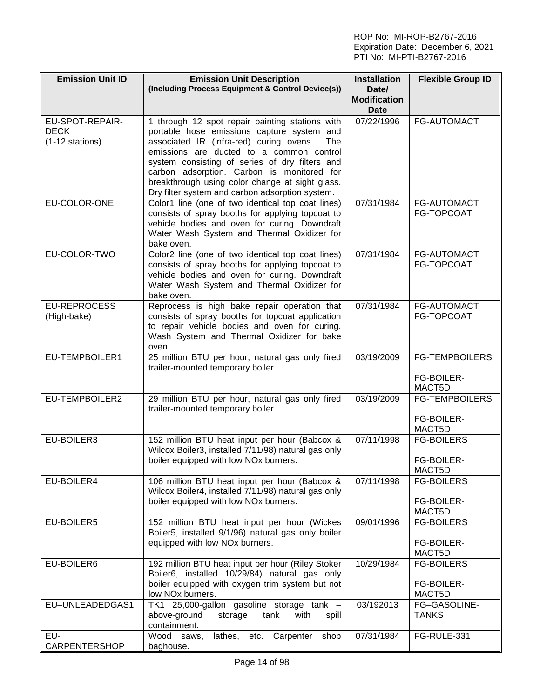| <b>Emission Unit ID</b>                           | <b>Emission Unit Description</b><br>(Including Process Equipment & Control Device(s))                                                                                                                                                                                                                                                                                                             | <b>Installation</b><br>Date/       | <b>Flexible Group ID</b>                      |
|---------------------------------------------------|---------------------------------------------------------------------------------------------------------------------------------------------------------------------------------------------------------------------------------------------------------------------------------------------------------------------------------------------------------------------------------------------------|------------------------------------|-----------------------------------------------|
|                                                   |                                                                                                                                                                                                                                                                                                                                                                                                   | <b>Modification</b><br><b>Date</b> |                                               |
| EU-SPOT-REPAIR-<br><b>DECK</b><br>(1-12 stations) | 1 through 12 spot repair painting stations with<br>portable hose emissions capture system and<br>associated IR (infra-red) curing ovens.<br>The<br>emissions are ducted to a common control<br>system consisting of series of dry filters and<br>carbon adsorption. Carbon is monitored for<br>breakthrough using color change at sight glass.<br>Dry filter system and carbon adsorption system. | 07/22/1996                         | FG-AUTOMACT                                   |
| EU-COLOR-ONE                                      | Color1 line (one of two identical top coat lines)<br>consists of spray booths for applying topcoat to<br>vehicle bodies and oven for curing. Downdraft<br>Water Wash System and Thermal Oxidizer for<br>bake oven.                                                                                                                                                                                | 07/31/1984                         | FG-AUTOMACT<br>FG-TOPCOAT                     |
| EU-COLOR-TWO                                      | Color2 line (one of two identical top coat lines)<br>consists of spray booths for applying topcoat to<br>vehicle bodies and oven for curing. Downdraft<br>Water Wash System and Thermal Oxidizer for<br>bake oven.                                                                                                                                                                                | 07/31/1984                         | <b>FG-AUTOMACT</b><br>FG-TOPCOAT              |
| <b>EU-REPROCESS</b><br>(High-bake)                | Reprocess is high bake repair operation that<br>consists of spray booths for topcoat application<br>to repair vehicle bodies and oven for curing.<br>Wash System and Thermal Oxidizer for bake<br>oven.                                                                                                                                                                                           | 07/31/1984                         | <b>FG-AUTOMACT</b><br>FG-TOPCOAT              |
| EU-TEMPBOILER1                                    | 25 million BTU per hour, natural gas only fired<br>trailer-mounted temporary boiler.                                                                                                                                                                                                                                                                                                              | 03/19/2009                         | <b>FG-TEMPBOILERS</b><br>FG-BOILER-<br>MACT5D |
| EU-TEMPBOILER2                                    | 29 million BTU per hour, natural gas only fired<br>trailer-mounted temporary boiler.                                                                                                                                                                                                                                                                                                              | 03/19/2009                         | <b>FG-TEMPBOILERS</b><br>FG-BOILER-<br>MACT5D |
| EU-BOILER3                                        | 152 million BTU heat input per hour (Babcox &<br>Wilcox Boiler3, installed 7/11/98) natural gas only<br>boiler equipped with low NOx burners.                                                                                                                                                                                                                                                     | 07/11/1998                         | <b>FG-BOILERS</b><br>FG-BOILER-<br>MACT5D     |
| EU-BOILER4                                        | 106 million BTU heat input per hour (Babcox &<br>Wilcox Boiler4, installed 7/11/98) natural gas only<br>boiler equipped with low NOx burners.                                                                                                                                                                                                                                                     | 07/11/1998                         | <b>FG-BOILERS</b><br>FG-BOILER-<br>MACT5D     |
| EU-BOILER5                                        | 152 million BTU heat input per hour (Wickes<br>Boiler5, installed 9/1/96) natural gas only boiler<br>equipped with low NOx burners.                                                                                                                                                                                                                                                               | 09/01/1996                         | <b>FG-BOILERS</b><br>FG-BOILER-<br>MACT5D     |
| EU-BOILER6                                        | 192 million BTU heat input per hour (Riley Stoker<br>Boiler6, installed 10/29/84) natural gas only<br>boiler equipped with oxygen trim system but not<br>low NO <sub>x</sub> burners.                                                                                                                                                                                                             | 10/29/1984                         | <b>FG-BOILERS</b><br>FG-BOILER-<br>MACT5D     |
| EU-UNLEADEDGAS1                                   | TK1 25,000-gallon gasoline storage tank -<br>above-ground<br>storage<br>tank<br>with<br>spill<br>containment.                                                                                                                                                                                                                                                                                     | 03/192013                          | FG-GASOLINE-<br><b>TANKS</b>                  |
| EU-<br>CARPENTERSHOP                              | Wood saws,<br>lathes,<br>Carpenter<br>shop<br>etc.<br>baghouse.                                                                                                                                                                                                                                                                                                                                   | 07/31/1984                         | FG-RULE-331                                   |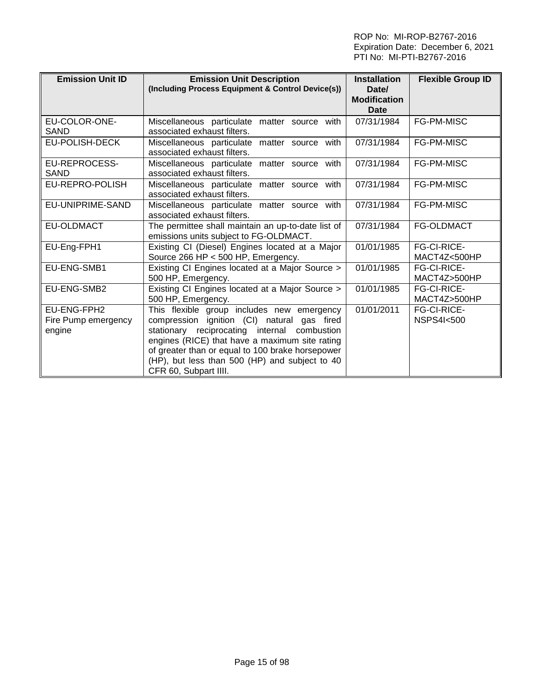| <b>Emission Unit ID</b>                      | <b>Emission Unit Description</b><br>(Including Process Equipment & Control Device(s))                                                                                                                                                                                                                                      | <b>Installation</b><br>Date/<br><b>Modification</b><br><b>Date</b> | <b>Flexible Group ID</b>                   |
|----------------------------------------------|----------------------------------------------------------------------------------------------------------------------------------------------------------------------------------------------------------------------------------------------------------------------------------------------------------------------------|--------------------------------------------------------------------|--------------------------------------------|
| EU-COLOR-ONE-<br>SAND                        | Miscellaneous particulate matter source with<br>associated exhaust filters.                                                                                                                                                                                                                                                | 07/31/1984                                                         | <b>FG-PM-MISC</b>                          |
| EU-POLISH-DECK                               | Miscellaneous particulate matter source with<br>associated exhaust filters.                                                                                                                                                                                                                                                | 07/31/1984                                                         | FG-PM-MISC                                 |
| EU-REPROCESS-<br>SAND                        | Miscellaneous particulate matter source with<br>associated exhaust filters.                                                                                                                                                                                                                                                | 07/31/1984                                                         | FG-PM-MISC                                 |
| EU-REPRO-POLISH                              | Miscellaneous particulate matter source with<br>associated exhaust filters.                                                                                                                                                                                                                                                | 07/31/1984                                                         | FG-PM-MISC                                 |
| EU-UNIPRIME-SAND                             | Miscellaneous particulate matter source with<br>associated exhaust filters.                                                                                                                                                                                                                                                | 07/31/1984                                                         | FG-PM-MISC                                 |
| <b>EU-OLDMACT</b>                            | The permittee shall maintain an up-to-date list of<br>emissions units subject to FG-OLDMACT.                                                                                                                                                                                                                               | 07/31/1984                                                         | FG-OLDMACT                                 |
| EU-Eng-FPH1                                  | Existing CI (Diesel) Engines located at a Major<br>Source 266 HP < 500 HP, Emergency.                                                                                                                                                                                                                                      | 01/01/1985                                                         | <b>FG-CI-RICE-</b><br>MACT4Z<500HP         |
| EU-ENG-SMB1                                  | Existing CI Engines located at a Major Source ><br>500 HP, Emergency.                                                                                                                                                                                                                                                      | 01/01/1985                                                         | <b>FG-CI-RICE-</b><br>MACT4Z>500HP         |
| EU-ENG-SMB2                                  | Existing CI Engines located at a Major Source ><br>500 HP, Emergency.                                                                                                                                                                                                                                                      | 01/01/1985                                                         | <b>FG-CI-RICE-</b><br>MACT4Z>500HP         |
| EU-ENG-FPH2<br>Fire Pump emergency<br>engine | This flexible group includes new emergency<br>compression ignition (CI) natural gas fired<br>stationary reciprocating internal combustion<br>engines (RICE) that have a maximum site rating<br>of greater than or equal to 100 brake horsepower<br>(HP), but less than 500 (HP) and subject to 40<br>CFR 60, Subpart IIII. | 01/01/2011                                                         | <b>FG-CI-RICE-</b><br><b>NSPS4I&lt;500</b> |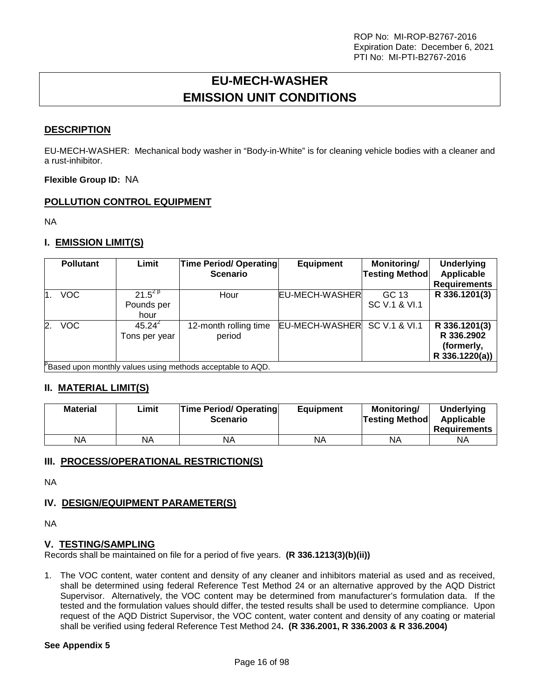# **EU-MECH-WASHER EMISSION UNIT CONDITIONS**

### <span id="page-15-0"></span>**DESCRIPTION**

EU-MECH-WASHER: Mechanical body washer in "Body-in-White" is for cleaning vehicle bodies with a cleaner and a rust-inhibitor.

**Flexible Group ID:** NA

## **POLLUTION CONTROL EQUIPMENT**

NA

## **I. EMISSION LIMIT(S)**

| <b>Pollutant</b>             | Limit                             | <b>Time Period/ Operating</b><br><b>Scenario</b>           | <b>Equipment</b>      | Monitoring/<br><b>Testing Method</b> | <b>Underlying</b><br>Applicable<br><b>Requirements</b>      |
|------------------------------|-----------------------------------|------------------------------------------------------------|-----------------------|--------------------------------------|-------------------------------------------------------------|
| <b>VOC</b><br>$\mathbf 1$ .  | $21.5^{28}$<br>Pounds per<br>hour | Hour                                                       | <b>EU-MECH-WASHER</b> | GC 13<br>SC V.1 & VI.1               | R 336.1201(3)                                               |
| <b>VOC</b><br>2 <sup>1</sup> | $45.24^{2}$<br>Tons per year      | 12-month rolling time<br>period                            | EU-MECH-WASHER        | SC V.1 & VI.1                        | R 336.1201(3)<br>R 336,2902<br>(formerly,<br>R 336.1220(a)) |
|                              |                                   | Based upon monthly values using methods acceptable to AQD. |                       |                                      |                                                             |

#### **II. MATERIAL LIMIT(S)**

| <b>Material</b> | Limit | <b>Time Period/ Operating</b><br><b>Scenario</b> | <b>Equipment</b> | Monitorina/<br><b>Testing Method</b> | <b>Underlying</b><br>Applicable<br><b>Requirements</b> |
|-----------------|-------|--------------------------------------------------|------------------|--------------------------------------|--------------------------------------------------------|
| ΝA              | ΝA    | NA                                               | ΝA               | <b>NA</b>                            | NA                                                     |

#### **III. PROCESS/OPERATIONAL RESTRICTION(S)**

NA

## **IV. DESIGN/EQUIPMENT PARAMETER(S)**

NA

#### **V. TESTING/SAMPLING**

Records shall be maintained on file for a period of five years. **(R 336.1213(3)(b)(ii))**

1. The VOC content, water content and density of any cleaner and inhibitors material as used and as received, shall be determined using federal Reference Test Method 24 or an alternative approved by the AQD District Supervisor. Alternatively, the VOC content may be determined from manufacturer's formulation data. If the tested and the formulation values should differ, the tested results shall be used to determine compliance. Upon request of the AQD District Supervisor, the VOC content, water content and density of any coating or material shall be verified using federal Reference Test Method 24**. (R 336.2001, R 336.2003 & R 336.2004)**

#### **See Appendix 5**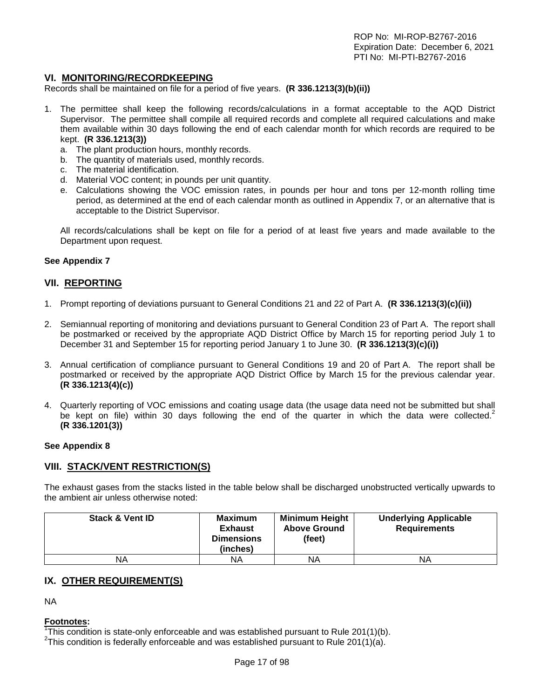#### **VI. MONITORING/RECORDKEEPING**

Records shall be maintained on file for a period of five years. **(R 336.1213(3)(b)(ii))**

- 1. The permittee shall keep the following records/calculations in a format acceptable to the AQD District Supervisor. The permittee shall compile all required records and complete all required calculations and make them available within 30 days following the end of each calendar month for which records are required to be kept. **(R 336.1213(3))**
	- a. The plant production hours, monthly records.
	- b. The quantity of materials used, monthly records.
	- c. The material identification.
	- d. Material VOC content; in pounds per unit quantity.
	- e. Calculations showing the VOC emission rates, in pounds per hour and tons per 12-month rolling time period, as determined at the end of each calendar month as outlined in Appendix 7, or an alternative that is acceptable to the District Supervisor.

All records/calculations shall be kept on file for a period of at least five years and made available to the Department upon request.

#### **See Appendix 7**

#### **VII. REPORTING**

- 1. Prompt reporting of deviations pursuant to General Conditions 21 and 22 of Part A. **(R 336.1213(3)(c)(ii))**
- 2. Semiannual reporting of monitoring and deviations pursuant to General Condition 23 of Part A. The report shall be postmarked or received by the appropriate AQD District Office by March 15 for reporting period July 1 to December 31 and September 15 for reporting period January 1 to June 30. **(R 336.1213(3)(c)(i))**
- 3. Annual certification of compliance pursuant to General Conditions 19 and 20 of Part A. The report shall be postmarked or received by the appropriate AQD District Office by March 15 for the previous calendar year. **(R 336.1213(4)(c))**
- 4. Quarterly reporting of VOC emissions and coating usage data (the usage data need not be submitted but shall be kept on file) within 30 days following the end of the quarter in which the data were collected.<sup>2</sup> **(R 336.1201(3))**

#### **See Appendix 8**

#### **VIII. STACK/VENT RESTRICTION(S)**

The exhaust gases from the stacks listed in the table below shall be discharged unobstructed vertically upwards to the ambient air unless otherwise noted:

| <b>Stack &amp; Vent ID</b> | <b>Maximum</b><br><b>Exhaust</b><br><b>Dimensions</b><br>(inches) | <b>Minimum Height</b><br><b>Above Ground</b><br>(feet) | <b>Underlying Applicable</b><br><b>Requirements</b> |
|----------------------------|-------------------------------------------------------------------|--------------------------------------------------------|-----------------------------------------------------|
| ΝA                         | ΝA                                                                | ΝA                                                     | <b>NA</b>                                           |

#### **IX. OTHER REQUIREMENT(S)**

NA

#### **Footnotes:**

<sup>1</sup>This condition is state-only enforceable and was established pursuant to Rule 201(1)(b).<br><sup>2</sup>This condition is foderally enforceable and was established pursuant to Rule 201(1)(o).

<sup>2</sup>This condition is federally enforceable and was established pursuant to Rule 201(1)(a).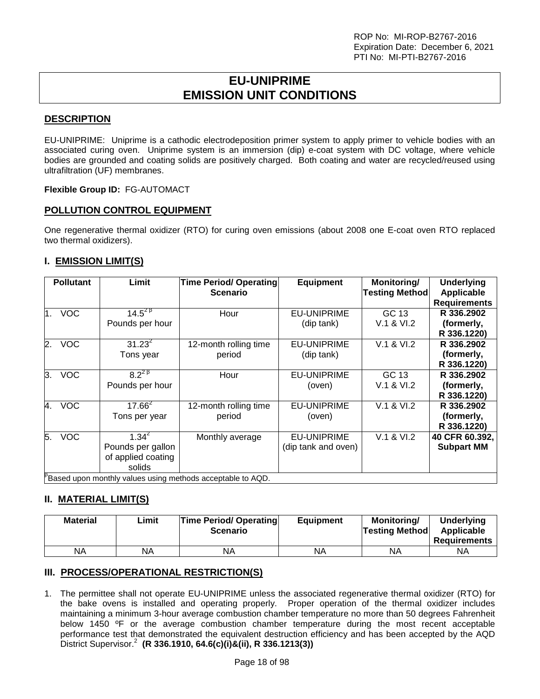## **EU-UNIPRIME EMISSION UNIT CONDITIONS**

## <span id="page-17-0"></span>**DESCRIPTION**

EU-UNIPRIME: Uniprime is a cathodic electrodeposition primer system to apply primer to vehicle bodies with an associated curing oven. Uniprime system is an immersion (dip) e-coat system with DC voltage, where vehicle bodies are grounded and coating solids are positively charged. Both coating and water are recycled/reused using ultrafiltration (UF) membranes.

#### **Flexible Group ID:** FG-AUTOMACT

## **POLLUTION CONTROL EQUIPMENT**

One regenerative thermal oxidizer (RTO) for curing oven emissions (about 2008 one E-coat oven RTO replaced two thermal oxidizers).

## **I. EMISSION LIMIT(S)**

| <b>Pollutant</b> | Limit                                                              | <b>Time Period/ Operating</b><br><b>Scenario</b>                                           | <b>Equipment</b>                          | Monitoring/<br><b>Testing Method</b> | <b>Underlying</b><br><b>Applicable</b><br><b>Requirements</b> |
|------------------|--------------------------------------------------------------------|--------------------------------------------------------------------------------------------|-------------------------------------------|--------------------------------------|---------------------------------------------------------------|
| <b>VOC</b><br>1. | $14.5^{2}$ <sup><math>\overline{9}</math></sup><br>Pounds per hour | Hour                                                                                       | <b>EU-UNIPRIME</b><br>(dip tank)          | GC 13<br>V.1 & VI.2                  | R 336.2902<br>(formerly,<br>R 336.1220)                       |
| <b>VOC</b><br>2. | $31.23^{2}$<br>Tons year                                           | 12-month rolling time<br>period                                                            | <b>EU-UNIPRIME</b><br>(dip tank)          | V.1 & VI.2                           | R 336,2902<br>(formerly,<br>R 336.1220)                       |
| <b>VOC</b><br>3. | $8.2^{28}$<br>Pounds per hour                                      | Hour                                                                                       | <b>EU-UNIPRIME</b><br>(oven)              | GC 13<br>V.1 & VI.2                  | R 336,2902<br>(formerly,<br>R 336.1220)                       |
| 4. VOC           | $17.\overline{66}^{2}$<br>Tons per year                            | 12-month rolling time<br>period                                                            | <b>EU-UNIPRIME</b><br>(oven)              | V.1 & VI.2                           | R 336.2902<br>(formerly,<br>R 336.1220)                       |
| 5.<br><b>VOC</b> | $1.34^{2}$<br>Pounds per gallon<br>of applied coating<br>solids    | Monthly average<br><sup>p</sup> Based upon monthly values using methods acceptable to AQD. | <b>EU-UNIPRIME</b><br>(dip tank and oven) | V.1 & VI.2                           | 40 CFR 60.392,<br><b>Subpart MM</b>                           |

Based upon monthly values using methods acceptable to AQD.

## **II. MATERIAL LIMIT(S)**

| <b>Material</b> | ∟imit | <b>Time Period/ Operating</b><br><b>Scenario</b> | <b>Equipment</b> | Monitorina/<br><b>Testing Method</b> | Underlying<br>Applicable<br><b>Requirements</b> |
|-----------------|-------|--------------------------------------------------|------------------|--------------------------------------|-------------------------------------------------|
| ΝA              | NA    | ΝA                                               | NA               | ΝA                                   | ΝA                                              |

## **III. PROCESS/OPERATIONAL RESTRICTION(S)**

1. The permittee shall not operate EU-UNIPRIME unless the associated regenerative thermal oxidizer (RTO) for the bake ovens is installed and operating properly. Proper operation of the thermal oxidizer includes maintaining a minimum 3-hour average combustion chamber temperature no more than 50 degrees Fahrenheit below 1450 ºF or the average combustion chamber temperature during the most recent acceptable performance test that demonstrated the equivalent destruction efficiency and has been accepted by the AQD District Supervisor.2 **(R 336.1910, 64.6(c)(i)&(ii), R 336.1213(3))**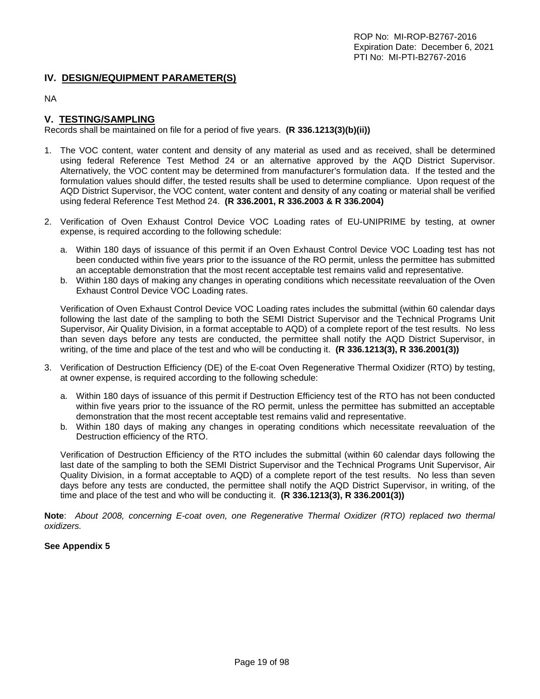### **IV. DESIGN/EQUIPMENT PARAMETER(S)**

NA

## **V. TESTING/SAMPLING**

Records shall be maintained on file for a period of five years. **(R 336.1213(3)(b)(ii))**

- 1. The VOC content, water content and density of any material as used and as received, shall be determined using federal Reference Test Method 24 or an alternative approved by the AQD District Supervisor. Alternatively, the VOC content may be determined from manufacturer's formulation data. If the tested and the formulation values should differ, the tested results shall be used to determine compliance. Upon request of the AQD District Supervisor, the VOC content, water content and density of any coating or material shall be verified using federal Reference Test Method 24. **(R 336.2001, R 336.2003 & R 336.2004)**
- 2. Verification of Oven Exhaust Control Device VOC Loading rates of EU-UNIPRIME by testing, at owner expense, is required according to the following schedule:
	- a. Within 180 days of issuance of this permit if an Oven Exhaust Control Device VOC Loading test has not been conducted within five years prior to the issuance of the RO permit, unless the permittee has submitted an acceptable demonstration that the most recent acceptable test remains valid and representative.
	- b. Within 180 days of making any changes in operating conditions which necessitate reevaluation of the Oven Exhaust Control Device VOC Loading rates.

Verification of Oven Exhaust Control Device VOC Loading rates includes the submittal (within 60 calendar days following the last date of the sampling to both the SEMI District Supervisor and the Technical Programs Unit Supervisor, Air Quality Division, in a format acceptable to AQD) of a complete report of the test results. No less than seven days before any tests are conducted, the permittee shall notify the AQD District Supervisor, in writing, of the time and place of the test and who will be conducting it. **(R 336.1213(3), R 336.2001(3))**

- 3. Verification of Destruction Efficiency (DE) of the E-coat Oven Regenerative Thermal Oxidizer (RTO) by testing, at owner expense, is required according to the following schedule:
	- a. Within 180 days of issuance of this permit if Destruction Efficiency test of the RTO has not been conducted within five years prior to the issuance of the RO permit, unless the permittee has submitted an acceptable demonstration that the most recent acceptable test remains valid and representative.
	- b. Within 180 days of making any changes in operating conditions which necessitate reevaluation of the Destruction efficiency of the RTO.

Verification of Destruction Efficiency of the RTO includes the submittal (within 60 calendar days following the last date of the sampling to both the SEMI District Supervisor and the Technical Programs Unit Supervisor, Air Quality Division, in a format acceptable to AQD) of a complete report of the test results. No less than seven days before any tests are conducted, the permittee shall notify the AQD District Supervisor, in writing, of the time and place of the test and who will be conducting it. **(R 336.1213(3), R 336.2001(3))**

**Note**: *About 2008, concerning E-coat oven, one Regenerative Thermal Oxidizer (RTO) replaced two thermal oxidizers.*

#### **See Appendix 5**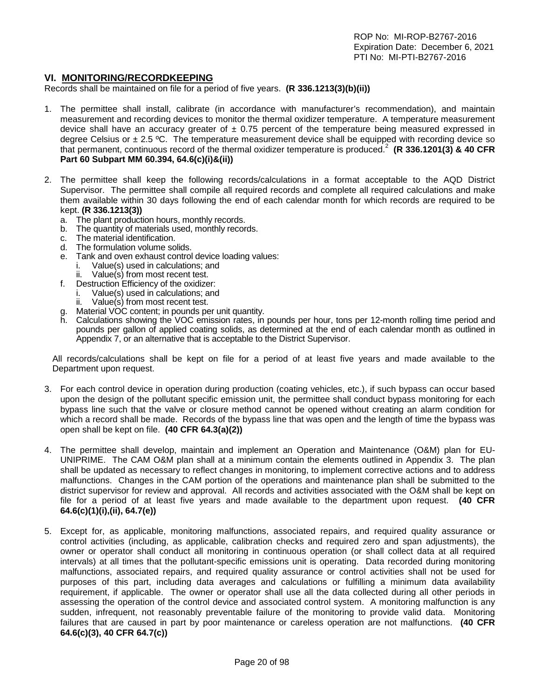#### **VI. MONITORING/RECORDKEEPING**

Records shall be maintained on file for a period of five years. **(R 336.1213(3)(b)(ii))**

- 1. The permittee shall install, calibrate (in accordance with manufacturer's recommendation), and maintain measurement and recording devices to monitor the thermal oxidizer temperature. A temperature measurement device shall have an accuracy greater of  $\pm$  0.75 percent of the temperature being measured expressed in degree Celsius or  $\pm 2.5$  °C. The temperature measurement device shall be equipped with recording device so that permanent, continuous record of the thermal oxidizer temperature is produced.<sup>2</sup> **(R 336.1201(3) & 40 CFR Part 60 Subpart MM 60.394, 64.6(c)(i)&(ii))**
- 2. The permittee shall keep the following records/calculations in a format acceptable to the AQD District Supervisor. The permittee shall compile all required records and complete all required calculations and make them available within 30 days following the end of each calendar month for which records are required to be kept. **(R 336.1213(3))**
	- a. The plant production hours, monthly records.
	- b. The quantity of materials used, monthly records.<br>c. The material identification.
	- c. The material identification.<br>d. The formulation volume so
	- d. The formulation volume solids.<br>e. Tank and oven exhaust control
	- Tank and oven exhaust control device loading values:
		- i. Value(s) used in calculations; and
		- Value(s) from most recent test.
	- f. Destruction Efficiency of the oxidizer:
		- i. Value(s) used in calculations; and<br>ii. Value(s) from most recent test. Value(s) from most recent test.
	- g. Material VOC content; in pounds per unit quantity.
	- h. Calculations showing the VOC emission rates, in pounds per hour, tons per 12-month rolling time period and pounds per gallon of applied coating solids, as determined at the end of each calendar month as outlined in Appendix 7, or an alternative that is acceptable to the District Supervisor.

All records/calculations shall be kept on file for a period of at least five years and made available to the Department upon request.

- 3. For each control device in operation during production (coating vehicles, etc.), if such bypass can occur based upon the design of the pollutant specific emission unit, the permittee shall conduct bypass monitoring for each bypass line such that the valve or closure method cannot be opened without creating an alarm condition for which a record shall be made. Records of the bypass line that was open and the length of time the bypass was open shall be kept on file. **(40 CFR 64.3(a)(2))**
- 4. The permittee shall develop, maintain and implement an Operation and Maintenance (O&M) plan for EU-UNIPRIME. The CAM O&M plan shall at a minimum contain the elements outlined in Appendix 3. The plan shall be updated as necessary to reflect changes in monitoring, to implement corrective actions and to address malfunctions. Changes in the CAM portion of the operations and maintenance plan shall be submitted to the district supervisor for review and approval. All records and activities associated with the O&M shall be kept on file for a period of at least five years and made available to the department upon request. **(40 CFR 64.6(c)(1)(i),(ii), 64.7(e))**
- 5. Except for, as applicable, monitoring malfunctions, associated repairs, and required quality assurance or control activities (including, as applicable, calibration checks and required zero and span adjustments), the owner or operator shall conduct all monitoring in continuous operation (or shall collect data at all required intervals) at all times that the pollutant-specific emissions unit is operating. Data recorded during monitoring malfunctions, associated repairs, and required quality assurance or control activities shall not be used for purposes of this part, including data averages and calculations or fulfilling a minimum data availability requirement, if applicable. The owner or operator shall use all the data collected during all other periods in assessing the operation of the control device and associated control system. A monitoring malfunction is any sudden, infrequent, not reasonably preventable failure of the monitoring to provide valid data. Monitoring failures that are caused in part by poor maintenance or careless operation are not malfunctions. **(40 CFR 64.6(c)(3), 40 CFR 64.7(c))**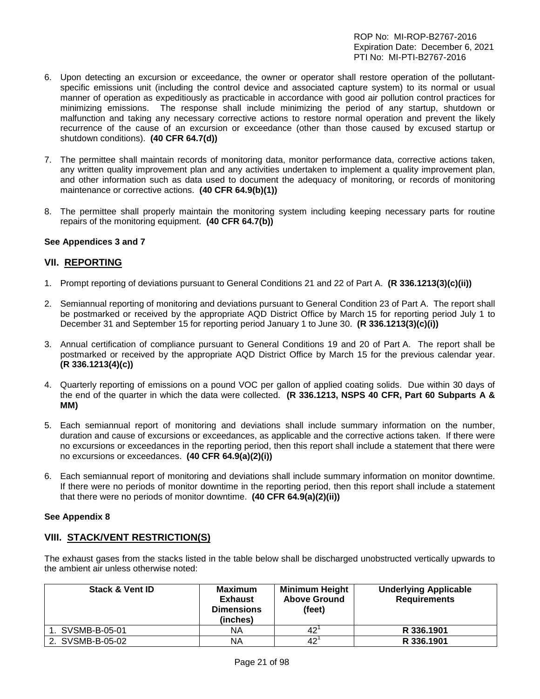- 6. Upon detecting an excursion or exceedance, the owner or operator shall restore operation of the pollutantspecific emissions unit (including the control device and associated capture system) to its normal or usual manner of operation as expeditiously as practicable in accordance with good air pollution control practices for minimizing emissions. The response shall include minimizing the period of any startup, shutdown or malfunction and taking any necessary corrective actions to restore normal operation and prevent the likely recurrence of the cause of an excursion or exceedance (other than those caused by excused startup or shutdown conditions). **(40 CFR 64.7(d))**
- 7. The permittee shall maintain records of monitoring data, monitor performance data, corrective actions taken, any written quality improvement plan and any activities undertaken to implement a quality improvement plan, and other information such as data used to document the adequacy of monitoring, or records of monitoring maintenance or corrective actions. **(40 CFR 64.9(b)(1))**
- 8. The permittee shall properly maintain the monitoring system including keeping necessary parts for routine repairs of the monitoring equipment. **(40 CFR 64.7(b))**

#### **See Appendices 3 and 7**

#### **VII. REPORTING**

- 1. Prompt reporting of deviations pursuant to General Conditions 21 and 22 of Part A. **(R 336.1213(3)(c)(ii))**
- 2. Semiannual reporting of monitoring and deviations pursuant to General Condition 23 of Part A. The report shall be postmarked or received by the appropriate AQD District Office by March 15 for reporting period July 1 to December 31 and September 15 for reporting period January 1 to June 30. **(R 336.1213(3)(c)(i))**
- 3. Annual certification of compliance pursuant to General Conditions 19 and 20 of Part A. The report shall be postmarked or received by the appropriate AQD District Office by March 15 for the previous calendar year. **(R 336.1213(4)(c))**
- 4. Quarterly reporting of emissions on a pound VOC per gallon of applied coating solids. Due within 30 days of the end of the quarter in which the data were collected. **(R 336.1213, NSPS 40 CFR, Part 60 Subparts A & MM)**
- 5. Each semiannual report of monitoring and deviations shall include summary information on the number, duration and cause of excursions or exceedances, as applicable and the corrective actions taken. If there were no excursions or exceedances in the reporting period, then this report shall include a statement that there were no excursions or exceedances. **(40 CFR 64.9(a)(2)(i))**
- 6. Each semiannual report of monitoring and deviations shall include summary information on monitor downtime. If there were no periods of monitor downtime in the reporting period, then this report shall include a statement that there were no periods of monitor downtime. **(40 CFR 64.9(a)(2)(ii))**

#### **See Appendix 8**

#### **VIII. STACK/VENT RESTRICTION(S)**

The exhaust gases from the stacks listed in the table below shall be discharged unobstructed vertically upwards to the ambient air unless otherwise noted:

| <b>Stack &amp; Vent ID</b> | <b>Maximum</b><br><b>Exhaust</b><br><b>Dimensions</b><br>(inches) | <b>Minimum Height</b><br><b>Above Ground</b><br>(feet) | <b>Underlying Applicable</b><br><b>Requirements</b> |
|----------------------------|-------------------------------------------------------------------|--------------------------------------------------------|-----------------------------------------------------|
| 1. SVSMB-B-05-01           | ΝA                                                                | 42                                                     | R 336.1901                                          |
| 2. SVSMB-B-05-02           | NA                                                                | 42                                                     | R 336.1901                                          |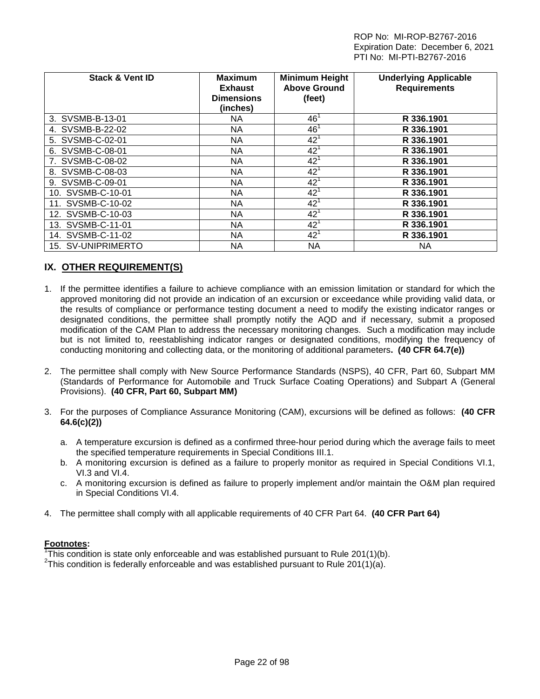| <b>Stack &amp; Vent ID</b> | <b>Maximum</b><br><b>Exhaust</b><br><b>Dimensions</b><br>(inches) | <b>Minimum Height</b><br><b>Above Ground</b><br>(feet) | <b>Underlying Applicable</b><br><b>Requirements</b> |
|----------------------------|-------------------------------------------------------------------|--------------------------------------------------------|-----------------------------------------------------|
| 3. SVSMB-B-13-01           | NA                                                                | 46 <sup>1</sup>                                        | R 336.1901                                          |
| 4. SVSMB-B-22-02           | NA.                                                               | 46 <sup>1</sup>                                        | R 336.1901                                          |
| 5. SVSMB-C-02-01           | NA.                                                               | $42^{1}$                                               | R 336.1901                                          |
| 6. SVSMB-C-08-01           | NA.                                                               | $42^{\circ}$                                           | R 336.1901                                          |
| 7. SVSMB-C-08-02           | NA.                                                               | $42^1$                                                 | R 336.1901                                          |
| 8. SVSMB-C-08-03           | NA                                                                | $42^1$                                                 | R 336.1901                                          |
| 9. SVSMB-C-09-01           | NA.                                                               | $42^1$                                                 | R 336.1901                                          |
| 10. SVSMB-C-10-01          | NA.                                                               | $42^{1}$                                               | R 336.1901                                          |
| 11. SVSMB-C-10-02          | NA                                                                | 42 <sup>1</sup>                                        | R 336.1901                                          |
| 12. SVSMB-C-10-03          | NA.                                                               | $42^1$                                                 | R 336.1901                                          |
| 13. SVSMB-C-11-01          | NA                                                                | $42^{1}$                                               | R 336.1901                                          |
| 14. SVSMB-C-11-02          | NA.                                                               | 42 <sup>1</sup>                                        | R 336.1901                                          |
| 15. SV-UNIPRIMERTO         | NA.                                                               | NA                                                     | <b>NA</b>                                           |

## **IX. OTHER REQUIREMENT(S)**

- 1. If the permittee identifies a failure to achieve compliance with an emission limitation or standard for which the approved monitoring did not provide an indication of an excursion or exceedance while providing valid data, or the results of compliance or performance testing document a need to modify the existing indicator ranges or designated conditions, the permittee shall promptly notify the AQD and if necessary, submit a proposed modification of the CAM Plan to address the necessary monitoring changes. Such a modification may include but is not limited to, reestablishing indicator ranges or designated conditions, modifying the frequency of conducting monitoring and collecting data, or the monitoring of additional parameters**. (40 CFR 64.7(e))**
- 2. The permittee shall comply with New Source Performance Standards (NSPS), 40 CFR, Part 60, Subpart MM (Standards of Performance for Automobile and Truck Surface Coating Operations) and Subpart A (General Provisions). **(40 CFR, Part 60, Subpart MM)**
- 3. For the purposes of Compliance Assurance Monitoring (CAM), excursions will be defined as follows: **(40 CFR 64.6(c)(2))**
	- a. A temperature excursion is defined as a confirmed three-hour period during which the average fails to meet the specified temperature requirements in Special Conditions III.1.
	- b. A monitoring excursion is defined as a failure to properly monitor as required in Special Conditions VI.1, VI.3 and VI.4.
	- c. A monitoring excursion is defined as failure to properly implement and/or maintain the O&M plan required in Special Conditions VI.4.
- 4. The permittee shall comply with all applicable requirements of 40 CFR Part 64. **(40 CFR Part 64)**

#### **Footnotes:**

<sup>1</sup>This condition is state only enforceable and was established pursuant to Rule 201(1)(b).<br><sup>2</sup>This condition is foderally enforceable and was established pursuant to Rule 201(1)(c).

<sup>2</sup>This condition is federally enforceable and was established pursuant to Rule 201(1)(a).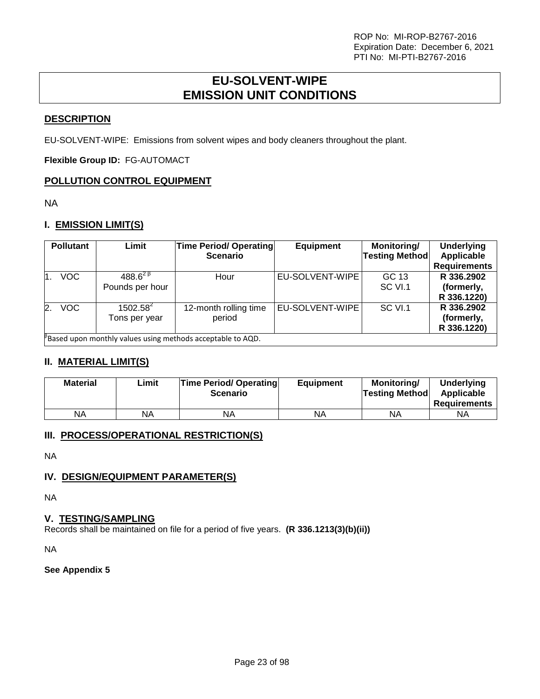## **EU-SOLVENT-WIPE EMISSION UNIT CONDITIONS**

## <span id="page-22-0"></span>**DESCRIPTION**

EU-SOLVENT-WIPE: Emissions from solvent wipes and body cleaners throughout the plant.

**Flexible Group ID:** FG-AUTOMACT

## **POLLUTION CONTROL EQUIPMENT**

NA

## **I. EMISSION LIMIT(S)**

|    | <b>Pollutant</b>                                               | Limit                                        | <b>Time Period/ Operating</b><br><b>Scenario</b> | <b>Equipment</b> | Monitoring/<br><b>Testing Method</b> | <b>Underlying</b><br>Applicable<br><b>Requirements</b> |  |  |
|----|----------------------------------------------------------------|----------------------------------------------|--------------------------------------------------|------------------|--------------------------------------|--------------------------------------------------------|--|--|
| 1  | <b>VOC</b>                                                     | 488.6 $^{2}$ <sup>B</sup><br>Pounds per hour | Hour                                             | EU-SOLVENT-WIPE  | GC 13<br>SC VI.1                     | R 336,2902<br>(formerly,<br>R 336.1220)                |  |  |
| 2. | <b>VOC</b>                                                     | $1502.58^{2}$<br>Tons per year               | 12-month rolling time<br>period                  | EU-SOLVENT-WIPE  | SC VI.1                              | R 336.2902<br>(formerly,<br>R 336.1220)                |  |  |
|    | $P$ Based upon monthly values using methods acceptable to AQD. |                                              |                                                  |                  |                                      |                                                        |  |  |

## **II. MATERIAL LIMIT(S)**

| <b>Material</b> | Limit | <b>Time Period/ Operating</b><br><b>Scenario</b> | <b>Equipment</b> | Monitoring/<br><b>Testing Method</b> | <b>Underlying</b><br>Applicable<br><b>Requirements</b> |
|-----------------|-------|--------------------------------------------------|------------------|--------------------------------------|--------------------------------------------------------|
| <b>NA</b>       | NA    | NΑ                                               | ΝA               | ΝA                                   | ΝA                                                     |

## **III. PROCESS/OPERATIONAL RESTRICTION(S)**

NA

## **IV. DESIGN/EQUIPMENT PARAMETER(S)**

NA

## **V. TESTING/SAMPLING**

Records shall be maintained on file for a period of five years. **(R 336.1213(3)(b)(ii))**

NA

#### **See Appendix 5**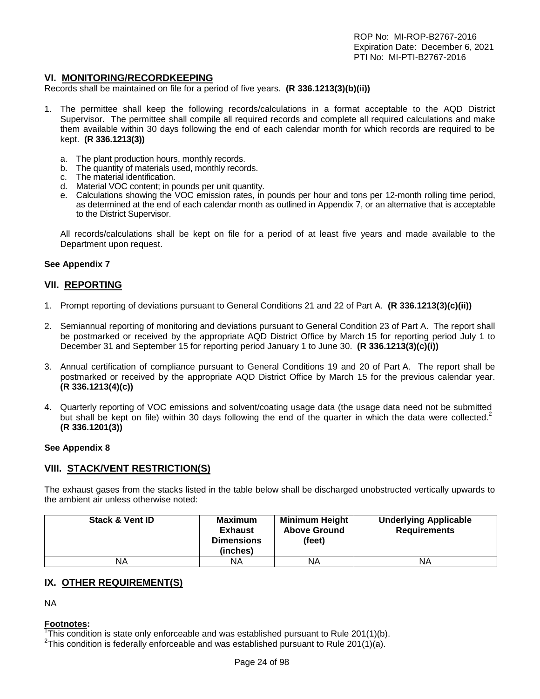#### **VI. MONITORING/RECORDKEEPING**

Records shall be maintained on file for a period of five years. **(R 336.1213(3)(b)(ii))**

- 1. The permittee shall keep the following records/calculations in a format acceptable to the AQD District Supervisor. The permittee shall compile all required records and complete all required calculations and make them available within 30 days following the end of each calendar month for which records are required to be kept. **(R 336.1213(3))**
	- a. The plant production hours, monthly records.
	- b. The quantity of materials used, monthly records.
	- c. The material identification.
	- d. Material VOC content; in pounds per unit quantity.
	- e. Calculations showing the VOC emission rates, in pounds per hour and tons per 12-month rolling time period, as determined at the end of each calendar month as outlined in Appendix 7, or an alternative that is acceptable to the District Supervisor.

All records/calculations shall be kept on file for a period of at least five years and made available to the Department upon request.

#### **See Appendix 7**

#### **VII. REPORTING**

- 1. Prompt reporting of deviations pursuant to General Conditions 21 and 22 of Part A. **(R 336.1213(3)(c)(ii))**
- 2. Semiannual reporting of monitoring and deviations pursuant to General Condition 23 of Part A. The report shall be postmarked or received by the appropriate AQD District Office by March 15 for reporting period July 1 to December 31 and September 15 for reporting period January 1 to June 30. **(R 336.1213(3)(c)(i))**
- 3. Annual certification of compliance pursuant to General Conditions 19 and 20 of Part A. The report shall be postmarked or received by the appropriate AQD District Office by March 15 for the previous calendar year. **(R 336.1213(4)(c))**
- 4. Quarterly reporting of VOC emissions and solvent/coating usage data (the usage data need not be submitted but shall be kept on file) within 30 days following the end of the quarter in which the data were collected. $2$ **(R 336.1201(3))**

#### **See Appendix 8**

#### **VIII. STACK/VENT RESTRICTION(S)**

The exhaust gases from the stacks listed in the table below shall be discharged unobstructed vertically upwards to the ambient air unless otherwise noted:

| <b>Stack &amp; Vent ID</b> | <b>Maximum</b><br><b>Exhaust</b><br><b>Dimensions</b><br>(inches) | <b>Minimum Height</b><br><b>Above Ground</b><br>(feet) | <b>Underlying Applicable</b><br><b>Requirements</b> |
|----------------------------|-------------------------------------------------------------------|--------------------------------------------------------|-----------------------------------------------------|
| ΝA                         | ΝA                                                                | ΝA                                                     | ΝA                                                  |

#### **IX. OTHER REQUIREMENT(S)**

NA

#### **Footnotes:**

<sup>1</sup>This condition is state only enforceable and was established pursuant to Rule 201(1)(b).<br><sup>2</sup>This condition is foderally enforceable and was established pursuant to Rule 201(1)(c).

<sup>2</sup>This condition is federally enforceable and was established pursuant to Rule 201(1)(a).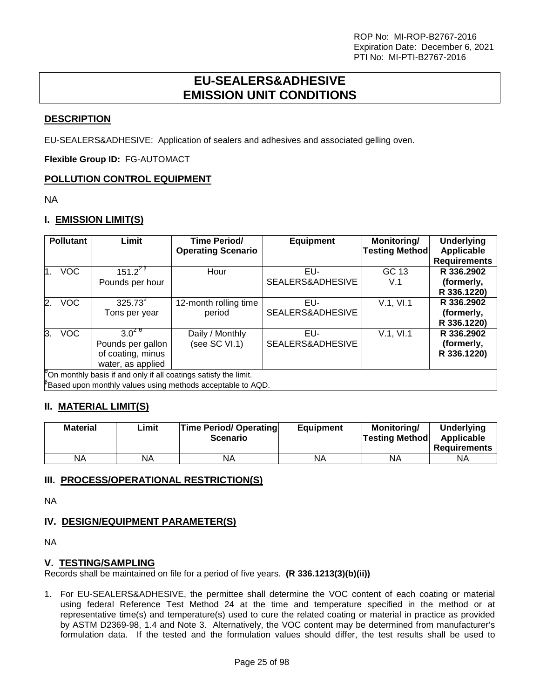## **EU-SEALERS&ADHESIVE EMISSION UNIT CONDITIONS**

## <span id="page-24-0"></span>**DESCRIPTION**

EU-SEALERS&ADHESIVE: Application of sealers and adhesives and associated gelling oven.

**Flexible Group ID:** FG-AUTOMACT

## **POLLUTION CONTROL EQUIPMENT**

NA

## **I. EMISSION LIMIT(S)**

|                | <b>Pollutant</b> | Limit             | <b>Time Period/</b><br><b>Operating Scenario</b>                   | <b>Equipment</b> | Monitoring/<br><b>Testing Method</b> | <b>Underlying</b><br>Applicable |
|----------------|------------------|-------------------|--------------------------------------------------------------------|------------------|--------------------------------------|---------------------------------|
|                |                  |                   |                                                                    |                  |                                      | <b>Requirements</b>             |
| $\mathbf{1}$ . | <b>VOC</b>       | $151.2^{28}$      | Hour                                                               | EU-              | GC 13                                | R 336,2902                      |
|                |                  | Pounds per hour   |                                                                    | SEALERS&ADHESIVE | V.1                                  | (formerly,                      |
|                |                  |                   |                                                                    |                  |                                      | R 336.1220)                     |
| 2.             | <b>VOC</b>       | $325.73^{2}$      | 12-month rolling time                                              | EU-              | V.1, VI.1                            | R 336,2902                      |
|                |                  | Tons per year     | period                                                             | SEALERS&ADHESIVE |                                      | (formerly,                      |
|                |                  |                   |                                                                    |                  |                                      | R 336.1220)                     |
| 3.             | <b>VOC</b>       | $3.0^{29}$        | Daily / Monthly                                                    | EU-              | V.1, VI.1                            | R 336.2902                      |
|                |                  | Pounds per gallon | (see SC VI.1)                                                      | SEALERS&ADHESIVE |                                      | (formerly,                      |
|                |                  | of coating, minus |                                                                    |                  |                                      | R 336.1220)                     |
|                |                  | water, as applied |                                                                    |                  |                                      |                                 |
|                |                  |                   | On monthly basis if and only if all coatings satisfy the limit.    |                  |                                      |                                 |
|                |                  |                   | $\beta$ Based upon monthly values using methods acceptable to AQD. |                  |                                      |                                 |

## **II. MATERIAL LIMIT(S)**

| <b>Material</b> | Limit | <b>Time Period/ Operating</b><br><b>Scenario</b> | <b>Equipment</b> | Monitorina/<br> Testina Method | Underlying<br>Applicable<br>Requirements |
|-----------------|-------|--------------------------------------------------|------------------|--------------------------------|------------------------------------------|
| ΝA              | ΝA    | NA                                               | NA               | ΝA                             | NA                                       |

## **III. PROCESS/OPERATIONAL RESTRICTION(S)**

NA

## **IV. DESIGN/EQUIPMENT PARAMETER(S)**

NA

#### **V. TESTING/SAMPLING**

Records shall be maintained on file for a period of five years. **(R 336.1213(3)(b)(ii))**

1. For EU-SEALERS&ADHESIVE, the permittee shall determine the VOC content of each coating or material using federal Reference Test Method 24 at the time and temperature specified in the method or at representative time(s) and temperature(s) used to cure the related coating or material in practice as provided by ASTM D2369-98, 1.4 and Note 3. Alternatively, the VOC content may be determined from manufacturer's formulation data. If the tested and the formulation values should differ, the test results shall be used to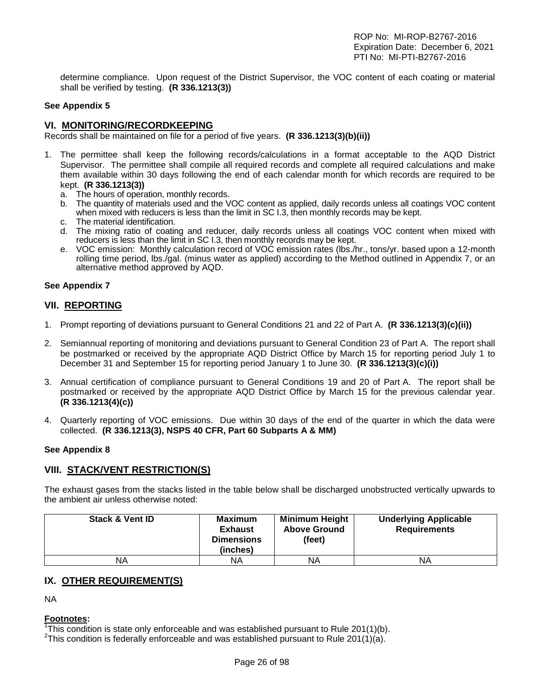determine compliance. Upon request of the District Supervisor, the VOC content of each coating or material shall be verified by testing. **(R 336.1213(3))**

#### **See Appendix 5**

#### **VI. MONITORING/RECORDKEEPING**

Records shall be maintained on file for a period of five years. **(R 336.1213(3)(b)(ii))**

- 1. The permittee shall keep the following records/calculations in a format acceptable to the AQD District Supervisor. The permittee shall compile all required records and complete all required calculations and make them available within 30 days following the end of each calendar month for which records are required to be kept. **(R 336.1213(3))**
	- a. The hours of operation, monthly records.
	- b. The quantity of materials used and the VOC content as applied, daily records unless all coatings VOC content when mixed with reducers is less than the limit in SC I.3, then monthly records may be kept.
	- c. The material identification.
	- d. The mixing ratio of coating and reducer, daily records unless all coatings VOC content when mixed with reducers is less than the limit in SC I.3, then monthly records may be kept.
	- e. VOC emission: Monthly calculation record of VOC emission rates (lbs./hr., tons/yr. based upon a 12-month rolling time period, lbs./gal. (minus water as applied) according to the Method outlined in Appendix 7, or an alternative method approved by AQD.

#### **See Appendix 7**

#### **VII. REPORTING**

- 1. Prompt reporting of deviations pursuant to General Conditions 21 and 22 of Part A. **(R 336.1213(3)(c)(ii))**
- 2. Semiannual reporting of monitoring and deviations pursuant to General Condition 23 of Part A. The report shall be postmarked or received by the appropriate AQD District Office by March 15 for reporting period July 1 to December 31 and September 15 for reporting period January 1 to June 30. **(R 336.1213(3)(c)(i))**
- 3. Annual certification of compliance pursuant to General Conditions 19 and 20 of Part A. The report shall be postmarked or received by the appropriate AQD District Office by March 15 for the previous calendar year. **(R 336.1213(4)(c))**
- 4. Quarterly reporting of VOC emissions. Due within 30 days of the end of the quarter in which the data were collected. **(R 336.1213(3), NSPS 40 CFR, Part 60 Subparts A & MM)**

#### **See Appendix 8**

#### **VIII. STACK/VENT RESTRICTION(S)**

The exhaust gases from the stacks listed in the table below shall be discharged unobstructed vertically upwards to the ambient air unless otherwise noted:

| <b>Stack &amp; Vent ID</b> | <b>Maximum</b><br><b>Exhaust</b><br><b>Dimensions</b><br>(inches) | <b>Minimum Height</b><br><b>Above Ground</b><br>(feet) | <b>Underlying Applicable</b><br><b>Requirements</b> |
|----------------------------|-------------------------------------------------------------------|--------------------------------------------------------|-----------------------------------------------------|
| ΝA                         | ΝA                                                                | ΝA                                                     | ΝA                                                  |

#### **IX. OTHER REQUIREMENT(S)**

NA

#### **Footnotes:**

<sup>1</sup>This condition is state only enforceable and was established pursuant to Rule 201(1)(b).<br><sup>2</sup>This condition is foderally enforceable and was established pursuant to Rule 201(1)(c).

<sup>2</sup>This condition is federally enforceable and was established pursuant to Rule 201(1)(a).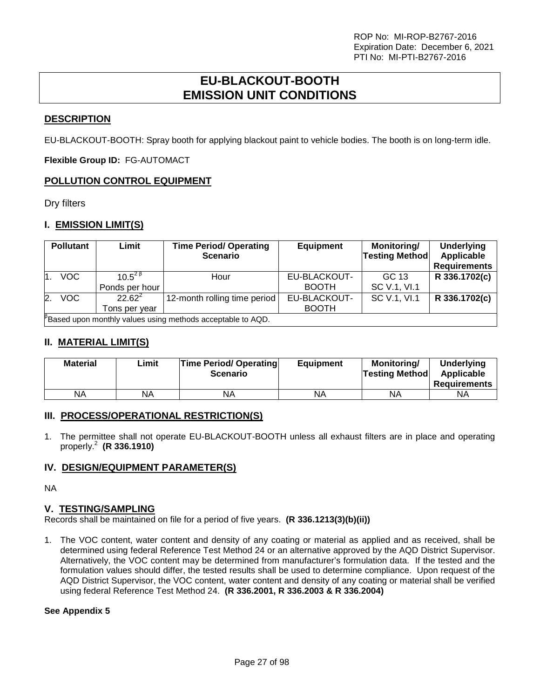## **EU-BLACKOUT-BOOTH EMISSION UNIT CONDITIONS**

## <span id="page-26-0"></span>**DESCRIPTION**

EU-BLACKOUT-BOOTH: Spray booth for applying blackout paint to vehicle bodies. The booth is on long-term idle.

**Flexible Group ID:** FG-AUTOMACT

## **POLLUTION CONTROL EQUIPMENT**

Dry filters

## **I. EMISSION LIMIT(S)**

|    | <b>Pollutant</b>                                           | Limit                                                  | <b>Time Period/ Operating</b><br><b>Scenario</b> | <b>Equipment</b>             | Monitoring/<br><b>Testing Method</b> | <b>Underlying</b><br>Applicable<br><b>Requirements</b> |  |
|----|------------------------------------------------------------|--------------------------------------------------------|--------------------------------------------------|------------------------------|--------------------------------------|--------------------------------------------------------|--|
|    | <b>VOC</b>                                                 | 10 5 <sup>2 <math>\beta</math></sup><br>Ponds per hour | Hour                                             | EU-BLACKOUT-<br><b>BOOTH</b> | GC 13<br>SC V.1, VI.1                | R 336.1702(c)                                          |  |
| 2. | VOC                                                        | $22.62^2$<br>Tons per vear                             | 12-month rolling time period                     | EU-BLACKOUT-<br><b>BOOTH</b> | SC V.1, VI.1                         | R 336.1702(c)                                          |  |
|    | Based upon monthly values using methods acceptable to AQD. |                                                        |                                                  |                              |                                      |                                                        |  |

## **II. MATERIAL LIMIT(S)**

| <b>Material</b> | Limit | <b>Time Period/ Operating</b><br><b>Scenario</b> | <b>Equipment</b> | Monitorina/<br> Testing Method | Underlying<br>Applicable<br><b>Requirements</b> |
|-----------------|-------|--------------------------------------------------|------------------|--------------------------------|-------------------------------------------------|
| ΝA              | ΝA    | ΝA                                               | NA               | ΝA                             | ΝA                                              |

#### **III. PROCESS/OPERATIONAL RESTRICTION(S)**

1. The permittee shall not operate EU-BLACKOUT-BOOTH unless all exhaust filters are in place and operating properly.<sup>2</sup> **(R 336.1910)**

#### **IV. DESIGN/EQUIPMENT PARAMETER(S)**

NA

#### **V. TESTING/SAMPLING**

Records shall be maintained on file for a period of five years. **(R 336.1213(3)(b)(ii))**

1. The VOC content, water content and density of any coating or material as applied and as received, shall be determined using federal Reference Test Method 24 or an alternative approved by the AQD District Supervisor. Alternatively, the VOC content may be determined from manufacturer's formulation data. If the tested and the formulation values should differ, the tested results shall be used to determine compliance. Upon request of the AQD District Supervisor, the VOC content, water content and density of any coating or material shall be verified using federal Reference Test Method 24. **(R 336.2001, R 336.2003 & R 336.2004)**

#### **See Appendix 5**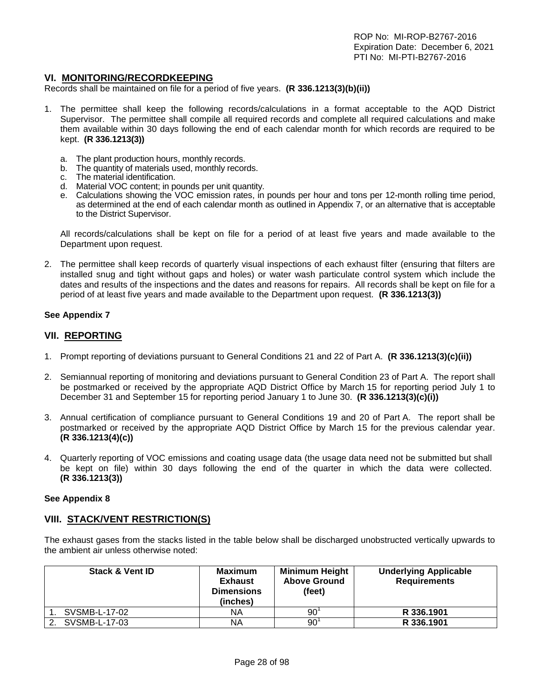## **VI. MONITORING/RECORDKEEPING**

Records shall be maintained on file for a period of five years. **(R 336.1213(3)(b)(ii))**

- 1. The permittee shall keep the following records/calculations in a format acceptable to the AQD District Supervisor. The permittee shall compile all required records and complete all required calculations and make them available within 30 days following the end of each calendar month for which records are required to be kept. **(R 336.1213(3))**
	- a. The plant production hours, monthly records.
	- b. The quantity of materials used, monthly records.
	- c. The material identification.
	- d. Material VOC content; in pounds per unit quantity.
	- e. Calculations showing the VOC emission rates, in pounds per hour and tons per 12-month rolling time period, as determined at the end of each calendar month as outlined in Appendix 7, or an alternative that is acceptable to the District Supervisor.

All records/calculations shall be kept on file for a period of at least five years and made available to the Department upon request.

2. The permittee shall keep records of quarterly visual inspections of each exhaust filter (ensuring that filters are installed snug and tight without gaps and holes) or water wash particulate control system which include the dates and results of the inspections and the dates and reasons for repairs. All records shall be kept on file for a period of at least five years and made available to the Department upon request. **(R 336.1213(3))**

#### **See Appendix 7**

#### **VII. REPORTING**

- 1. Prompt reporting of deviations pursuant to General Conditions 21 and 22 of Part A. **(R 336.1213(3)(c)(ii))**
- 2. Semiannual reporting of monitoring and deviations pursuant to General Condition 23 of Part A. The report shall be postmarked or received by the appropriate AQD District Office by March 15 for reporting period July 1 to December 31 and September 15 for reporting period January 1 to June 30. **(R 336.1213(3)(c)(i))**
- 3. Annual certification of compliance pursuant to General Conditions 19 and 20 of Part A. The report shall be postmarked or received by the appropriate AQD District Office by March 15 for the previous calendar year. **(R 336.1213(4)(c))**
- 4. Quarterly reporting of VOC emissions and coating usage data (the usage data need not be submitted but shall be kept on file) within 30 days following the end of the quarter in which the data were collected. **(R 336.1213(3))**

#### **See Appendix 8**

#### **VIII. STACK/VENT RESTRICTION(S)**

The exhaust gases from the stacks listed in the table below shall be discharged unobstructed vertically upwards to the ambient air unless otherwise noted:

| <b>Stack &amp; Vent ID</b> | <b>Maximum</b><br><b>Exhaust</b><br><b>Dimensions</b><br>(inches) | <b>Minimum Height</b><br><b>Above Ground</b><br>(feet) | <b>Underlying Applicable</b><br><b>Requirements</b> |
|----------------------------|-------------------------------------------------------------------|--------------------------------------------------------|-----------------------------------------------------|
| SVSMB-L-17-02              | NA                                                                | 90                                                     | R 336.1901                                          |
| SVSMB-L-17-03              | NA                                                                | 90                                                     | R 336.1901                                          |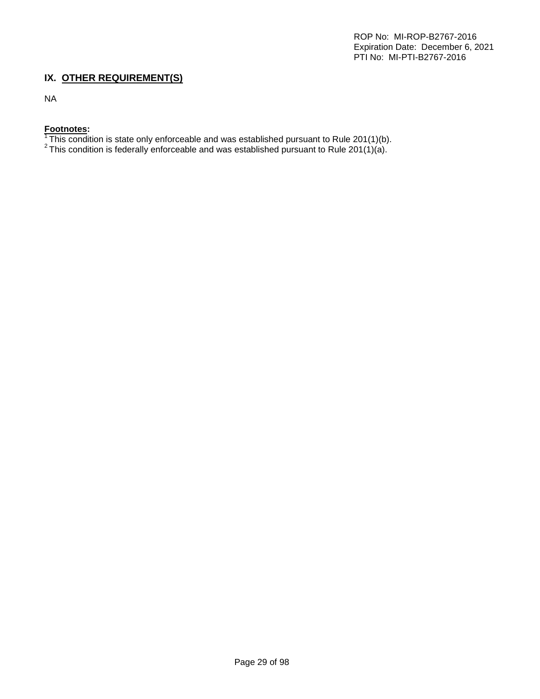## **IX. OTHER REQUIREMENT(S)**

NA

## **Footnotes:**

 $^1$ This condition is state only enforceable and was established pursuant to Rule 201(1)(b).<br><sup>2</sup> This condition is federally enforceable and was established pursuant to Rule 201(1)(a).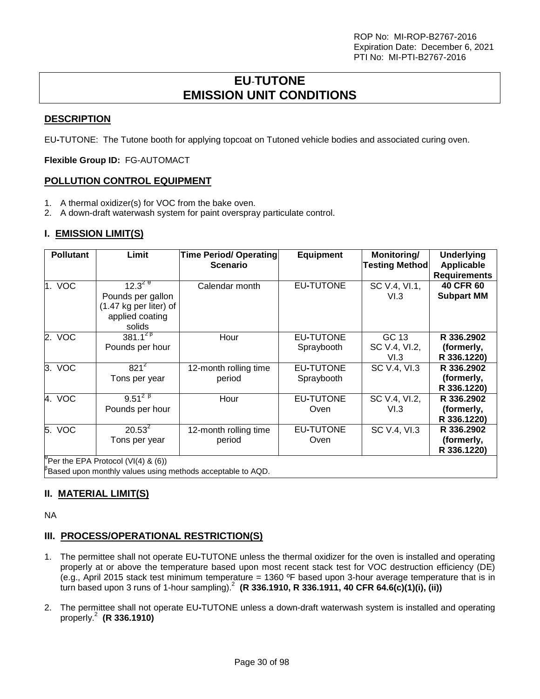## **EU**-**TUTONE EMISSION UNIT CONDITIONS**

## <span id="page-29-0"></span>**DESCRIPTION**

EU**-**TUTONE: The Tutone booth for applying topcoat on Tutoned vehicle bodies and associated curing oven.

**Flexible Group ID:** FG-AUTOMACT

## **POLLUTION CONTROL EQUIPMENT**

- 1. A thermal oxidizer(s) for VOC from the bake oven.
- 2. A down-draft waterwash system for paint overspray particulate control.

## **I. EMISSION LIMIT(S)**

| <b>Pollutant</b> | Limit                                                                                   | <b>Time Period/ Operating</b><br><b>Scenario</b> | <b>Equipment</b>        | Monitoring/<br><b>Testing Method</b> | <b>Underlying</b><br><b>Applicable</b><br><b>Requirements</b> |
|------------------|-----------------------------------------------------------------------------------------|--------------------------------------------------|-------------------------|--------------------------------------|---------------------------------------------------------------|
| 1. VOC           | $12.3^{29}$<br>Pounds per gallon<br>(1.47 kg per liter) of<br>applied coating<br>solids | Calendar month                                   | EU-TUTONE               | SC V.4, VI.1,<br>VI.3                | <b>40 CFR 60</b><br><b>Subpart MM</b>                         |
| 2. VOC           | $381.1^{28}$<br>Pounds per hour                                                         | Hour                                             | EU-TUTONE<br>Spraybooth | GC 13<br>SC V.4, VI.2,<br>VI.3       | R 336.2902<br>(formerly,<br>R 336.1220)                       |
| 3. VOC           | $821^2$<br>Tons per year                                                                | 12-month rolling time<br>period                  | EU-TUTONE<br>Spraybooth | SC V.4, VI.3                         | R 336.2902<br>(formerly,<br>R 336.1220)                       |
| 4. VOC           | $9.51^{2}$ $\frac{8}{1}$<br>Pounds per hour                                             | Hour                                             | EU-TUTONE<br>Oven       | SC V.4, VI.2,<br>VI.3                | R 336.2902<br>(formerly,<br>R 336.1220)                       |
| 5. VOC           | $20.53^2$<br>Tons per year                                                              | 12-month rolling time<br>period                  | EU-TUTONE<br>Oven       | SC V.4, VI.3                         | R 336.2902<br>(formerly,<br>R 336.1220)                       |
|                  | Per the EPA Protocol $(VI(4)$ & $(6))$                                                  |                                                  |                         |                                      |                                                               |

 $\mathrm{^{β}}$ Based upon monthly values using methods acceptable to AQD.

## **II. MATERIAL LIMIT(S)**

NA

## **III. PROCESS/OPERATIONAL RESTRICTION(S)**

- 1. The permittee shall not operate EU**-**TUTONE unless the thermal oxidizer for the oven is installed and operating properly at or above the temperature based upon most recent stack test for VOC destruction efficiency (DE) (e.g., April 2015 stack test minimum temperature = 1360 ºF based upon 3-hour average temperature that is in turn based upon 3 runs of 1-hour sampling).<sup>2</sup> **(R 336.1910, R 336.1911, 40 CFR 64.6(c)(1)(i), (ii))**
- 2. The permittee shall not operate EU**-**TUTONE unless a down-draft waterwash system is installed and operating properly.<sup>2</sup> **(R 336.1910)**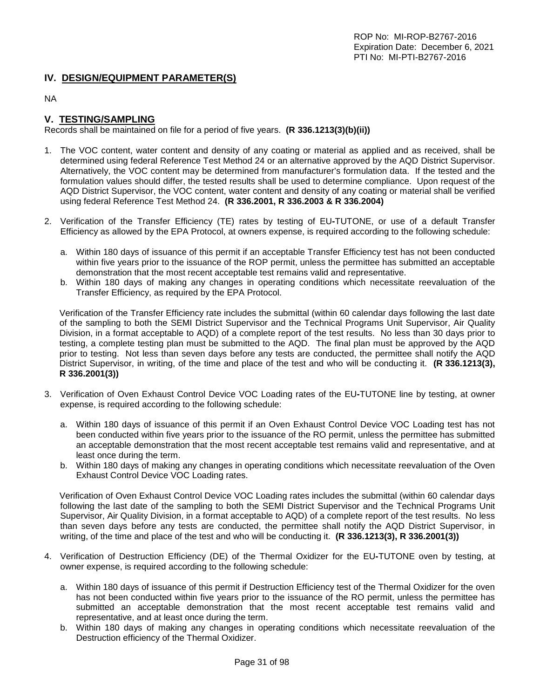### **IV. DESIGN/EQUIPMENT PARAMETER(S)**

NA

## **V. TESTING/SAMPLING**

Records shall be maintained on file for a period of five years. **(R 336.1213(3)(b)(ii))**

- 1. The VOC content, water content and density of any coating or material as applied and as received, shall be determined using federal Reference Test Method 24 or an alternative approved by the AQD District Supervisor. Alternatively, the VOC content may be determined from manufacturer's formulation data. If the tested and the formulation values should differ, the tested results shall be used to determine compliance. Upon request of the AQD District Supervisor, the VOC content, water content and density of any coating or material shall be verified using federal Reference Test Method 24. **(R 336.2001, R 336.2003 & R 336.2004)**
- 2. Verification of the Transfer Efficiency (TE) rates by testing of EU**-**TUTONE, or use of a default Transfer Efficiency as allowed by the EPA Protocol, at owners expense, is required according to the following schedule:
	- a. Within 180 days of issuance of this permit if an acceptable Transfer Efficiency test has not been conducted within five years prior to the issuance of the ROP permit, unless the permittee has submitted an acceptable demonstration that the most recent acceptable test remains valid and representative.
	- b. Within 180 days of making any changes in operating conditions which necessitate reevaluation of the Transfer Efficiency, as required by the EPA Protocol.

Verification of the Transfer Efficiency rate includes the submittal (within 60 calendar days following the last date of the sampling to both the SEMI District Supervisor and the Technical Programs Unit Supervisor, Air Quality Division, in a format acceptable to AQD) of a complete report of the test results. No less than 30 days prior to testing, a complete testing plan must be submitted to the AQD. The final plan must be approved by the AQD prior to testing. Not less than seven days before any tests are conducted, the permittee shall notify the AQD District Supervisor, in writing, of the time and place of the test and who will be conducting it. **(R 336.1213(3), R 336.2001(3))**

- 3. Verification of Oven Exhaust Control Device VOC Loading rates of the EU**-**TUTONE line by testing, at owner expense, is required according to the following schedule:
	- a. Within 180 days of issuance of this permit if an Oven Exhaust Control Device VOC Loading test has not been conducted within five years prior to the issuance of the RO permit, unless the permittee has submitted an acceptable demonstration that the most recent acceptable test remains valid and representative, and at least once during the term.
	- b. Within 180 days of making any changes in operating conditions which necessitate reevaluation of the Oven Exhaust Control Device VOC Loading rates.

Verification of Oven Exhaust Control Device VOC Loading rates includes the submittal (within 60 calendar days following the last date of the sampling to both the SEMI District Supervisor and the Technical Programs Unit Supervisor, Air Quality Division, in a format acceptable to AQD) of a complete report of the test results. No less than seven days before any tests are conducted, the permittee shall notify the AQD District Supervisor, in writing, of the time and place of the test and who will be conducting it. **(R 336.1213(3), R 336.2001(3))**

- 4. Verification of Destruction Efficiency (DE) of the Thermal Oxidizer for the EU**-**TUTONE oven by testing, at owner expense, is required according to the following schedule:
	- a. Within 180 days of issuance of this permit if Destruction Efficiency test of the Thermal Oxidizer for the oven has not been conducted within five years prior to the issuance of the RO permit, unless the permittee has submitted an acceptable demonstration that the most recent acceptable test remains valid and representative, and at least once during the term.
	- b. Within 180 days of making any changes in operating conditions which necessitate reevaluation of the Destruction efficiency of the Thermal Oxidizer.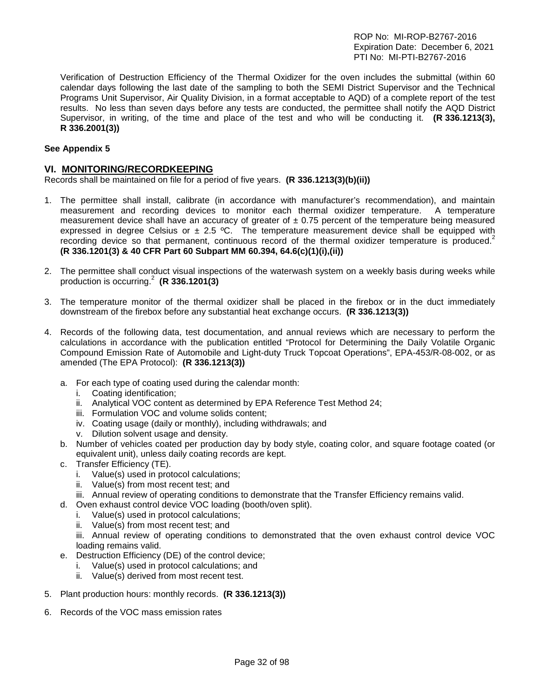Verification of Destruction Efficiency of the Thermal Oxidizer for the oven includes the submittal (within 60 calendar days following the last date of the sampling to both the SEMI District Supervisor and the Technical Programs Unit Supervisor, Air Quality Division, in a format acceptable to AQD) of a complete report of the test results. No less than seven days before any tests are conducted, the permittee shall notify the AQD District Supervisor, in writing, of the time and place of the test and who will be conducting it. **(R 336.1213(3), R 336.2001(3))**

#### **See Appendix 5**

#### **VI. MONITORING/RECORDKEEPING**

Records shall be maintained on file for a period of five years. **(R 336.1213(3)(b)(ii))**

- 1. The permittee shall install, calibrate (in accordance with manufacturer's recommendation), and maintain measurement and recording devices to monitor each thermal oxidizer temperature. A temperature measurement device shall have an accuracy of greater of  $\pm$  0.75 percent of the temperature being measured expressed in degree Celsius or  $\pm$  2.5 °C. The temperature measurement device shall be equipped with recording device so that permanent, continuous record of the thermal oxidizer temperature is produced.<sup>2</sup> **(R 336.1201(3) & 40 CFR Part 60 Subpart MM 60.394, 64.6(c)(1)(i),(ii))**
- 2. The permittee shall conduct visual inspections of the waterwash system on a weekly basis during weeks while production is occurring.<sup>2</sup> **(R 336.1201(3)**
- 3. The temperature monitor of the thermal oxidizer shall be placed in the firebox or in the duct immediately downstream of the firebox before any substantial heat exchange occurs. **(R 336.1213(3))**
- 4. Records of the following data, test documentation, and annual reviews which are necessary to perform the calculations in accordance with the publication entitled "Protocol for Determining the Daily Volatile Organic Compound Emission Rate of Automobile and Light-duty Truck Topcoat Operations", EPA-453/R-08-002, or as amended (The EPA Protocol): **(R 336.1213(3))**
	- a. For each type of coating used during the calendar month:
		- i. Coating identification;
		- ii. Analytical VOC content as determined by EPA Reference Test Method 24;
		- iii. Formulation VOC and volume solids content;
		- iv. Coating usage (daily or monthly), including withdrawals; and
		- v. Dilution solvent usage and density.
	- b. Number of vehicles coated per production day by body style, coating color, and square footage coated (or equivalent unit), unless daily coating records are kept.
	- c. Transfer Efficiency (TE).
		- i. Value(s) used in protocol calculations;
		- ii. Value(s) from most recent test; and
	- iii. Annual review of operating conditions to demonstrate that the Transfer Efficiency remains valid.
	- d. Oven exhaust control device VOC loading (booth/oven split).
		- i. Value(s) used in protocol calculations;
		- ii. Value(s) from most recent test; and
		- iii. Annual review of operating conditions to demonstrated that the oven exhaust control device VOC loading remains valid.
	- e. Destruction Efficiency (DE) of the control device;
		- i. Value(s) used in protocol calculations; and
		- ii. Value(s) derived from most recent test.
- 5. Plant production hours: monthly records. **(R 336.1213(3))**
- 6. Records of the VOC mass emission rates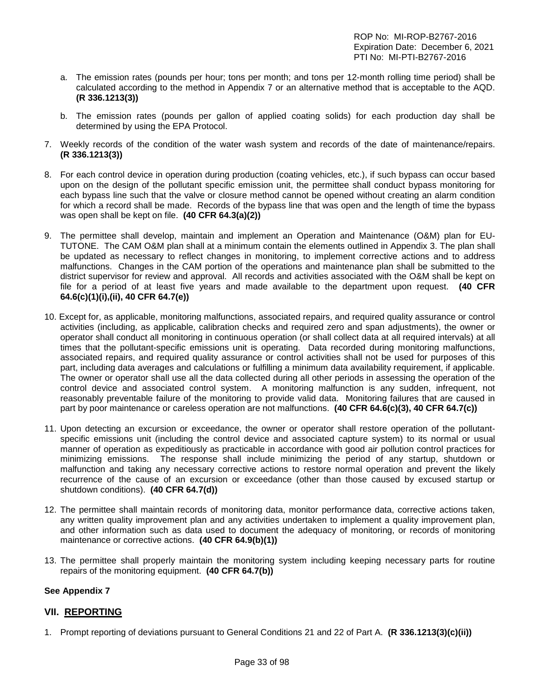- a. The emission rates (pounds per hour; tons per month; and tons per 12-month rolling time period) shall be calculated according to the method in Appendix 7 or an alternative method that is acceptable to the AQD. **(R 336.1213(3))**
- b. The emission rates (pounds per gallon of applied coating solids) for each production day shall be determined by using the EPA Protocol.
- 7. Weekly records of the condition of the water wash system and records of the date of maintenance/repairs. **(R 336.1213(3))**
- 8. For each control device in operation during production (coating vehicles, etc.), if such bypass can occur based upon on the design of the pollutant specific emission unit, the permittee shall conduct bypass monitoring for each bypass line such that the valve or closure method cannot be opened without creating an alarm condition for which a record shall be made. Records of the bypass line that was open and the length of time the bypass was open shall be kept on file. **(40 CFR 64.3(a)(2))**
- 9. The permittee shall develop, maintain and implement an Operation and Maintenance (O&M) plan for EU-TUTONE. The CAM O&M plan shall at a minimum contain the elements outlined in Appendix 3. The plan shall be updated as necessary to reflect changes in monitoring, to implement corrective actions and to address malfunctions. Changes in the CAM portion of the operations and maintenance plan shall be submitted to the district supervisor for review and approval. All records and activities associated with the O&M shall be kept on file for a period of at least five years and made available to the department upon request. **(40 CFR 64.6(c)(1)(i),(ii), 40 CFR 64.7(e))**
- 10. Except for, as applicable, monitoring malfunctions, associated repairs, and required quality assurance or control activities (including, as applicable, calibration checks and required zero and span adjustments), the owner or operator shall conduct all monitoring in continuous operation (or shall collect data at all required intervals) at all times that the pollutant-specific emissions unit is operating. Data recorded during monitoring malfunctions, associated repairs, and required quality assurance or control activities shall not be used for purposes of this part, including data averages and calculations or fulfilling a minimum data availability requirement, if applicable. The owner or operator shall use all the data collected during all other periods in assessing the operation of the control device and associated control system. A monitoring malfunction is any sudden, infrequent, not reasonably preventable failure of the monitoring to provide valid data. Monitoring failures that are caused in part by poor maintenance or careless operation are not malfunctions. **(40 CFR 64.6(c)(3), 40 CFR 64.7(c))**
- 11. Upon detecting an excursion or exceedance, the owner or operator shall restore operation of the pollutantspecific emissions unit (including the control device and associated capture system) to its normal or usual manner of operation as expeditiously as practicable in accordance with good air pollution control practices for minimizing emissions. The response shall include minimizing the period of any startup, shutdown or malfunction and taking any necessary corrective actions to restore normal operation and prevent the likely recurrence of the cause of an excursion or exceedance (other than those caused by excused startup or shutdown conditions). **(40 CFR 64.7(d))**
- 12. The permittee shall maintain records of monitoring data, monitor performance data, corrective actions taken, any written quality improvement plan and any activities undertaken to implement a quality improvement plan, and other information such as data used to document the adequacy of monitoring, or records of monitoring maintenance or corrective actions. **(40 CFR 64.9(b)(1))**
- 13. The permittee shall properly maintain the monitoring system including keeping necessary parts for routine repairs of the monitoring equipment. **(40 CFR 64.7(b))**

#### **See Appendix 7**

#### **VII. REPORTING**

1. Prompt reporting of deviations pursuant to General Conditions 21 and 22 of Part A. **(R 336.1213(3)(c)(ii))**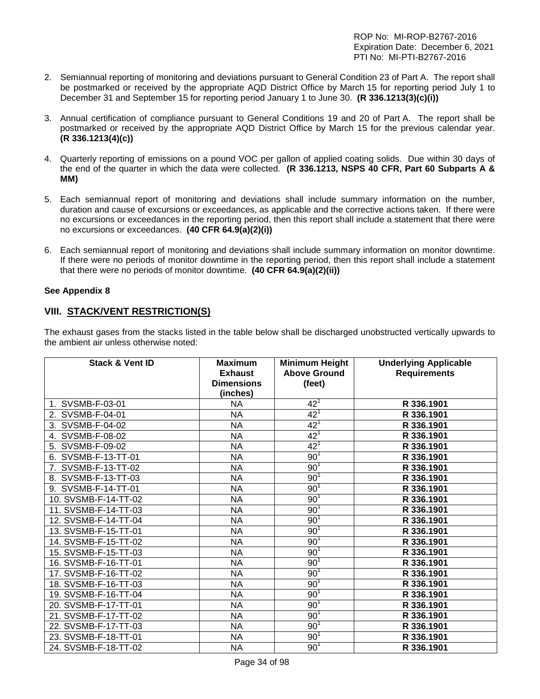- 2. Semiannual reporting of monitoring and deviations pursuant to General Condition 23 of Part A. The report shall be postmarked or received by the appropriate AQD District Office by March 15 for reporting period July 1 to December 31 and September 15 for reporting period January 1 to June 30. **(R 336.1213(3)(c)(i))**
- 3. Annual certification of compliance pursuant to General Conditions 19 and 20 of Part A. The report shall be postmarked or received by the appropriate AQD District Office by March 15 for the previous calendar year. **(R 336.1213(4)(c))**
- 4. Quarterly reporting of emissions on a pound VOC per gallon of applied coating solids. Due within 30 days of the end of the quarter in which the data were collected. **(R 336.1213, NSPS 40 CFR, Part 60 Subparts A & MM)**
- 5. Each semiannual report of monitoring and deviations shall include summary information on the number, duration and cause of excursions or exceedances, as applicable and the corrective actions taken. If there were no excursions or exceedances in the reporting period, then this report shall include a statement that there were no excursions or exceedances. **(40 CFR 64.9(a)(2)(i))**
- 6. Each semiannual report of monitoring and deviations shall include summary information on monitor downtime. If there were no periods of monitor downtime in the reporting period, then this report shall include a statement that there were no periods of monitor downtime. **(40 CFR 64.9(a)(2)(ii))**

#### **See Appendix 8**

## **VIII. STACK/VENT RESTRICTION(S)**

The exhaust gases from the stacks listed in the table below shall be discharged unobstructed vertically upwards to the ambient air unless otherwise noted:

| <b>Stack &amp; Vent ID</b> | <b>Maximum</b>    | <b>Minimum Height</b> | <b>Underlying Applicable</b> |
|----------------------------|-------------------|-----------------------|------------------------------|
|                            | <b>Exhaust</b>    | <b>Above Ground</b>   | <b>Requirements</b>          |
|                            | <b>Dimensions</b> | (feet)                |                              |
|                            | (inches)          |                       |                              |
| 1. SVSMB-F-03-01           | <b>NA</b>         | $42^{1}$              | R 336.1901                   |
| 2. SVSMB-F-04-01           | <b>NA</b>         | 42 <sup>1</sup>       | R 336.1901                   |
| 3. SVSMB-F-04-02           | <b>NA</b>         | $42^{1}$              | R 336.1901                   |
| 4. SVSMB-F-08-02           | <b>NA</b>         | 42 <sup>1</sup>       | R 336.1901                   |
| 5. SVSMB-F-09-02           | <b>NA</b>         | 42 <sup>1</sup>       | R 336.1901                   |
| 6. SVSMB-F-13-TT-01        | <b>NA</b>         | 90 <sup>1</sup>       | R 336.1901                   |
| 7. SVSMB-F-13-TT-02        | <b>NA</b>         | 90 <sup>1</sup>       | R 336.1901                   |
| 8. SVSMB-F-13-TT-03        | <b>NA</b>         | 90 <sup>1</sup>       | R 336.1901                   |
| 9. SVSMB-F-14-TT-01        | <b>NA</b>         | 90 <sup>1</sup>       | R 336.1901                   |
| 10. SVSMB-F-14-TT-02       | <b>NA</b>         | 90 <sup>1</sup>       | R 336.1901                   |
| 11. SVSMB-F-14-TT-03       | <b>NA</b>         | 90 <sup>1</sup>       | R 336.1901                   |
| 12. SVSMB-F-14-TT-04       | <b>NA</b>         | 90 <sup>1</sup>       | R 336.1901                   |
| 13. SVSMB-F-15-TT-01       | <b>NA</b>         | 90 <sup>1</sup>       | R 336.1901                   |
| 14. SVSMB-F-15-TT-02       | <b>NA</b>         | 90 <sup>1</sup>       | R 336.1901                   |
| 15. SVSMB-F-15-TT-03       | <b>NA</b>         | 90 <sup>1</sup>       | R 336.1901                   |
| 16. SVSMB-F-16-TT-01       | <b>NA</b>         | 90 <sup>1</sup>       | R 336.1901                   |
| 17. SVSMB-F-16-TT-02       | <b>NA</b>         | 90 <sup>1</sup>       | R 336.1901                   |
| 18. SVSMB-F-16-TT-03       | <b>NA</b>         | 90 <sup>1</sup>       | R 336.1901                   |
| 19. SVSMB-F-16-TT-04       | <b>NA</b>         | 90 <sup>1</sup>       | R 336.1901                   |
| 20. SVSMB-F-17-TT-01       | ΝA                | 90 <sup>1</sup>       | R 336.1901                   |
| 21. SVSMB-F-17-TT-02       | <b>NA</b>         | 90 <sup>1</sup>       | R 336.1901                   |
| 22. SVSMB-F-17-TT-03       | <b>NA</b>         | 90 <sup>1</sup>       | R 336.1901                   |
| 23. SVSMB-F-18-TT-01       | <b>NA</b>         | 90 <sup>1</sup>       | R 336.1901                   |
| 24. SVSMB-F-18-TT-02       | <b>NA</b>         | 90 <sup>1</sup>       | R 336.1901                   |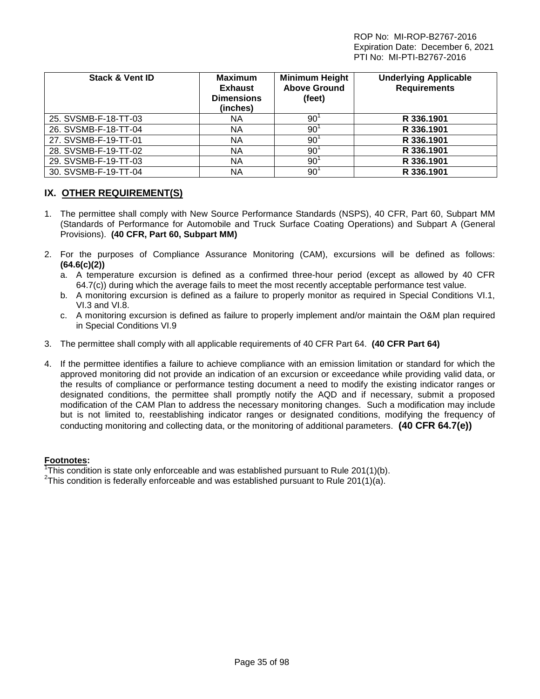| <b>Stack &amp; Vent ID</b> | <b>Maximum</b><br><b>Exhaust</b><br><b>Dimensions</b><br>(inches) | <b>Minimum Height</b><br><b>Above Ground</b><br>(feet) | <b>Underlying Applicable</b><br><b>Requirements</b> |
|----------------------------|-------------------------------------------------------------------|--------------------------------------------------------|-----------------------------------------------------|
| 25. SVSMB-F-18-TT-03       | NA.                                                               | 90                                                     | R 336.1901                                          |
| 26. SVSMB-F-18-TT-04       | NA.                                                               | 90                                                     | R 336.1901                                          |
| 27. SVSMB-F-19-TT-01       | NA.                                                               | 90 <sup>7</sup>                                        | R 336.1901                                          |
| 28. SVSMB-F-19-TT-02       | NA                                                                | 90 <sup>7</sup>                                        | R 336.1901                                          |
| 29. SVSMB-F-19-TT-03       | NA.                                                               | 90 <sup>°</sup>                                        | R 336.1901                                          |
| 30. SVSMB-F-19-TT-04       | NA                                                                | $90^{\circ}$                                           | R 336.1901                                          |

## **IX. OTHER REQUIREMENT(S)**

- 1. The permittee shall comply with New Source Performance Standards (NSPS), 40 CFR, Part 60, Subpart MM (Standards of Performance for Automobile and Truck Surface Coating Operations) and Subpart A (General Provisions). **(40 CFR, Part 60, Subpart MM)**
- 2. For the purposes of Compliance Assurance Monitoring (CAM), excursions will be defined as follows: **(64.6(c)(2))**
	- a. A temperature excursion is defined as a confirmed three-hour period (except as allowed by 40 CFR 64.7(c)) during which the average fails to meet the most recently acceptable performance test value.
	- b. A monitoring excursion is defined as a failure to properly monitor as required in Special Conditions VI.1, VI.3 and VI.8.
	- c. A monitoring excursion is defined as failure to properly implement and/or maintain the O&M plan required in Special Conditions VI.9
- 3. The permittee shall comply with all applicable requirements of 40 CFR Part 64. **(40 CFR Part 64)**
- 4. If the permittee identifies a failure to achieve compliance with an emission limitation or standard for which the approved monitoring did not provide an indication of an excursion or exceedance while providing valid data, or the results of compliance or performance testing document a need to modify the existing indicator ranges or designated conditions, the permittee shall promptly notify the AQD and if necessary, submit a proposed modification of the CAM Plan to address the necessary monitoring changes. Such a modification may include but is not limited to, reestablishing indicator ranges or designated conditions, modifying the frequency of conducting monitoring and collecting data, or the monitoring of additional parameters. **(40 CFR 64.7(e))**

#### **Footnotes:**

1 This condition is state only enforceable and was established pursuant to Rule 201(1)(b). <sup>2</sup>

<sup>2</sup>This condition is federally enforceable and was established pursuant to Rule 201(1)(a).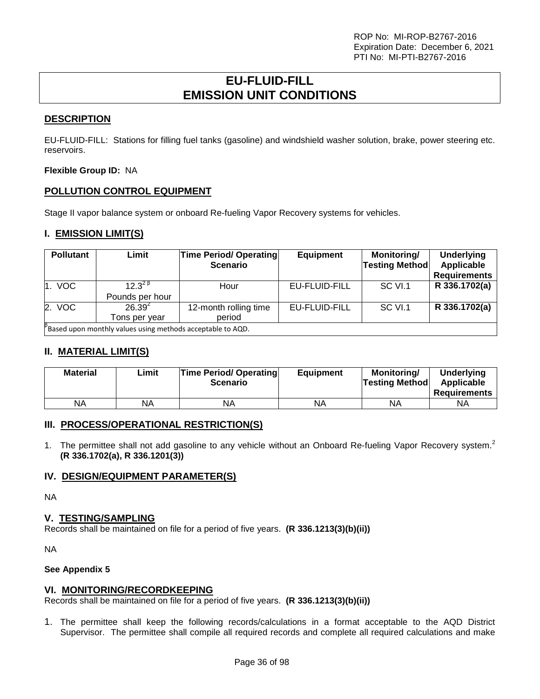## **EU-FLUID-FILL EMISSION UNIT CONDITIONS**

## <span id="page-35-0"></span>**DESCRIPTION**

EU-FLUID-FILL: Stations for filling fuel tanks (gasoline) and windshield washer solution, brake, power steering etc. reservoirs.

**Flexible Group ID:** NA

## **POLLUTION CONTROL EQUIPMENT**

Stage II vapor balance system or onboard Re-fueling Vapor Recovery systems for vehicles.

## **I. EMISSION LIMIT(S)**

| <b>Pollutant</b> | Limit                                                              | <b>Time Period/ Operating</b><br><b>Scenario</b> | <b>Equipment</b> | Monitoring/<br><b>Testing Method</b> | <b>Underlying</b><br>Applicable<br><b>Requirements</b> |
|------------------|--------------------------------------------------------------------|--------------------------------------------------|------------------|--------------------------------------|--------------------------------------------------------|
| 1. VOC           | $12.3^{28}$<br>Pounds per hour                                     | Hour                                             | EU-FLUID-FILL    | SC VI.1                              | R 336.1702(a)                                          |
| 2. VOC           | $26.39^{2}$<br>Tons per vear                                       | 12-month rolling time<br>period                  | EU-FLUID-FILL    | SC VI.1                              | R 336.1702(a)                                          |
|                  | $\beta$ Based upon monthly values using methods acceptable to AQD. |                                                  |                  |                                      |                                                        |

## **II. MATERIAL LIMIT(S)**

| <b>Material</b> | ∟imit | <b>Time Period/ Operating</b><br><b>Scenario</b> | <b>Equipment</b> | Monitoring/<br><b>Testing Method</b> | <b>Underlying</b><br>Applicable<br><b>Requirements</b> |
|-----------------|-------|--------------------------------------------------|------------------|--------------------------------------|--------------------------------------------------------|
| NA              | ΝA    | ΝA                                               | NA               | <b>NA</b>                            | <b>NA</b>                                              |

#### **III. PROCESS/OPERATIONAL RESTRICTION(S)**

1. The permittee shall not add gasoline to any vehicle without an Onboard Re-fueling Vapor Recovery system.<sup>2</sup> **(R 336.1702(a), R 336.1201(3))**

#### **IV. DESIGN/EQUIPMENT PARAMETER(S)**

NA

#### **V. TESTING/SAMPLING**

Records shall be maintained on file for a period of five years. **(R 336.1213(3)(b)(ii))**

NA

#### **See Appendix 5**

#### **VI. MONITORING/RECORDKEEPING**

Records shall be maintained on file for a period of five years. **(R 336.1213(3)(b)(ii))**

1. The permittee shall keep the following records/calculations in a format acceptable to the AQD District Supervisor. The permittee shall compile all required records and complete all required calculations and make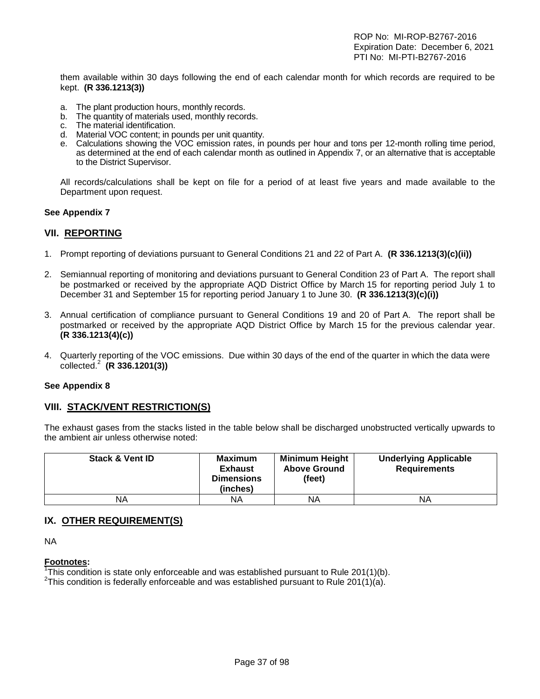them available within 30 days following the end of each calendar month for which records are required to be kept. **(R 336.1213(3))**

- a. The plant production hours, monthly records.
- b. The quantity of materials used, monthly records.
- c. The material identification.
- d. Material VOC content; in pounds per unit quantity.
- e. Calculations showing the VOC emission rates, in pounds per hour and tons per 12-month rolling time period, as determined at the end of each calendar month as outlined in Appendix 7, or an alternative that is acceptable to the District Supervisor.

All records/calculations shall be kept on file for a period of at least five years and made available to the Department upon request.

#### **See Appendix 7**

# **VII. REPORTING**

- 1. Prompt reporting of deviations pursuant to General Conditions 21 and 22 of Part A. **(R 336.1213(3)(c)(ii))**
- 2. Semiannual reporting of monitoring and deviations pursuant to General Condition 23 of Part A. The report shall be postmarked or received by the appropriate AQD District Office by March 15 for reporting period July 1 to December 31 and September 15 for reporting period January 1 to June 30. **(R 336.1213(3)(c)(i))**
- 3. Annual certification of compliance pursuant to General Conditions 19 and 20 of Part A. The report shall be postmarked or received by the appropriate AQD District Office by March 15 for the previous calendar year. **(R 336.1213(4)(c))**
- 4. Quarterly reporting of the VOC emissions. Due within 30 days of the end of the quarter in which the data were collected.<sup>2</sup> **(R 336.1201(3))**

#### **See Appendix 8**

# **VIII. STACK/VENT RESTRICTION(S)**

The exhaust gases from the stacks listed in the table below shall be discharged unobstructed vertically upwards to the ambient air unless otherwise noted:

| <b>Stack &amp; Vent ID</b> | <b>Maximum</b><br>Exhaust<br><b>Dimensions</b><br>(inches) | <b>Minimum Height</b><br><b>Above Ground</b><br>(feet) | <b>Underlying Applicable</b><br><b>Requirements</b> |
|----------------------------|------------------------------------------------------------|--------------------------------------------------------|-----------------------------------------------------|
| ΝA                         | ΝA                                                         | NA                                                     | ΝA                                                  |

# **IX. OTHER REQUIREMENT(S)**

NA

#### **Footnotes:**

<sup>1</sup>This condition is state only enforceable and was established pursuant to Rule 201(1)(b).<br><sup>2</sup>This condition is foderally enforceable and was established pursuant to Rule 201(1)(a).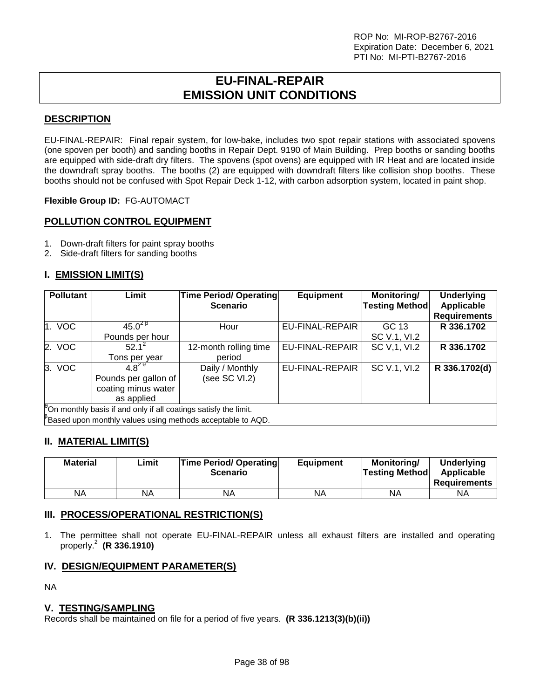# **EU-FINAL-REPAIR EMISSION UNIT CONDITIONS**

# **DESCRIPTION**

EU-FINAL-REPAIR: Final repair system, for low-bake, includes two spot repair stations with associated spovens (one spoven per booth) and sanding booths in Repair Dept. 9190 of Main Building. Prep booths or sanding booths are equipped with side-draft dry filters. The spovens (spot ovens) are equipped with IR Heat and are located inside the downdraft spray booths. The booths (2) are equipped with downdraft filters like collision shop booths. These booths should not be confused with Spot Repair Deck 1-12, with carbon adsorption system, located in paint shop.

**Flexible Group ID:** FG-AUTOMACT

# **POLLUTION CONTROL EQUIPMENT**

- 1. Down-draft filters for paint spray booths
- 2. Side-draft filters for sanding booths

# **I. EMISSION LIMIT(S)**

| <b>Pollutant</b> | Limit                                                           | <b>Time Period/ Operating</b><br><b>Scenario</b>           | <b>Equipment</b>       | Monitoring/<br><b>Testing Method</b> | <b>Underlying</b><br>Applicable |  |  |  |
|------------------|-----------------------------------------------------------------|------------------------------------------------------------|------------------------|--------------------------------------|---------------------------------|--|--|--|
|                  |                                                                 |                                                            |                        |                                      | <b>Requirements</b>             |  |  |  |
| 1. VOC           | $45.0^{2}$ <sup>B</sup>                                         | Hour                                                       | EU-FINAL-REPAIR        | GC 13                                | R 336.1702                      |  |  |  |
|                  | Pounds per hour                                                 |                                                            |                        | SC V.1, VI.2                         |                                 |  |  |  |
| 2. VOC           | $52.1^2$                                                        | 12-month rolling time                                      | <b>EU-FINAL-REPAIR</b> | SC V, 1, VI.2                        | R 336.1702                      |  |  |  |
|                  | Tons per year                                                   | period                                                     |                        |                                      |                                 |  |  |  |
| 3. VOC           | $4.8^{20}$                                                      | Daily / Monthly                                            | EU-FINAL-REPAIR        | SC V.1, VI.2                         | R 336.1702(d)                   |  |  |  |
|                  | Pounds per gallon of                                            | (see SC VI.2)                                              |                        |                                      |                                 |  |  |  |
|                  | coating minus water                                             |                                                            |                        |                                      |                                 |  |  |  |
|                  | as applied                                                      |                                                            |                        |                                      |                                 |  |  |  |
|                  | On monthly basis if and only if all coatings satisfy the limit. |                                                            |                        |                                      |                                 |  |  |  |
|                  |                                                                 | Based upon monthly values using methods acceptable to AQD. |                        |                                      |                                 |  |  |  |

# **II. MATERIAL LIMIT(S)**

| <b>Material</b> | Limit | <b>Time Period/ Operating</b><br><b>Scenario</b> | <b>Equipment</b> | Monitorina/<br><b>Testing Method</b> | <b>Underlying</b><br>Applicable<br><b>Requirements</b> |
|-----------------|-------|--------------------------------------------------|------------------|--------------------------------------|--------------------------------------------------------|
| NA              | NA    | <b>NA</b>                                        | NA               | ΝA                                   | ΝA                                                     |

# **III. PROCESS/OPERATIONAL RESTRICTION(S)**

1. The permittee shall not operate EU-FINAL-REPAIR unless all exhaust filters are installed and operating properly.<sup>2</sup> **(R 336.1910)**

# **IV. DESIGN/EQUIPMENT PARAMETER(S)**

NA

# **V. TESTING/SAMPLING**

Records shall be maintained on file for a period of five years. **(R 336.1213(3)(b)(ii))**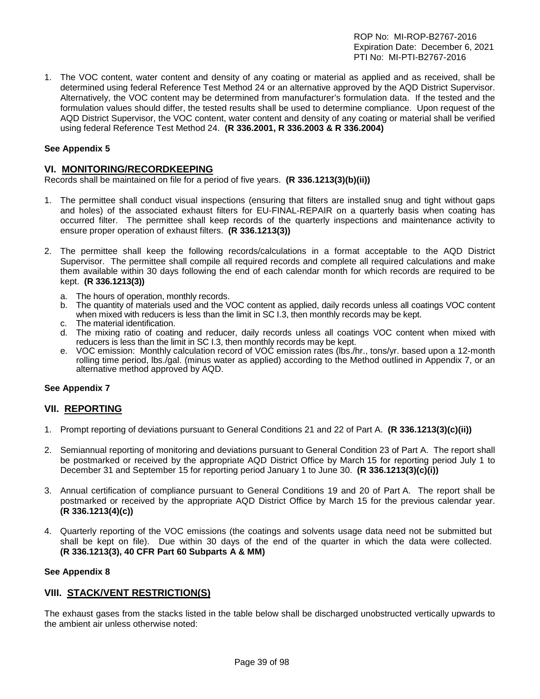1. The VOC content, water content and density of any coating or material as applied and as received, shall be determined using federal Reference Test Method 24 or an alternative approved by the AQD District Supervisor. Alternatively, the VOC content may be determined from manufacturer's formulation data. If the tested and the formulation values should differ, the tested results shall be used to determine compliance. Upon request of the AQD District Supervisor, the VOC content, water content and density of any coating or material shall be verified using federal Reference Test Method 24. **(R 336.2001, R 336.2003 & R 336.2004)**

#### **See Appendix 5**

#### **VI. MONITORING/RECORDKEEPING**

Records shall be maintained on file for a period of five years. **(R 336.1213(3)(b)(ii))**

- 1. The permittee shall conduct visual inspections (ensuring that filters are installed snug and tight without gaps and holes) of the associated exhaust filters for EU-FINAL-REPAIR on a quarterly basis when coating has occurred filter. The permittee shall keep records of the quarterly inspections and maintenance activity to ensure proper operation of exhaust filters. **(R 336.1213(3))**
- 2. The permittee shall keep the following records/calculations in a format acceptable to the AQD District Supervisor. The permittee shall compile all required records and complete all required calculations and make them available within 30 days following the end of each calendar month for which records are required to be kept. **(R 336.1213(3))**
	- a. The hours of operation, monthly records.
	- b. The quantity of materials used and the VOC content as applied, daily records unless all coatings VOC content when mixed with reducers is less than the limit in SC I.3, then monthly records may be kept.
	- c. The material identification.
	- d. The mixing ratio of coating and reducer, daily records unless all coatings VOC content when mixed with reducers is less than the limit in SC I.3, then monthly records may be kept.
	- e. VOC emission: Monthly calculation record of VOC emission rates (lbs./hr., tons/yr. based upon a 12-month rolling time period, lbs./gal. (minus water as applied) according to the Method outlined in Appendix 7, or an alternative method approved by AQD.

#### **See Appendix 7**

#### **VII. REPORTING**

- 1. Prompt reporting of deviations pursuant to General Conditions 21 and 22 of Part A. **(R 336.1213(3)(c)(ii))**
- 2. Semiannual reporting of monitoring and deviations pursuant to General Condition 23 of Part A. The report shall be postmarked or received by the appropriate AQD District Office by March 15 for reporting period July 1 to December 31 and September 15 for reporting period January 1 to June 30. **(R 336.1213(3)(c)(i))**
- 3. Annual certification of compliance pursuant to General Conditions 19 and 20 of Part A. The report shall be postmarked or received by the appropriate AQD District Office by March 15 for the previous calendar year. **(R 336.1213(4)(c))**
- 4. Quarterly reporting of the VOC emissions (the coatings and solvents usage data need not be submitted but shall be kept on file). Due within 30 days of the end of the quarter in which the data were collected. **(R 336.1213(3), 40 CFR Part 60 Subparts A & MM)**

#### **See Appendix 8**

# **VIII. STACK/VENT RESTRICTION(S)**

The exhaust gases from the stacks listed in the table below shall be discharged unobstructed vertically upwards to the ambient air unless otherwise noted: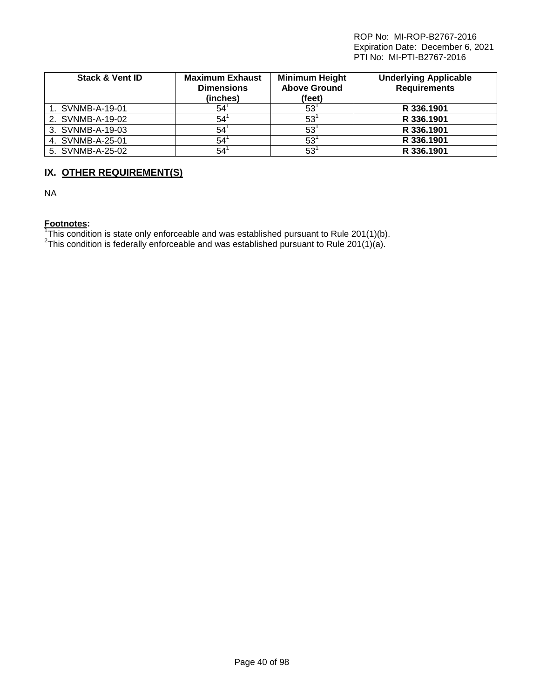| <b>Stack &amp; Vent ID</b> | <b>Maximum Exhaust</b><br><b>Dimensions</b><br>(inches) | <b>Minimum Height</b><br><b>Above Ground</b><br>(feet) | <b>Underlying Applicable</b><br><b>Requirements</b> |
|----------------------------|---------------------------------------------------------|--------------------------------------------------------|-----------------------------------------------------|
| 1. SVNMB-A-19-01           | 54                                                      | 53'                                                    | R 336,1901                                          |
| 2. SVNMB-A-19-02           | 54                                                      | 53                                                     | R 336.1901                                          |
| 3. SVNMB-A-19-03           | 54                                                      | $53^{\circ}$                                           | R 336.1901                                          |
| 4. SVNMB-A-25-01           | 54                                                      | 53'                                                    | R 336.1901                                          |
| 5. SVNMB-A-25-02           | 54                                                      | $53^{\circ}$                                           | R 336.1901                                          |

# **IX. OTHER REQUIREMENT(S)**

NA

**Footnotes:**<br><sup>1</sup>This condition is state only enforceable and was established pursuant to Rule 201(1)(b).<br><sup>2</sup>This condition is federally enforceable and was established pursuant to Rule 201(1)(a).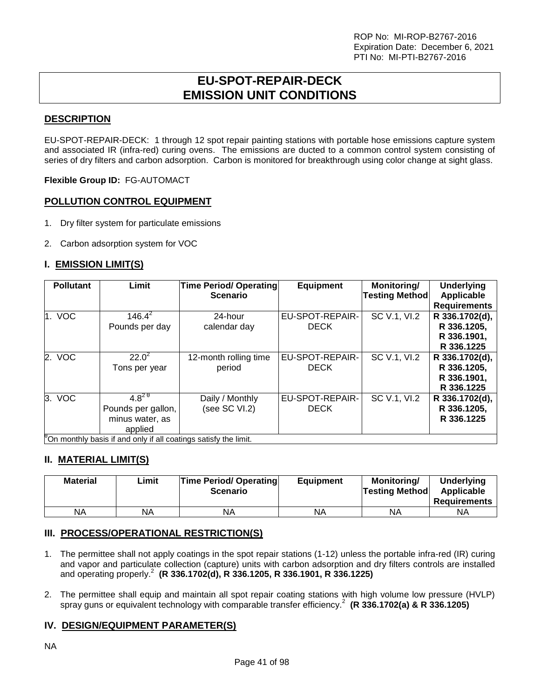# **EU-SPOT-REPAIR-DECK EMISSION UNIT CONDITIONS**

# **DESCRIPTION**

EU-SPOT-REPAIR-DECK: 1 through 12 spot repair painting stations with portable hose emissions capture system and associated IR (infra-red) curing ovens. The emissions are ducted to a common control system consisting of series of dry filters and carbon adsorption. Carbon is monitored for breakthrough using color change at sight glass.

**Flexible Group ID:** FG-AUTOMACT

# **POLLUTION CONTROL EQUIPMENT**

- 1. Dry filter system for particulate emissions
- 2. Carbon adsorption system for VOC

# **I. EMISSION LIMIT(S)**

| <b>Pollutant</b> | Limit                                                                                        | Time Period/ Operating<br><b>Scenario</b> | <b>Equipment</b> | Monitoring/<br>Testing Method | <b>Underlying</b><br>Applicable |
|------------------|----------------------------------------------------------------------------------------------|-------------------------------------------|------------------|-------------------------------|---------------------------------|
|                  |                                                                                              |                                           |                  |                               | <b>Requirements</b>             |
| 1. VOC           | $146.4^2$                                                                                    | 24-hour                                   | EU-SPOT-REPAIR-  | SC V.1, VI.2                  | R 336.1702(d),                  |
|                  | Pounds per day                                                                               | calendar day                              | <b>DECK</b>      |                               | R 336.1205.                     |
|                  |                                                                                              |                                           |                  |                               | R 336.1901,                     |
|                  |                                                                                              |                                           |                  |                               | R 336.1225                      |
| 2. VOC           | $22.0^2$                                                                                     | 12-month rolling time                     | EU-SPOT-REPAIR-  | SC V.1, VI.2                  | R 336.1702(d),                  |
|                  | Tons per year                                                                                | period                                    | <b>DECK</b>      |                               | R 336.1205,                     |
|                  |                                                                                              |                                           |                  |                               | R 336.1901,                     |
|                  |                                                                                              |                                           |                  |                               | R 336.1225                      |
| 3. VOC           | $4.8^{20}$                                                                                   | Daily / Monthly                           | EU-SPOT-REPAIR-  | SC V.1, VI.2                  | R 336.1702(d),                  |
|                  | Pounds per gallon,                                                                           | (see SC VI.2)                             | <b>DECK</b>      |                               | R 336.1205.                     |
|                  | minus water, as                                                                              |                                           |                  |                               | R 336.1225                      |
|                  | applied<br>$\mathbb{R}_{\Omega}$ monthly boojn if and only if all continue options the limit |                                           |                  |                               |                                 |

<sup>8</sup>On monthly basis if and only if all coatings satisfy the limit.

# **II. MATERIAL LIMIT(S)**

| <b>Material</b> | Limit | <b>Time Period/ Operating</b><br><b>Scenario</b> | <b>Equipment</b> | <b>Monitoring/</b><br> Testing Method | <b>Underlying</b><br>Applicable<br><b>Requirements</b> |
|-----------------|-------|--------------------------------------------------|------------------|---------------------------------------|--------------------------------------------------------|
| <b>NA</b>       | NA    | NA                                               | NA               | ΝA                                    | ΝA                                                     |

# **III. PROCESS/OPERATIONAL RESTRICTION(S)**

- 1. The permittee shall not apply coatings in the spot repair stations (1-12) unless the portable infra-red (IR) curing and vapor and particulate collection (capture) units with carbon adsorption and dry filters controls are installed and operating properly.<sup>2</sup> **(R 336.1702(d), R 336.1205, R 336.1901, R 336.1225)**
- 2. The permittee shall equip and maintain all spot repair coating stations with high volume low pressure (HVLP) spray guns or equivalent technology with comparable transfer efficiency.<sup>2</sup> **(R 336.1702(a) & R 336.1205)**

# **IV. DESIGN/EQUIPMENT PARAMETER(S)**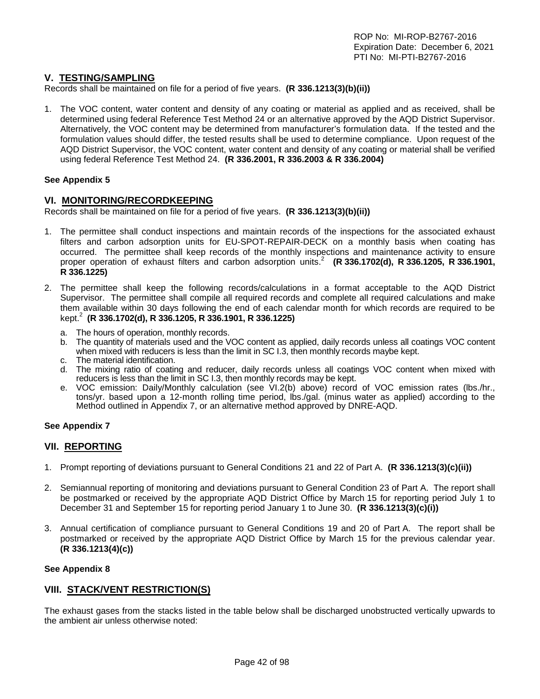# **V. TESTING/SAMPLING**

Records shall be maintained on file for a period of five years. **(R 336.1213(3)(b)(ii))**

1. The VOC content, water content and density of any coating or material as applied and as received, shall be determined using federal Reference Test Method 24 or an alternative approved by the AQD District Supervisor. Alternatively, the VOC content may be determined from manufacturer's formulation data. If the tested and the formulation values should differ, the tested results shall be used to determine compliance. Upon request of the AQD District Supervisor, the VOC content, water content and density of any coating or material shall be verified using federal Reference Test Method 24. **(R 336.2001, R 336.2003 & R 336.2004)**

#### **See Appendix 5**

# **VI. MONITORING/RECORDKEEPING**

Records shall be maintained on file for a period of five years. **(R 336.1213(3)(b)(ii))**

- 1. The permittee shall conduct inspections and maintain records of the inspections for the associated exhaust filters and carbon adsorption units for EU-SPOT-REPAIR-DECK on a monthly basis when coating has occurred. The permittee shall keep records of the monthly inspections and maintenance activity to ensure proper operation of exhaust filters and carbon adsorption units. 2 **(R 336.1702(d), R 336.1205, R 336.1901, R 336.1225)**
- 2. The permittee shall keep the following records/calculations in a format acceptable to the AQD District Supervisor. The permittee shall compile all required records and complete all required calculations and make them available within 30 days following the end of each calendar month for which records are required to be kept.2 **(R 336.1702(d), R 336.1205, R 336.1901, R 336.1225)**
	- a. The hours of operation, monthly records.
	- b. The quantity of materials used and the VOC content as applied, daily records unless all coatings VOC content when mixed with reducers is less than the limit in SC I.3, then monthly records maybe kept.
	- c. The material identification.
	- d. The mixing ratio of coating and reducer, daily records unless all coatings VOC content when mixed with reducers is less than the limit in SC I.3, then monthly records may be kept.
	- e. VOC emission: Daily/Monthly calculation (see VI.2(b) above) record of VOC emission rates (lbs./hr., tons/yr. based upon a 12-month rolling time period, lbs./gal. (minus water as applied) according to the Method outlined in Appendix 7, or an alternative method approved by DNRE-AQD.

#### **See Appendix 7**

# **VII. REPORTING**

- 1. Prompt reporting of deviations pursuant to General Conditions 21 and 22 of Part A. **(R 336.1213(3)(c)(ii))**
- 2. Semiannual reporting of monitoring and deviations pursuant to General Condition 23 of Part A. The report shall be postmarked or received by the appropriate AQD District Office by March 15 for reporting period July 1 to December 31 and September 15 for reporting period January 1 to June 30. **(R 336.1213(3)(c)(i))**
- 3. Annual certification of compliance pursuant to General Conditions 19 and 20 of Part A. The report shall be postmarked or received by the appropriate AQD District Office by March 15 for the previous calendar year. **(R 336.1213(4)(c))**

#### **See Appendix 8**

# **VIII. STACK/VENT RESTRICTION(S)**

The exhaust gases from the stacks listed in the table below shall be discharged unobstructed vertically upwards to the ambient air unless otherwise noted: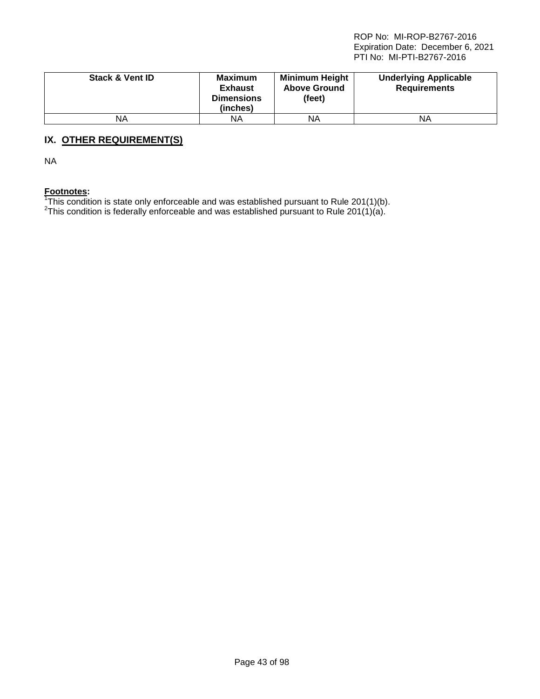| <b>Stack &amp; Vent ID</b> | <b>Maximum</b><br><b>Exhaust</b><br><b>Dimensions</b><br>(inches) | <b>Minimum Height</b><br><b>Above Ground</b><br>(feet) | <b>Underlying Applicable</b><br><b>Requirements</b> |
|----------------------------|-------------------------------------------------------------------|--------------------------------------------------------|-----------------------------------------------------|
| NA                         | ΝA                                                                | ΝA                                                     | ΝA                                                  |

# **IX. OTHER REQUIREMENT(S)**

NA

Footnotes:<br><sup>1</sup>This condition is state only enforceable and was established pursuant to Rule 201(1)(b).<br><sup>2</sup>This condition is foderally enforceable and was established pursuant to Rule 201(1)(p).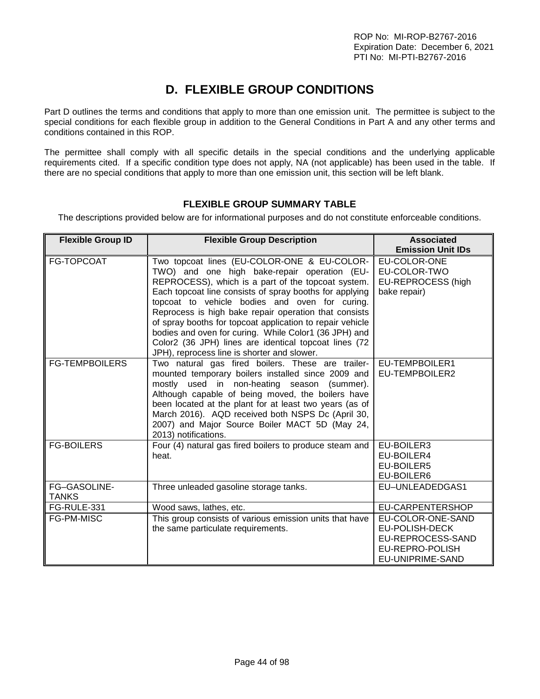# **D. FLEXIBLE GROUP CONDITIONS**

Part D outlines the terms and conditions that apply to more than one emission unit. The permittee is subject to the special conditions for each flexible group in addition to the General Conditions in Part A and any other terms and conditions contained in this ROP.

The permittee shall comply with all specific details in the special conditions and the underlying applicable requirements cited. If a specific condition type does not apply, NA (not applicable) has been used in the table. If there are no special conditions that apply to more than one emission unit, this section will be left blank.

# **FLEXIBLE GROUP SUMMARY TABLE**

The descriptions provided below are for informational purposes and do not constitute enforceable conditions.

| <b>Flexible Group ID</b>     | <b>Flexible Group Description</b>                                                                                                                                                                                                                                                                                                                                                                                                                                                                                                                     | <b>Associated</b><br><b>Emission Unit IDs</b>                                                   |
|------------------------------|-------------------------------------------------------------------------------------------------------------------------------------------------------------------------------------------------------------------------------------------------------------------------------------------------------------------------------------------------------------------------------------------------------------------------------------------------------------------------------------------------------------------------------------------------------|-------------------------------------------------------------------------------------------------|
| FG-TOPCOAT                   | Two topcoat lines (EU-COLOR-ONE & EU-COLOR-<br>TWO) and one high bake-repair operation (EU-<br>REPROCESS), which is a part of the topcoat system.<br>Each topcoat line consists of spray booths for applying<br>topcoat to vehicle bodies and oven for curing.<br>Reprocess is high bake repair operation that consists<br>of spray booths for topcoat application to repair vehicle<br>bodies and oven for curing. While Color1 (36 JPH) and<br>Color2 (36 JPH) lines are identical topcoat lines (72<br>JPH), reprocess line is shorter and slower. | EU-COLOR-ONE<br>EU-COLOR-TWO<br>EU-REPROCESS (high<br>bake repair)                              |
| <b>FG-TEMPBOILERS</b>        | Two natural gas fired boilers. These are trailer-<br>mounted temporary boilers installed since 2009 and<br>mostly used in non-heating season (summer).<br>Although capable of being moved, the boilers have<br>been located at the plant for at least two years (as of<br>March 2016). AQD received both NSPS Dc (April 30,<br>2007) and Major Source Boiler MACT 5D (May 24,<br>2013) notifications.                                                                                                                                                 | EU-TEMPBOILER1<br>EU-TEMPBOILER2                                                                |
| <b>FG-BOILERS</b>            | Four (4) natural gas fired boilers to produce steam and<br>heat.                                                                                                                                                                                                                                                                                                                                                                                                                                                                                      | EU-BOILER3<br>EU-BOILER4<br>EU-BOILER5<br>EU-BOILER6                                            |
| FG-GASOLINE-<br><b>TANKS</b> | Three unleaded gasoline storage tanks.                                                                                                                                                                                                                                                                                                                                                                                                                                                                                                                | EU-UNLEADEDGAS1                                                                                 |
| FG-RULE-331                  | Wood saws, lathes, etc.                                                                                                                                                                                                                                                                                                                                                                                                                                                                                                                               | EU-CARPENTERSHOP                                                                                |
| FG-PM-MISC                   | This group consists of various emission units that have<br>the same particulate requirements.                                                                                                                                                                                                                                                                                                                                                                                                                                                         | EU-COLOR-ONE-SAND<br>EU-POLISH-DECK<br>EU-REPROCESS-SAND<br>EU-REPRO-POLISH<br>EU-UNIPRIME-SAND |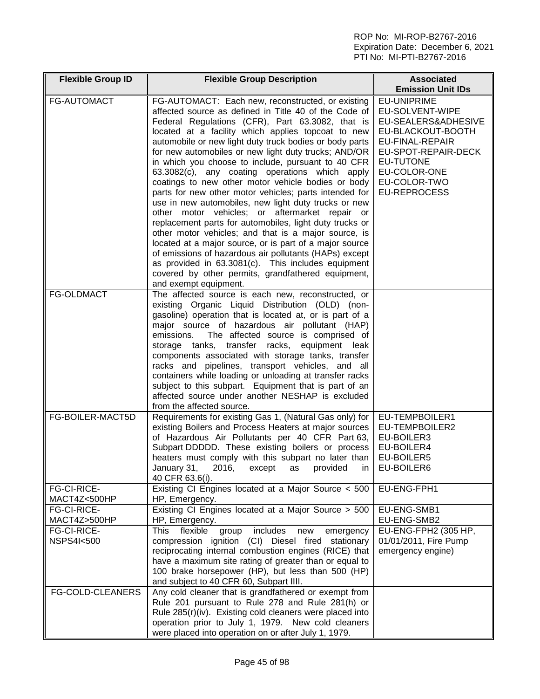| <b>Flexible Group ID</b>            | <b>Flexible Group Description</b>                                                                                                                                                                                                                                                                                                                                                                                                                                                                                                                                                                                                                                                                                                                                                                                                                                                                                                                                                                                                                      | <b>Associated</b><br><b>Emission Unit IDs</b>                                                                                                                                                          |
|-------------------------------------|--------------------------------------------------------------------------------------------------------------------------------------------------------------------------------------------------------------------------------------------------------------------------------------------------------------------------------------------------------------------------------------------------------------------------------------------------------------------------------------------------------------------------------------------------------------------------------------------------------------------------------------------------------------------------------------------------------------------------------------------------------------------------------------------------------------------------------------------------------------------------------------------------------------------------------------------------------------------------------------------------------------------------------------------------------|--------------------------------------------------------------------------------------------------------------------------------------------------------------------------------------------------------|
| <b>FG-AUTOMACT</b>                  | FG-AUTOMACT: Each new, reconstructed, or existing<br>affected source as defined in Title 40 of the Code of<br>Federal Regulations (CFR), Part 63.3082, that is<br>located at a facility which applies topcoat to new<br>automobile or new light duty truck bodies or body parts<br>for new automobiles or new light duty trucks; AND/OR<br>in which you choose to include, pursuant to 40 CFR<br>63.3082(c), any coating operations which apply<br>coatings to new other motor vehicle bodies or body<br>parts for new other motor vehicles; parts intended for<br>use in new automobiles, new light duty trucks or new<br>other motor vehicles; or aftermarket repair or<br>replacement parts for automobiles, light duty trucks or<br>other motor vehicles; and that is a major source, is<br>located at a major source, or is part of a major source<br>of emissions of hazardous air pollutants (HAPs) except<br>as provided in 63.3081(c). This includes equipment<br>covered by other permits, grandfathered equipment,<br>and exempt equipment. | EU-UNIPRIME<br>EU-SOLVENT-WIPE<br>EU-SEALERS&ADHESIVE<br>EU-BLACKOUT-BOOTH<br><b>EU-FINAL-REPAIR</b><br>EU-SPOT-REPAIR-DECK<br><b>EU-TUTONE</b><br>EU-COLOR-ONE<br>EU-COLOR-TWO<br><b>EU-REPROCESS</b> |
| <b>FG-OLDMACT</b>                   | The affected source is each new, reconstructed, or<br>existing Organic Liquid Distribution (OLD) (non-<br>gasoline) operation that is located at, or is part of a<br>major source of hazardous air pollutant (HAP)<br>The affected source is comprised of<br>emissions.<br>storage tanks, transfer racks,<br>equipment leak<br>components associated with storage tanks, transfer<br>racks and pipelines, transport vehicles, and all<br>containers while loading or unloading at transfer racks<br>subject to this subpart. Equipment that is part of an<br>affected source under another NESHAP is excluded<br>from the affected source.                                                                                                                                                                                                                                                                                                                                                                                                             |                                                                                                                                                                                                        |
| FG-BOILER-MACT5D                    | Requirements for existing Gas 1, (Natural Gas only) for<br>existing Boilers and Process Heaters at major sources<br>of Hazardous Air Pollutants per 40 CFR Part 63,<br>Subpart DDDDD. These existing boilers or process<br>heaters must comply with this subpart no later than<br>January 31,<br>2016,<br>except<br>as<br>provided<br>$\ln$ 1<br>40 CFR 63.6(i).                                                                                                                                                                                                                                                                                                                                                                                                                                                                                                                                                                                                                                                                                       | EU-TEMPBOILER1<br>EU-TEMPBOILER2<br>EU-BOILER3<br>EU-BOILER4<br>EU-BOILER5<br>EU-BOILER6                                                                                                               |
| FG-CI-RICE-<br>MACT4Z<500HP         | Existing CI Engines located at a Major Source < 500<br>HP, Emergency.                                                                                                                                                                                                                                                                                                                                                                                                                                                                                                                                                                                                                                                                                                                                                                                                                                                                                                                                                                                  | EU-ENG-FPH1                                                                                                                                                                                            |
| FG-CI-RICE-<br>MACT4Z>500HP         | Existing CI Engines located at a Major Source > 500<br>HP, Emergency.                                                                                                                                                                                                                                                                                                                                                                                                                                                                                                                                                                                                                                                                                                                                                                                                                                                                                                                                                                                  | EU-ENG-SMB1<br>EU-ENG-SMB2                                                                                                                                                                             |
| FG-CI-RICE-<br><b>NSPS4I&lt;500</b> | includes<br>This<br>flexible<br>group<br>new<br>emergency<br>compression ignition (CI) Diesel fired stationary<br>reciprocating internal combustion engines (RICE) that<br>have a maximum site rating of greater than or equal to<br>100 brake horsepower (HP), but less than 500 (HP)<br>and subject to 40 CFR 60, Subpart IIII.                                                                                                                                                                                                                                                                                                                                                                                                                                                                                                                                                                                                                                                                                                                      | EU-ENG-FPH2 (305 HP,<br>01/01/2011, Fire Pump<br>emergency engine)                                                                                                                                     |
| FG-COLD-CLEANERS                    | Any cold cleaner that is grandfathered or exempt from<br>Rule 201 pursuant to Rule 278 and Rule 281(h) or<br>Rule 285(r)(iv). Existing cold cleaners were placed into<br>operation prior to July 1, 1979. New cold cleaners<br>were placed into operation on or after July 1, 1979.                                                                                                                                                                                                                                                                                                                                                                                                                                                                                                                                                                                                                                                                                                                                                                    |                                                                                                                                                                                                        |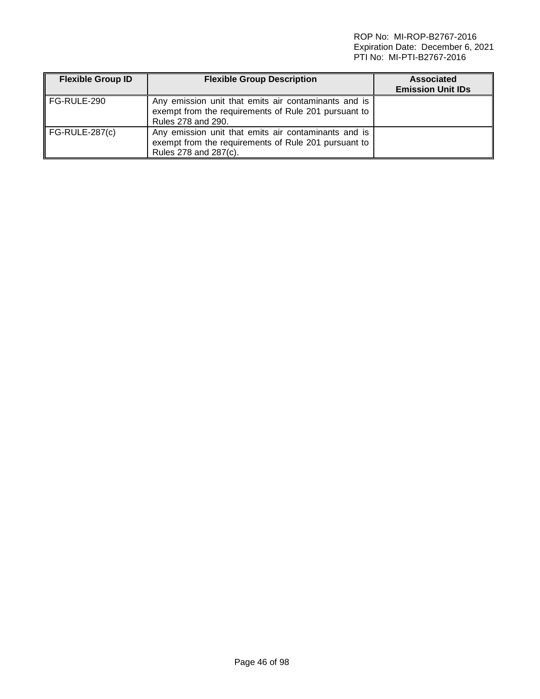| <b>Flexible Group ID</b> | <b>Flexible Group Description</b>                                                                                                     | <b>Associated</b><br><b>Emission Unit IDs</b> |
|--------------------------|---------------------------------------------------------------------------------------------------------------------------------------|-----------------------------------------------|
| ∥ FG-RULE-290            | Any emission unit that emits air contaminants and is<br>exempt from the requirements of Rule 201 pursuant to<br>Rules 278 and 290.    |                                               |
| FG-RULE-287(c)           | Any emission unit that emits air contaminants and is<br>exempt from the requirements of Rule 201 pursuant to<br>Rules 278 and 287(c). |                                               |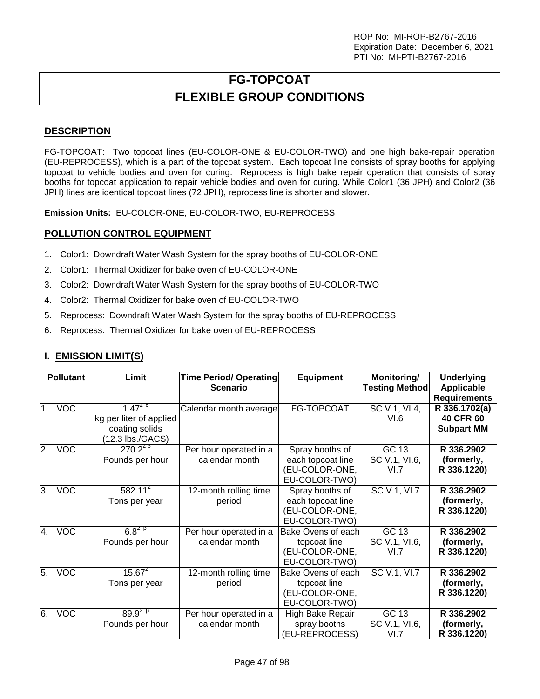# **FG-TOPCOAT FLEXIBLE GROUP CONDITIONS**

# **DESCRIPTION**

FG-TOPCOAT: Two topcoat lines (EU-COLOR-ONE & EU-COLOR-TWO) and one high bake-repair operation (EU-REPROCESS), which is a part of the topcoat system. Each topcoat line consists of spray booths for applying topcoat to vehicle bodies and oven for curing. Reprocess is high bake repair operation that consists of spray booths for topcoat application to repair vehicle bodies and oven for curing. While Color1 (36 JPH) and Color2 (36 JPH) lines are identical topcoat lines (72 JPH), reprocess line is shorter and slower.

**Emission Units:** EU-COLOR-ONE, EU-COLOR-TWO, EU-REPROCESS

# **POLLUTION CONTROL EQUIPMENT**

- 1. Color1: Downdraft Water Wash System for the spray booths of EU-COLOR-ONE
- 2. Color1: Thermal Oxidizer for bake oven of EU-COLOR-ONE
- 3. Color2: Downdraft Water Wash System for the spray booths of EU-COLOR-TWO
- 4. Color2: Thermal Oxidizer for bake oven of EU-COLOR-TWO
- 5. Reprocess: Downdraft Water Wash System for the spray booths of EU-REPROCESS
- 6. Reprocess: Thermal Oxidizer for bake oven of EU-REPROCESS

# **I. EMISSION LIMIT(S)**

|    | <b>Pollutant</b> | Limit                                                                       | <b>Time Period/ Operating</b><br><b>Scenario</b> | <b>Equipment</b>                                                        | Monitoring/<br><b>Testing Method</b> | <b>Underlying</b><br><b>Applicable</b><br><b>Requirements</b> |
|----|------------------|-----------------------------------------------------------------------------|--------------------------------------------------|-------------------------------------------------------------------------|--------------------------------------|---------------------------------------------------------------|
| 1. | <b>VOC</b>       | $1.47^{29}$<br>kg per liter of applied<br>coating solids<br>12.3 lbs./GACS) | Calendar month average                           | FG-TOPCOAT                                                              | SC V.1, VI.4,<br>VI.6                | R 336.1702(a)<br><b>40 CFR 60</b><br><b>Subpart MM</b>        |
| 2. | <b>VOC</b>       | $270.2^{28}$<br>Pounds per hour                                             | Per hour operated in a<br>calendar month         | Spray booths of<br>each topcoat line<br>(EU-COLOR-ONE,<br>EU-COLOR-TWO) | GC 13<br>SC V.1, VI.6,<br>VI.7       | R 336.2902<br>(formerly,<br>R 336.1220)                       |
| 3. | <b>VOC</b>       | $582.11^{2}$<br>Tons per year                                               | 12-month rolling time<br>period                  | Spray booths of<br>each topcoat line<br>(EU-COLOR-ONE,<br>EU-COLOR-TWO) | SC V.1, VI.7                         | R 336.2902<br>(formerly,<br>R 336.1220)                       |
| 4. | <b>VOC</b>       | $6.8^{2}$ $\frac{8}{1}$<br>Pounds per hour                                  | Per hour operated in a<br>calendar month         | Bake Ovens of each<br>topcoat line<br>(EU-COLOR-ONE,<br>EU-COLOR-TWO)   | GC 13<br>SC V.1, VI.6,<br>VI.7       | R 336.2902<br>(formerly,<br>R 336.1220)                       |
| 5. | <b>VOC</b>       | $15.67^{2}$<br>Tons per year                                                | 12-month rolling time<br>period                  | Bake Ovens of each<br>topcoat line<br>(EU-COLOR-ONE,<br>EU-COLOR-TWO)   | SC V.1, VI.7                         | R 336.2902<br>(formerly,<br>R 336.1220)                       |
| 6. | <b>VOC</b>       | $89.9^{28}$<br>Pounds per hour                                              | Per hour operated in a<br>calendar month         | High Bake Repair<br>spray booths<br>(EU-REPROCESS)                      | GC 13<br>SC V.1, VI.6,<br>VI.7       | R 336.2902<br>(formerly,<br>R 336.1220)                       |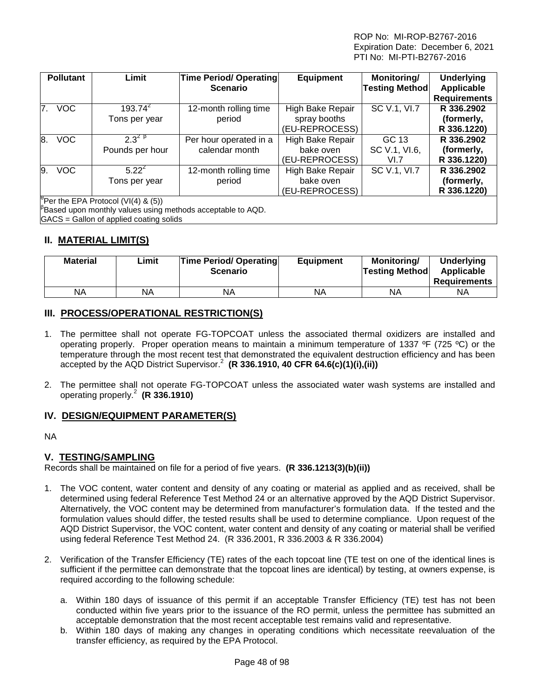|                | <b>Pollutant</b>                                | Limit                                   | <b>Time Period/ Operating</b><br><b>Scenario</b>                   | <b>Equipment</b> | Monitoring/<br><b>Testing Method</b> | <b>Underlying</b><br>Applicable |  |  |
|----------------|-------------------------------------------------|-----------------------------------------|--------------------------------------------------------------------|------------------|--------------------------------------|---------------------------------|--|--|
|                |                                                 |                                         |                                                                    |                  |                                      | <b>Requirements</b>             |  |  |
| 7 <sup>1</sup> | <b>VOC</b>                                      | $193.74^{2}$                            | 12-month rolling time                                              | High Bake Repair | SC V.1, VI.7                         | R 336.2902                      |  |  |
|                |                                                 | Tons per year                           | period                                                             | spray booths     |                                      | (formerly,                      |  |  |
|                |                                                 |                                         |                                                                    | (EU-REPROCESS)   |                                      | R 336.1220)                     |  |  |
| 8.             | <b>VOC</b>                                      | $2.3^{2}$ $\beta$                       | Per hour operated in a                                             | High Bake Repair | GC 13                                | R 336.2902                      |  |  |
|                |                                                 | Pounds per hour                         | calendar month                                                     | bake oven        | SC V.1, VI.6,                        | (formerly,                      |  |  |
|                |                                                 |                                         |                                                                    | (EU-REPROCESS)   | VI.7                                 | R 336.1220)                     |  |  |
| 9.             | <b>VOC</b>                                      | $5.22^{2}$                              | 12-month rolling time                                              | High Bake Repair | SC V.1, VI.7                         | R 336.2902                      |  |  |
|                |                                                 | Tons per year                           | period                                                             | bake oven        |                                      | (formerly,                      |  |  |
|                |                                                 |                                         |                                                                    | (EU-REPROCESS)   |                                      | R 336.1220)                     |  |  |
|                | <sup>p</sup> Per the EPA Protocol (VI(4) & (5)) |                                         |                                                                    |                  |                                      |                                 |  |  |
|                |                                                 |                                         | $\beta$ Based upon monthly values using methods acceptable to AQD. |                  |                                      |                                 |  |  |
|                |                                                 | GACS = Gallon of applied coating solids |                                                                    |                  |                                      |                                 |  |  |

# **II. MATERIAL LIMIT(S)**

| <b>Material</b> | Limit | <b>Time Period/ Operating</b><br><b>Scenario</b> | <b>Equipment</b> | Monitorina/<br><b>Testing Method</b> | <b>Underlying</b><br>Applicable<br><b>Requirements</b> |
|-----------------|-------|--------------------------------------------------|------------------|--------------------------------------|--------------------------------------------------------|
| ΝA              | ΝA    | ΝA                                               | NA               | ΝA                                   | ΝA                                                     |

# **III. PROCESS/OPERATIONAL RESTRICTION(S)**

- 1. The permittee shall not operate FG-TOPCOAT unless the associated thermal oxidizers are installed and operating properly. Proper operation means to maintain a minimum temperature of 1337 ºF (725 ºC) or the temperature through the most recent test that demonstrated the equivalent destruction efficiency and has been accepted by the AQD District Supervisor.<sup>2</sup> **(R 336.1910, 40 CFR 64.6(c)(1)(i),(ii))**
- 2. The permittee shall not operate FG-TOPCOAT unless the associated water wash systems are installed and operating properly.<sup>2</sup> **(R 336.1910)**

# **IV. DESIGN/EQUIPMENT PARAMETER(S)**

NA

# **V. TESTING/SAMPLING**

Records shall be maintained on file for a period of five years. **(R 336.1213(3)(b)(ii))**

- 1. The VOC content, water content and density of any coating or material as applied and as received, shall be determined using federal Reference Test Method 24 or an alternative approved by the AQD District Supervisor. Alternatively, the VOC content may be determined from manufacturer's formulation data. If the tested and the formulation values should differ, the tested results shall be used to determine compliance. Upon request of the AQD District Supervisor, the VOC content, water content and density of any coating or material shall be verified using federal Reference Test Method 24. (R 336.2001, R 336.2003 & R 336.2004)
- 2. Verification of the Transfer Efficiency (TE) rates of the each topcoat line (TE test on one of the identical lines is sufficient if the permittee can demonstrate that the topcoat lines are identical) by testing, at owners expense, is required according to the following schedule:
	- a. Within 180 days of issuance of this permit if an acceptable Transfer Efficiency (TE) test has not been conducted within five years prior to the issuance of the RO permit, unless the permittee has submitted an acceptable demonstration that the most recent acceptable test remains valid and representative.
	- b. Within 180 days of making any changes in operating conditions which necessitate reevaluation of the transfer efficiency, as required by the EPA Protocol.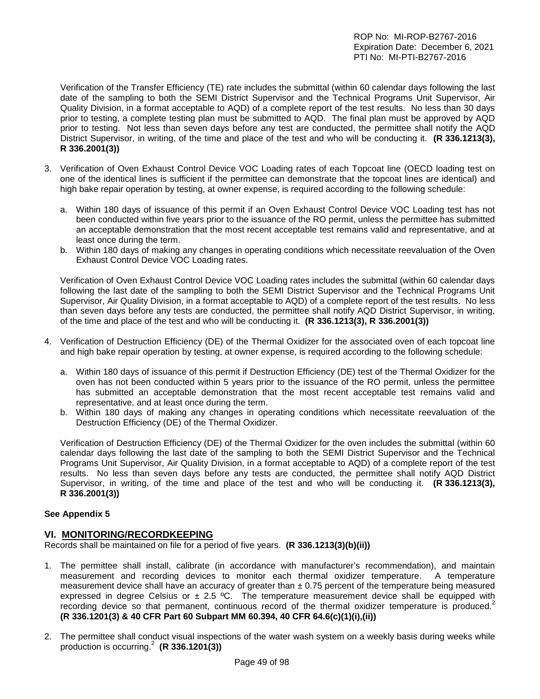Verification of the Transfer Efficiency (TE) rate includes the submittal (within 60 calendar days following the last date of the sampling to both the SEMI District Supervisor and the Technical Programs Unit Supervisor, Air Quality Division, in a format acceptable to AQD) of a complete report of the test results. No less than 30 days prior to testing, a complete testing plan must be submitted to AQD. The final plan must be approved by AQD prior to testing. Not less than seven days before any test are conducted, the permittee shall notify the AQD District Supervisor, in writing, of the time and place of the test and who will be conducting it. **(R 336.1213(3), R 336.2001(3))**

- 3. Verification of Oven Exhaust Control Device VOC Loading rates of each Topcoat line (OECD loading test on one of the identical lines is sufficient if the permittee can demonstrate that the topcoat lines are identical) and high bake repair operation by testing, at owner expense, is required according to the following schedule:
	- a. Within 180 days of issuance of this permit if an Oven Exhaust Control Device VOC Loading test has not been conducted within five years prior to the issuance of the RO permit, unless the permittee has submitted an acceptable demonstration that the most recent acceptable test remains valid and representative, and at least once during the term.
	- b. Within 180 days of making any changes in operating conditions which necessitate reevaluation of the Oven Exhaust Control Device VOC Loading rates.

Verification of Oven Exhaust Control Device VOC Loading rates includes the submittal (within 60 calendar days following the last date of the sampling to both the SEMI District Supervisor and the Technical Programs Unit Supervisor, Air Quality Division, in a format acceptable to AQD) of a complete report of the test results. No less than seven days before any tests are conducted, the permittee shall notify AQD District Supervisor, in writing, of the time and place of the test and who will be conducting it. **(R 336.1213(3), R 336.2001(3))**

- 4. Verification of Destruction Efficiency (DE) of the Thermal Oxidizer for the associated oven of each topcoat line and high bake repair operation by testing, at owner expense, is required according to the following schedule:
	- a. Within 180 days of issuance of this permit if Destruction Efficiency (DE) test of the Thermal Oxidizer for the oven has not been conducted within 5 years prior to the issuance of the RO permit, unless the permittee has submitted an acceptable demonstration that the most recent acceptable test remains valid and representative, and at least once during the term.
	- b. Within 180 days of making any changes in operating conditions which necessitate reevaluation of the Destruction Efficiency (DE) of the Thermal Oxidizer.

Verification of Destruction Efficiency (DE) of the Thermal Oxidizer for the oven includes the submittal (within 60 calendar days following the last date of the sampling to both the SEMI District Supervisor and the Technical Programs Unit Supervisor, Air Quality Division, in a format acceptable to AQD) of a complete report of the test results. No less than seven days before any tests are conducted, the permittee shall notify AQD District Supervisor, in writing, of the time and place of the test and who will be conducting it. **(R 336.1213(3), R 336.2001(3))**

# **See Appendix 5**

# **VI. MONITORING/RECORDKEEPING**

Records shall be maintained on file for a period of five years. **(R 336.1213(3)(b)(ii))**

- 1. The permittee shall install, calibrate (in accordance with manufacturer's recommendation), and maintain measurement and recording devices to monitor each thermal oxidizer temperature. A temperature measurement device shall have an accuracy of greater than  $\pm$  0.75 percent of the temperature being measured expressed in degree Celsius or  $\pm 2.5$  °C. The temperature measurement device shall be equipped with recording device so that permanent, continuous record of the thermal oxidizer temperature is produced.<sup>2</sup> **(R 336.1201(3) & 40 CFR Part 60 Subpart MM 60.394, 40 CFR 64.6(c)(1)(i),(ii))**
- 2. The permittee shall conduct visual inspections of the water wash system on a weekly basis during weeks while production is occurring.<sup>2</sup> **(R 336.1201(3))**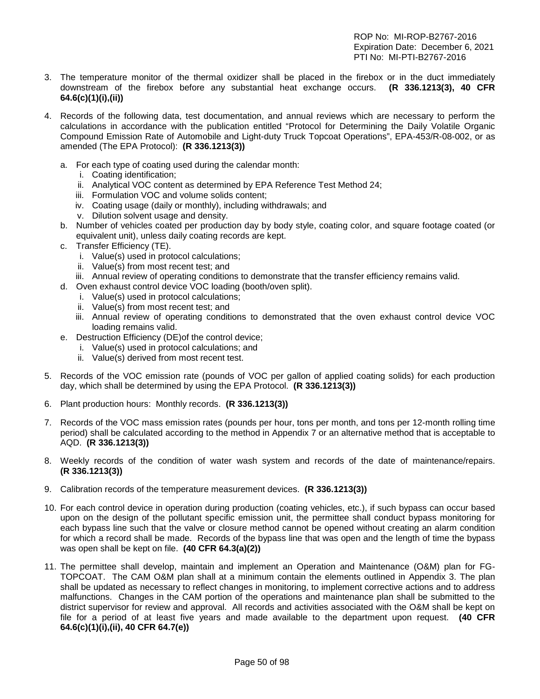- 3. The temperature monitor of the thermal oxidizer shall be placed in the firebox or in the duct immediately downstream of the firebox before any substantial heat exchange occurs. **(R 336.1213(3), 40 CFR 64.6(c)(1)(i),(ii))**
- 4. Records of the following data, test documentation, and annual reviews which are necessary to perform the calculations in accordance with the publication entitled "Protocol for Determining the Daily Volatile Organic Compound Emission Rate of Automobile and Light-duty Truck Topcoat Operations", EPA-453/R-08-002, or as amended (The EPA Protocol): **(R 336.1213(3))**
	- a. For each type of coating used during the calendar month:
		- i. Coating identification;
		- ii. Analytical VOC content as determined by EPA Reference Test Method 24;
		- iii. Formulation VOC and volume solids content;
		- iv. Coating usage (daily or monthly), including withdrawals; and
		- v. Dilution solvent usage and density.
	- b. Number of vehicles coated per production day by body style, coating color, and square footage coated (or equivalent unit), unless daily coating records are kept.
	- c. Transfer Efficiency (TE).
		- i. Value(s) used in protocol calculations;
		- ii. Value(s) from most recent test; and
	- iii. Annual review of operating conditions to demonstrate that the transfer efficiency remains valid.
	- d. Oven exhaust control device VOC loading (booth/oven split).
		- i. Value(s) used in protocol calculations;
		- ii. Value(s) from most recent test; and
		- iii. Annual review of operating conditions to demonstrated that the oven exhaust control device VOC loading remains valid.
	- e. Destruction Efficiency (DE)of the control device;
		- i. Value(s) used in protocol calculations; and
		- ii. Value(s) derived from most recent test.
- 5. Records of the VOC emission rate (pounds of VOC per gallon of applied coating solids) for each production day, which shall be determined by using the EPA Protocol. **(R 336.1213(3))**
- 6. Plant production hours: Monthly records. **(R 336.1213(3))**
- 7. Records of the VOC mass emission rates (pounds per hour, tons per month, and tons per 12-month rolling time period) shall be calculated according to the method in Appendix 7 or an alternative method that is acceptable to AQD. **(R 336.1213(3))**
- 8. Weekly records of the condition of water wash system and records of the date of maintenance/repairs. **(R 336.1213(3))**
- 9. Calibration records of the temperature measurement devices. **(R 336.1213(3))**
- 10. For each control device in operation during production (coating vehicles, etc.), if such bypass can occur based upon on the design of the pollutant specific emission unit, the permittee shall conduct bypass monitoring for each bypass line such that the valve or closure method cannot be opened without creating an alarm condition for which a record shall be made. Records of the bypass line that was open and the length of time the bypass was open shall be kept on file. **(40 CFR 64.3(a)(2))**
- 11. The permittee shall develop, maintain and implement an Operation and Maintenance (O&M) plan for FG-TOPCOAT. The CAM O&M plan shall at a minimum contain the elements outlined in Appendix 3. The plan shall be updated as necessary to reflect changes in monitoring, to implement corrective actions and to address malfunctions. Changes in the CAM portion of the operations and maintenance plan shall be submitted to the district supervisor for review and approval. All records and activities associated with the O&M shall be kept on file for a period of at least five years and made available to the department upon request. **(40 CFR 64.6(c)(1)(i),(ii), 40 CFR 64.7(e))**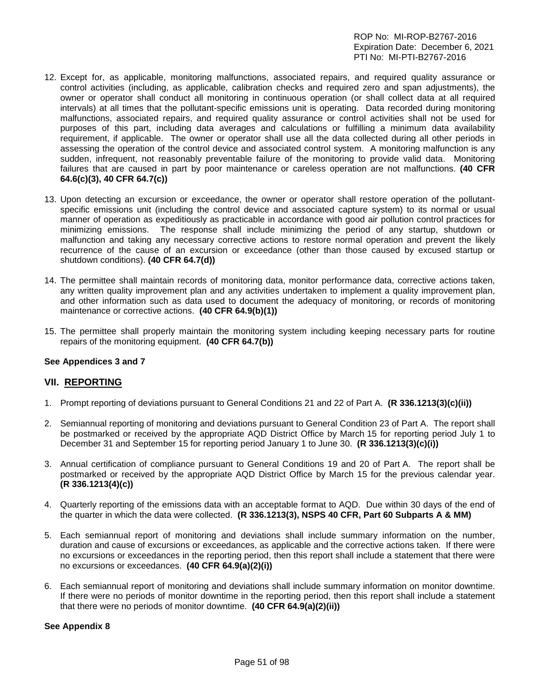- 12. Except for, as applicable, monitoring malfunctions, associated repairs, and required quality assurance or control activities (including, as applicable, calibration checks and required zero and span adjustments), the owner or operator shall conduct all monitoring in continuous operation (or shall collect data at all required intervals) at all times that the pollutant-specific emissions unit is operating. Data recorded during monitoring malfunctions, associated repairs, and required quality assurance or control activities shall not be used for purposes of this part, including data averages and calculations or fulfilling a minimum data availability requirement, if applicable. The owner or operator shall use all the data collected during all other periods in assessing the operation of the control device and associated control system. A monitoring malfunction is any sudden, infrequent, not reasonably preventable failure of the monitoring to provide valid data. Monitoring failures that are caused in part by poor maintenance or careless operation are not malfunctions. **(40 CFR 64.6(c)(3), 40 CFR 64.7(c))**
- 13. Upon detecting an excursion or exceedance, the owner or operator shall restore operation of the pollutantspecific emissions unit (including the control device and associated capture system) to its normal or usual manner of operation as expeditiously as practicable in accordance with good air pollution control practices for minimizing emissions. The response shall include minimizing the period of any startup, shutdown or malfunction and taking any necessary corrective actions to restore normal operation and prevent the likely recurrence of the cause of an excursion or exceedance (other than those caused by excused startup or shutdown conditions). **(40 CFR 64.7(d))**
- 14. The permittee shall maintain records of monitoring data, monitor performance data, corrective actions taken, any written quality improvement plan and any activities undertaken to implement a quality improvement plan, and other information such as data used to document the adequacy of monitoring, or records of monitoring maintenance or corrective actions. **(40 CFR 64.9(b)(1))**
- 15. The permittee shall properly maintain the monitoring system including keeping necessary parts for routine repairs of the monitoring equipment. **(40 CFR 64.7(b))**

#### **See Appendices 3 and 7**

# **VII. REPORTING**

- 1. Prompt reporting of deviations pursuant to General Conditions 21 and 22 of Part A. **(R 336.1213(3)(c)(ii))**
- 2. Semiannual reporting of monitoring and deviations pursuant to General Condition 23 of Part A. The report shall be postmarked or received by the appropriate AQD District Office by March 15 for reporting period July 1 to December 31 and September 15 for reporting period January 1 to June 30. **(R 336.1213(3)(c)(i))**
- 3. Annual certification of compliance pursuant to General Conditions 19 and 20 of Part A. The report shall be postmarked or received by the appropriate AQD District Office by March 15 for the previous calendar year. **(R 336.1213(4)(c))**
- 4. Quarterly reporting of the emissions data with an acceptable format to AQD. Due within 30 days of the end of the quarter in which the data were collected. **(R 336.1213(3), NSPS 40 CFR, Part 60 Subparts A & MM)**
- 5. Each semiannual report of monitoring and deviations shall include summary information on the number, duration and cause of excursions or exceedances, as applicable and the corrective actions taken. If there were no excursions or exceedances in the reporting period, then this report shall include a statement that there were no excursions or exceedances. **(40 CFR 64.9(a)(2)(i))**
- 6. Each semiannual report of monitoring and deviations shall include summary information on monitor downtime. If there were no periods of monitor downtime in the reporting period, then this report shall include a statement that there were no periods of monitor downtime. **(40 CFR 64.9(a)(2)(ii))**

#### **See Appendix 8**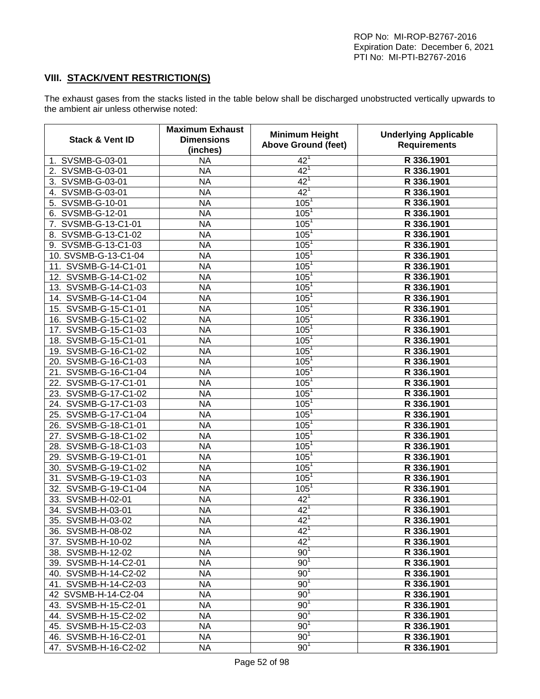# **VIII. STACK/VENT RESTRICTION(S)**

The exhaust gases from the stacks listed in the table below shall be discharged unobstructed vertically upwards to the ambient air unless otherwise noted:

| <b>Stack &amp; Vent ID</b> | <b>Maximum Exhaust</b><br><b>Dimensions</b><br>(inches) | <b>Minimum Height</b><br><b>Above Ground (feet)</b> | <b>Underlying Applicable</b><br><b>Requirements</b> |
|----------------------------|---------------------------------------------------------|-----------------------------------------------------|-----------------------------------------------------|
| 1. SVSMB-G-03-01           | <b>NA</b>                                               | $42^{1}$                                            | R 336.1901                                          |
| 2. SVSMB-G-03-01           | <b>NA</b>                                               | 42 <sup>1</sup>                                     | R 336.1901                                          |
| SVSMB-G-03-01<br>3.        | <b>NA</b>                                               | 42 <sup>1</sup>                                     | R 336.1901                                          |
| SVSMB-G-03-01<br>4.        | <b>NA</b>                                               | 42 <sup>1</sup>                                     | R 336.1901                                          |
| SVSMB-G-10-01<br>5.        | <b>NA</b>                                               | 105 <sup>1</sup>                                    | R 336.1901                                          |
| SVSMB-G-12-01<br>6.        | <b>NA</b>                                               | 105 <sup>1</sup>                                    | R 336.1901                                          |
| SVSMB-G-13-C1-01<br>7.     | <b>NA</b>                                               | 105 <sup>1</sup>                                    | R 336.1901                                          |
| SVSMB-G-13-C1-02<br>8.     | <b>NA</b>                                               | 105 <sup>1</sup>                                    | R 336.1901                                          |
| 9. SVSMB-G-13-C1-03        | <b>NA</b>                                               | 105 <sup>1</sup>                                    | R 336.1901                                          |
| 10. SVSMB-G-13-C1-04       | <b>NA</b>                                               | 105 <sup>1</sup>                                    | R 336.1901                                          |
| 11. SVSMB-G-14-C1-01       | <b>NA</b>                                               | 105 <sup>1</sup>                                    | R 336.1901                                          |
| 12. SVSMB-G-14-C1-02       | <b>NA</b>                                               | 105 <sup>1</sup>                                    | R 336.1901                                          |
| 13. SVSMB-G-14-C1-03       | <b>NA</b>                                               | 105 <sup>1</sup>                                    | R 336.1901                                          |
| 14. SVSMB-G-14-C1-04       | <b>NA</b>                                               | 105 <sup>1</sup>                                    | R 336.1901                                          |
| 15. SVSMB-G-15-C1-01       | <b>NA</b>                                               | 105 <sup>1</sup>                                    | R 336.1901                                          |
| 16. SVSMB-G-15-C1-02       | <b>NA</b>                                               | 105 <sup>1</sup>                                    | R 336.1901                                          |
| 17. SVSMB-G-15-C1-03       | <b>NA</b>                                               | 105 <sup>1</sup>                                    | R 336.1901                                          |
| 18. SVSMB-G-15-C1-01       | <b>NA</b>                                               | 105 <sup>1</sup>                                    | R 336.1901                                          |
| 19. SVSMB-G-16-C1-02       | <b>NA</b>                                               | 105 <sup>1</sup>                                    | R 336.1901                                          |
| 20. SVSMB-G-16-C1-03       | <b>NA</b>                                               | 105 <sup>1</sup>                                    | R 336.1901                                          |
| 21. SVSMB-G-16-C1-04       | <b>NA</b>                                               | 105 <sup>1</sup>                                    | R 336.1901                                          |
| 22. SVSMB-G-17-C1-01       | <b>NA</b>                                               | 105 <sup>1</sup>                                    | R 336.1901                                          |
| 23. SVSMB-G-17-C1-02       | <b>NA</b>                                               | 105 <sup>1</sup>                                    | R 336.1901                                          |
| 24. SVSMB-G-17-C1-03       | <b>NA</b>                                               | 105 <sup>1</sup>                                    | R 336.1901                                          |
| 25. SVSMB-G-17-C1-04       | <b>NA</b>                                               | 105 <sup>1</sup>                                    | R 336.1901                                          |
| 26. SVSMB-G-18-C1-01       | <b>NA</b>                                               | 105 <sup>1</sup>                                    | R 336.1901                                          |
| 27. SVSMB-G-18-C1-02       | <b>NA</b>                                               | 105 <sup>1</sup>                                    | R 336.1901                                          |
| 28. SVSMB-G-18-C1-03       | <b>NA</b>                                               | 105 <sup>1</sup>                                    | R 336.1901                                          |
| 29. SVSMB-G-19-C1-01       | <b>NA</b>                                               | 105 <sup>1</sup>                                    | R 336.1901                                          |
| 30. SVSMB-G-19-C1-02       | <b>NA</b>                                               | 105 <sup>1</sup>                                    | R 336.1901                                          |
| 31. SVSMB-G-19-C1-03       | <b>NA</b>                                               | 105 <sup>1</sup>                                    | R 336.1901                                          |
| 32. SVSMB-G-19-C1-04       | <b>NA</b>                                               | 105 <sup>1</sup>                                    | R 336.1901                                          |
| 33. SVSMB-H-02-01          | <b>NA</b>                                               | $42^1$                                              | R 336.1901                                          |
| 34. SVSMB-H-03-01          | <b>NA</b>                                               | $42^{1}$                                            | R 336.1901                                          |
| 35. SVSMB-H-03-02          | <b>NA</b>                                               | $42^{1}$                                            | R 336.1901                                          |
| 36. SVSMB-H-08-02          | NA                                                      | 42 <sup>1</sup>                                     | R 336.1901                                          |
| 37. SVSMB-H-10-02          | <b>NA</b>                                               | 42 <sup>1</sup>                                     | R 336.1901                                          |
| 38. SVSMB-H-12-02          | <b>NA</b>                                               | 90 <sup>1</sup>                                     | R 336.1901                                          |
| 39. SVSMB-H-14-C2-01       | <b>NA</b>                                               | 90 <sup>1</sup>                                     | R 336.1901                                          |
| 40. SVSMB-H-14-C2-02       | <b>NA</b>                                               | 90 <sup>1</sup>                                     | R 336.1901                                          |
| 41. SVSMB-H-14-C2-03       | <b>NA</b>                                               | 90 <sup>1</sup>                                     | R 336.1901                                          |
| 42 SVSMB-H-14-C2-04        | <b>NA</b>                                               | 90 <sup>1</sup>                                     | R 336.1901                                          |
| 43. SVSMB-H-15-C2-01       | <b>NA</b>                                               | 90 <sup>1</sup>                                     | R 336.1901                                          |
| 44. SVSMB-H-15-C2-02       | <b>NA</b>                                               | 90 <sup>1</sup>                                     | R 336.1901                                          |
| 45. SVSMB-H-15-C2-03       | <b>NA</b>                                               | 90 <sup>1</sup>                                     | R 336.1901                                          |
| 46. SVSMB-H-16-C2-01       | <b>NA</b>                                               | 90 <sup>1</sup>                                     | R 336.1901                                          |
| 47. SVSMB-H-16-C2-02       | <b>NA</b>                                               | 90 <sup>1</sup>                                     | R 336.1901                                          |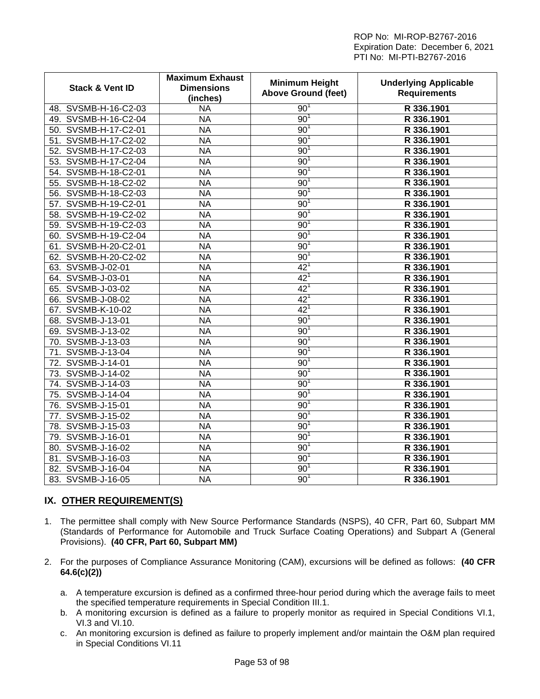| <b>Stack &amp; Vent ID</b> | <b>Maximum Exhaust</b><br><b>Dimensions</b><br>(inches) | <b>Minimum Height</b><br><b>Above Ground (feet)</b> | <b>Underlying Applicable</b><br><b>Requirements</b> |
|----------------------------|---------------------------------------------------------|-----------------------------------------------------|-----------------------------------------------------|
| 48. SVSMB-H-16-C2-03       | <b>NA</b>                                               | $90^1$                                              | R 336.1901                                          |
| 49. SVSMB-H-16-C2-04       | <b>NA</b>                                               | $90^{\circ}$                                        | R 336.1901                                          |
| 50. SVSMB-H-17-C2-01       | <b>NA</b>                                               | $90^{\degree}$                                      | R 336.1901                                          |
| 51. SVSMB-H-17-C2-02       | <b>NA</b>                                               | $90^{\degree}$                                      | R 336.1901                                          |
| SVSMB-H-17-C2-03<br>52.    | <b>NA</b>                                               | 90                                                  | R 336.1901                                          |
| 53. SVSMB-H-17-C2-04       | <b>NA</b>                                               | 90                                                  | R 336.1901                                          |
| 54. SVSMB-H-18-C2-01       | <b>NA</b>                                               | $90^{\circ}$                                        | R 336.1901                                          |
| SVSMB-H-18-C2-02<br>55.    | <b>NA</b>                                               | $90^1$                                              | R 336.1901                                          |
| SVSMB-H-18-C2-03<br>56.    | <b>NA</b>                                               | 90 <sup>7</sup>                                     | R 336.1901                                          |
| SVSMB-H-19-C2-01<br>57.    | <b>NA</b>                                               | $90^{\circ}$                                        | R 336.1901                                          |
| 58. SVSMB-H-19-C2-02       | <b>NA</b>                                               | $90^{\circ}$                                        | R 336.1901                                          |
| 59. SVSMB-H-19-C2-03       | <b>NA</b>                                               | 90 <sup>7</sup>                                     | R 336.1901                                          |
| 60. SVSMB-H-19-C2-04       | <b>NA</b>                                               | $90^{\degree}$                                      | R 336.1901                                          |
| SVSMB-H-20-C2-01<br>61.    | <b>NA</b>                                               | 90 <sup>7</sup>                                     | R 336.1901                                          |
| 62. SVSMB-H-20-C2-02       | <b>NA</b>                                               | $90^{\degree}$                                      | R 336.1901                                          |
| SVSMB-J-02-01<br>63.       | <b>NA</b>                                               | $42^{\circ}$                                        | R 336.1901                                          |
| 64. SVSMB-J-03-01          | <b>NA</b>                                               | $42^{\circ}$                                        | R 336.1901                                          |
| 65. SVSMB-J-03-02          | <b>NA</b>                                               | $42^1$                                              | R 336.1901                                          |
| 66. SVSMB-J-08-02          | <b>NA</b>                                               | 42 <sup>1</sup>                                     | R 336.1901                                          |
| SVSMB-K-10-02<br>67.       | <b>NA</b>                                               | $42^{\circ}$                                        | R 336.1901                                          |
| 68. SVSMB-J-13-01          | <b>NA</b>                                               | $90^{\circ}$                                        | R 336.1901                                          |
| 69. SVSMB-J-13-02          | <b>NA</b>                                               | $90^{\circ}$                                        | R 336.1901                                          |
| 70. SVSMB-J-13-03          | <b>NA</b>                                               | 90 <sup>7</sup>                                     | R 336.1901                                          |
| 71. SVSMB-J-13-04          | <b>NA</b>                                               | $90^{\degree}$                                      | R 336.1901                                          |
| 72. SVSMB-J-14-01          | <b>NA</b>                                               | $90^{\degree}$                                      | R 336.1901                                          |
| 73. SVSMB-J-14-02          | <b>NA</b>                                               | 90                                                  | R 336.1901                                          |
| SVSMB-J-14-03<br>74.       | N <sub>A</sub>                                          | $90^{\degree}$                                      | R 336.1901                                          |
| SVSMB-J-14-04<br>75.       | <b>NA</b>                                               | 90                                                  | R 336.1901                                          |
| 76. SVSMB-J-15-01          | <b>NA</b>                                               | 90                                                  | R 336.1901                                          |
| SVSMB-J-15-02<br>77.       | <b>NA</b>                                               | 90 <sup>7</sup>                                     | R 336.1901                                          |
| SVSMB-J-15-03<br>78.       | <b>NA</b>                                               | 90 <sup>7</sup>                                     | R 336.1901                                          |
| SVSMB-J-16-01<br>79.       | <b>NA</b>                                               | $90^{\circ}$                                        | R 336.1901                                          |
| SVSMB-J-16-02<br>80.       | <b>NA</b>                                               | $90^{\circ}$                                        | R 336.1901                                          |
| 81. SVSMB-J-16-03          | <b>NA</b>                                               | 90                                                  | R 336.1901                                          |
| SVSMB-J-16-04<br>82.       | <b>NA</b>                                               | $90^{\degree}$                                      | R 336.1901                                          |
| SVSMB-J-16-05<br>83.       | <b>NA</b>                                               | $90^1$                                              | R 336.1901                                          |

# **IX. OTHER REQUIREMENT(S)**

- 1. The permittee shall comply with New Source Performance Standards (NSPS), 40 CFR, Part 60, Subpart MM (Standards of Performance for Automobile and Truck Surface Coating Operations) and Subpart A (General Provisions). **(40 CFR, Part 60, Subpart MM)**
- 2. For the purposes of Compliance Assurance Monitoring (CAM), excursions will be defined as follows: **(40 CFR 64.6(c)(2))**
	- a. A temperature excursion is defined as a confirmed three-hour period during which the average fails to meet the specified temperature requirements in Special Condition III.1.
	- b. A monitoring excursion is defined as a failure to properly monitor as required in Special Conditions VI.1, VI.3 and VI.10.
	- c. An monitoring excursion is defined as failure to properly implement and/or maintain the O&M plan required in Special Conditions VI.11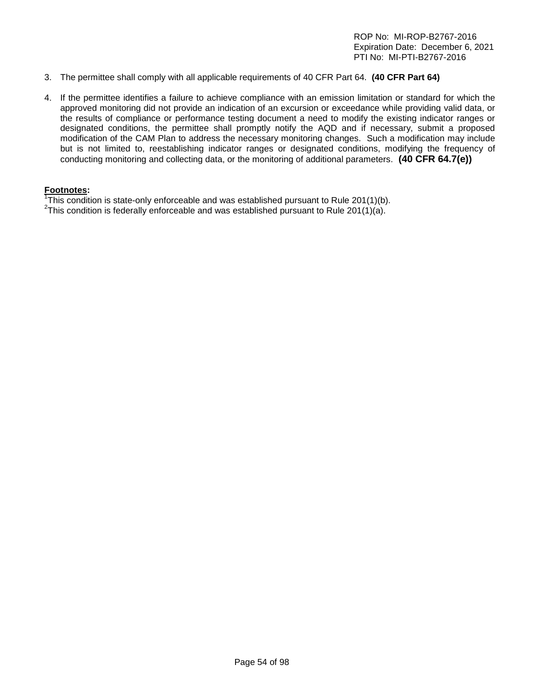- 3. The permittee shall comply with all applicable requirements of 40 CFR Part 64. **(40 CFR Part 64)**
- 4. If the permittee identifies a failure to achieve compliance with an emission limitation or standard for which the approved monitoring did not provide an indication of an excursion or exceedance while providing valid data, or the results of compliance or performance testing document a need to modify the existing indicator ranges or designated conditions, the permittee shall promptly notify the AQD and if necessary, submit a proposed modification of the CAM Plan to address the necessary monitoring changes. Such a modification may include but is not limited to, reestablishing indicator ranges or designated conditions, modifying the frequency of conducting monitoring and collecting data, or the monitoring of additional parameters. **(40 CFR 64.7(e))**

#### **Footnotes:**

<sup>1</sup>This condition is state-only enforceable and was established pursuant to Rule 201(1)(b).<br><sup>2</sup>This condition is foderally enforceable and was established pursuant to Rule 201(1)(o).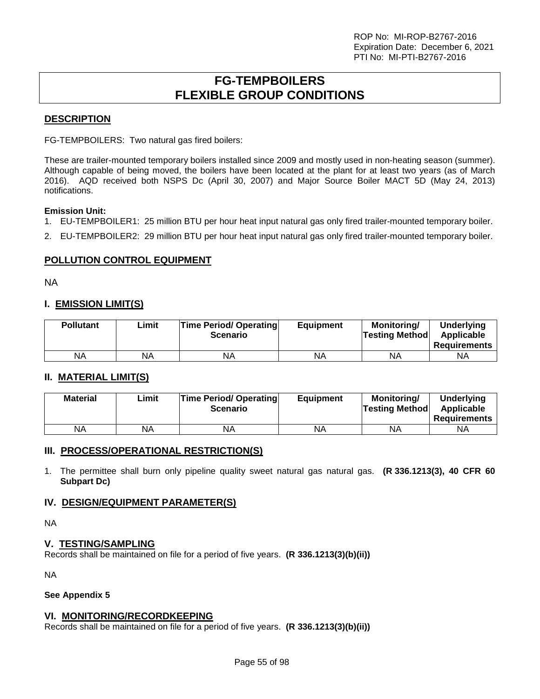# **FG-TEMPBOILERS FLEXIBLE GROUP CONDITIONS**

# **DESCRIPTION**

FG-TEMPBOILERS: Two natural gas fired boilers:

These are trailer-mounted temporary boilers installed since 2009 and mostly used in non-heating season (summer). Although capable of being moved, the boilers have been located at the plant for at least two years (as of March 2016). AQD received both NSPS Dc (April 30, 2007) and Major Source Boiler MACT 5D (May 24, 2013) notifications.

#### **Emission Unit:**

- 1. EU-TEMPBOILER1: 25 million BTU per hour heat input natural gas only fired trailer-mounted temporary boiler.
- 2. EU-TEMPBOILER2: 29 million BTU per hour heat input natural gas only fired trailer-mounted temporary boiler.

# **POLLUTION CONTROL EQUIPMENT**

NA

# **I. EMISSION LIMIT(S)**

| <b>Pollutant</b> | ∟imit | <b>Time Period/ Operating</b><br><b>Scenario</b> | <b>Equipment</b> | <b>Monitoring/</b><br><b>Testing Method</b> | <b>Underlying</b><br>Applicable<br><b>Requirements</b> |
|------------------|-------|--------------------------------------------------|------------------|---------------------------------------------|--------------------------------------------------------|
| ΝA               | NA    | NΑ                                               | NA               | ΝA                                          | NA                                                     |

# **II. MATERIAL LIMIT(S)**

| <b>Material</b> | Limit | <b>Time Period/ Operating</b><br><b>Scenario</b> | <b>Equipment</b> | Monitoring/<br><b>Testing Method</b> | Underlying<br>Applicable<br><b>Requirements</b> |
|-----------------|-------|--------------------------------------------------|------------------|--------------------------------------|-------------------------------------------------|
| <b>NA</b>       | NA    | ΝA                                               | NA               | ΝA                                   | ΝA                                              |

# **III. PROCESS/OPERATIONAL RESTRICTION(S)**

1. The permittee shall burn only pipeline quality sweet natural gas natural gas. **(R 336.1213(3), 40 CFR 60 Subpart Dc)**

# **IV. DESIGN/EQUIPMENT PARAMETER(S)**

NA

# **V. TESTING/SAMPLING**

Records shall be maintained on file for a period of five years. **(R 336.1213(3)(b)(ii))**

NA

#### **See Appendix 5**

# **VI. MONITORING/RECORDKEEPING**

Records shall be maintained on file for a period of five years. **(R 336.1213(3)(b)(ii))**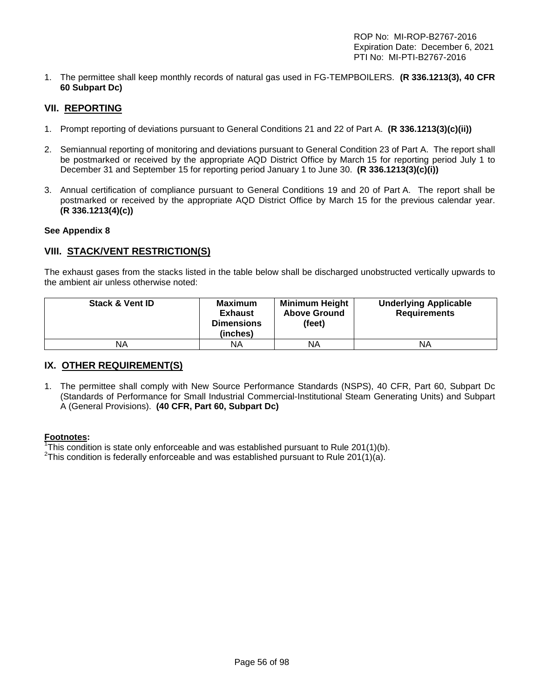1. The permittee shall keep monthly records of natural gas used in FG-TEMPBOILERS. **(R 336.1213(3), 40 CFR 60 Subpart Dc)**

# **VII. REPORTING**

- 1. Prompt reporting of deviations pursuant to General Conditions 21 and 22 of Part A. **(R 336.1213(3)(c)(ii))**
- 2. Semiannual reporting of monitoring and deviations pursuant to General Condition 23 of Part A. The report shall be postmarked or received by the appropriate AQD District Office by March 15 for reporting period July 1 to December 31 and September 15 for reporting period January 1 to June 30. **(R 336.1213(3)(c)(i))**
- 3. Annual certification of compliance pursuant to General Conditions 19 and 20 of Part A. The report shall be postmarked or received by the appropriate AQD District Office by March 15 for the previous calendar year. **(R 336.1213(4)(c))**

#### **See Appendix 8**

# **VIII. STACK/VENT RESTRICTION(S)**

The exhaust gases from the stacks listed in the table below shall be discharged unobstructed vertically upwards to the ambient air unless otherwise noted:

| <b>Stack &amp; Vent ID</b> | <b>Maximum</b><br><b>Exhaust</b><br><b>Dimensions</b><br>(inches) | <b>Minimum Height</b><br><b>Above Ground</b><br>(feet) | <b>Underlying Applicable</b><br><b>Requirements</b> |
|----------------------------|-------------------------------------------------------------------|--------------------------------------------------------|-----------------------------------------------------|
| ΝA                         | ΝA                                                                | ΝA                                                     | ΝA                                                  |

# **IX. OTHER REQUIREMENT(S)**

1. The permittee shall comply with New Source Performance Standards (NSPS), 40 CFR, Part 60, Subpart Dc (Standards of Performance for Small Industrial Commercial-Institutional Steam Generating Units) and Subpart A (General Provisions). **(40 CFR, Part 60, Subpart Dc)**

#### **Footnotes:**

<sup>1</sup>This condition is state only enforceable and was established pursuant to Rule 201(1)(b).<br><sup>2</sup>This condition is foderally enforceable and was established pursuant to Rule 201(1)(c).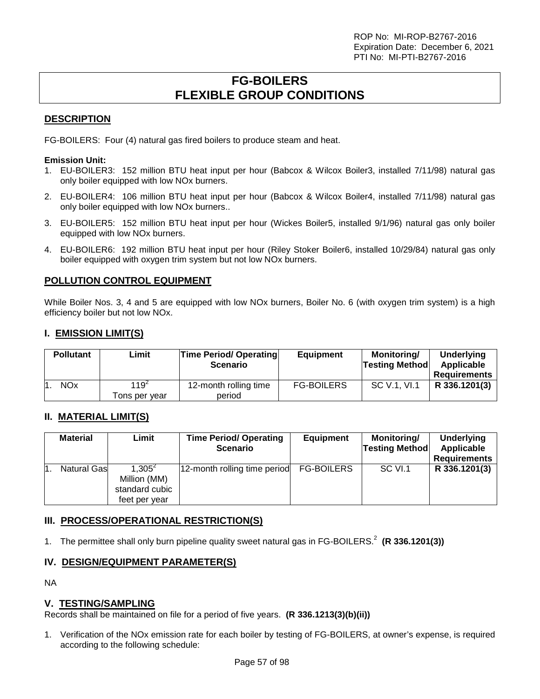# **FG-BOILERS FLEXIBLE GROUP CONDITIONS**

# **DESCRIPTION**

FG-BOILERS: Four (4) natural gas fired boilers to produce steam and heat.

#### **Emission Unit:**

- 1. EU-BOILER3: 152 million BTU heat input per hour (Babcox & Wilcox Boiler3, installed 7/11/98) natural gas only boiler equipped with low NOx burners.
- 2. EU-BOILER4: 106 million BTU heat input per hour (Babcox & Wilcox Boiler4, installed 7/11/98) natural gas only boiler equipped with low NOx burners..
- 3. EU-BOILER5: 152 million BTU heat input per hour (Wickes Boiler5, installed 9/1/96) natural gas only boiler equipped with low NOx burners.
- 4. EU-BOILER6: 192 million BTU heat input per hour (Riley Stoker Boiler6, installed 10/29/84) natural gas only boiler equipped with oxygen trim system but not low NOx burners.

# **POLLUTION CONTROL EQUIPMENT**

While Boiler Nos. 3, 4 and 5 are equipped with low NOx burners, Boiler No. 6 (with oxygen trim system) is a high efficiency boiler but not low NOx.

# **I. EMISSION LIMIT(S)**

| <b>Pollutant</b>      | Limit                    | Time Period/ Operating<br><b>Scenario</b> | <b>Equipment</b>  | Monitoring/<br><b>Testing Method</b> | <b>Underlying</b><br>Applicable<br><b>Requirements</b> |
|-----------------------|--------------------------|-------------------------------------------|-------------------|--------------------------------------|--------------------------------------------------------|
| <b>NO<sub>x</sub></b> | $119^2$<br>Tons per vear | 12-month rolling time<br>period           | <b>FG-BOILERS</b> | SC V.1. VI.1                         | R 336.1201(3)                                          |

# **II. MATERIAL LIMIT(S)**

| <b>Material</b>     | Limit                                                          | <b>Time Period/ Operating</b><br><b>Scenario</b> | <b>Equipment</b>  | Monitoring/<br><b>Testing Method</b> | Underlying<br>Applicable<br><b>Requirements</b> |
|---------------------|----------------------------------------------------------------|--------------------------------------------------|-------------------|--------------------------------------|-------------------------------------------------|
| <b>Natural Gasl</b> | $1.305^{2}$<br>Million (MM)<br>standard cubic<br>feet per year | 12-month rolling time period                     | <b>FG-BOILERS</b> | SC VI.1                              | R 336.1201(3)                                   |

# **III. PROCESS/OPERATIONAL RESTRICTION(S)**

1. The permittee shall only burn pipeline quality sweet natural gas in FG-BOILERS. 2 **(R 336.1201(3))**

# **IV. DESIGN/EQUIPMENT PARAMETER(S)**

NA

# **V. TESTING/SAMPLING**

Records shall be maintained on file for a period of five years. **(R 336.1213(3)(b)(ii))**

1. Verification of the NOx emission rate for each boiler by testing of FG-BOILERS, at owner's expense, is required according to the following schedule: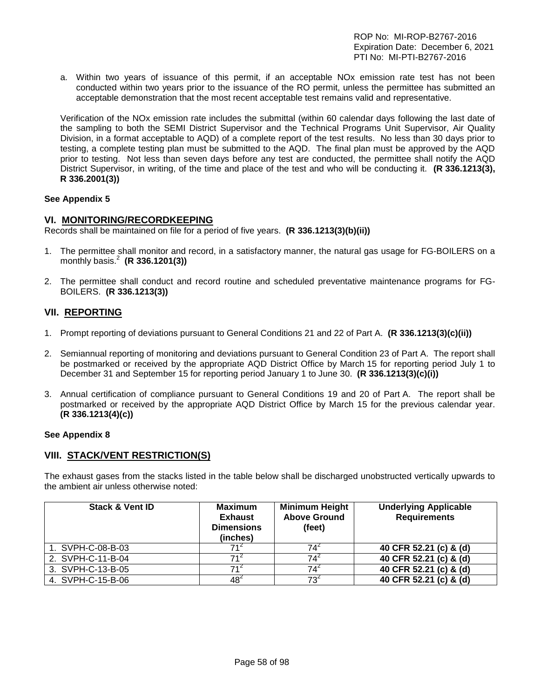a. Within two years of issuance of this permit, if an acceptable NOx emission rate test has not been conducted within two years prior to the issuance of the RO permit, unless the permittee has submitted an acceptable demonstration that the most recent acceptable test remains valid and representative.

Verification of the NOx emission rate includes the submittal (within 60 calendar days following the last date of the sampling to both the SEMI District Supervisor and the Technical Programs Unit Supervisor, Air Quality Division, in a format acceptable to AQD) of a complete report of the test results. No less than 30 days prior to testing, a complete testing plan must be submitted to the AQD. The final plan must be approved by the AQD prior to testing. Not less than seven days before any test are conducted, the permittee shall notify the AQD District Supervisor, in writing, of the time and place of the test and who will be conducting it. **(R 336.1213(3), R 336.2001(3))**

#### **See Appendix 5**

#### **VI. MONITORING/RECORDKEEPING**

Records shall be maintained on file for a period of five years. **(R 336.1213(3)(b)(ii))**

- 1. The permittee shall monitor and record, in a satisfactory manner, the natural gas usage for FG-BOILERS on a monthly basis.<sup>2</sup> **(R 336.1201(3))**
- 2. The permittee shall conduct and record routine and scheduled preventative maintenance programs for FG-BOILERS. **(R 336.1213(3))**

# **VII. REPORTING**

- 1. Prompt reporting of deviations pursuant to General Conditions 21 and 22 of Part A. **(R 336.1213(3)(c)(ii))**
- 2. Semiannual reporting of monitoring and deviations pursuant to General Condition 23 of Part A. The report shall be postmarked or received by the appropriate AQD District Office by March 15 for reporting period July 1 to December 31 and September 15 for reporting period January 1 to June 30. **(R 336.1213(3)(c)(i))**
- 3. Annual certification of compliance pursuant to General Conditions 19 and 20 of Part A. The report shall be postmarked or received by the appropriate AQD District Office by March 15 for the previous calendar year. **(R 336.1213(4)(c))**

#### **See Appendix 8**

# **VIII. STACK/VENT RESTRICTION(S)**

The exhaust gases from the stacks listed in the table below shall be discharged unobstructed vertically upwards to the ambient air unless otherwise noted:

| <b>Stack &amp; Vent ID</b> | <b>Maximum</b><br><b>Exhaust</b><br><b>Dimensions</b><br>(inches) | <b>Minimum Height</b><br><b>Above Ground</b><br>(feet) | <b>Underlying Applicable</b><br><b>Requirements</b> |
|----------------------------|-------------------------------------------------------------------|--------------------------------------------------------|-----------------------------------------------------|
| 1. SVPH-C-08-B-03          | 714                                                               | 74                                                     | 40 CFR 52.21 (c) & (d)                              |
| 2. SVPH-C-11-B-04          |                                                                   | 74                                                     | 40 CFR 52.21 (c) & (d)                              |
| 3. SVPH-C-13-B-05          | 71 <sup>4</sup>                                                   | 74'                                                    | 40 CFR 52.21 (c) & (d)                              |
| 4. SVPH-C-15-B-06          | $48^2$                                                            | 73 <sup>4</sup>                                        | 40 CFR 52.21 (c) & (d)                              |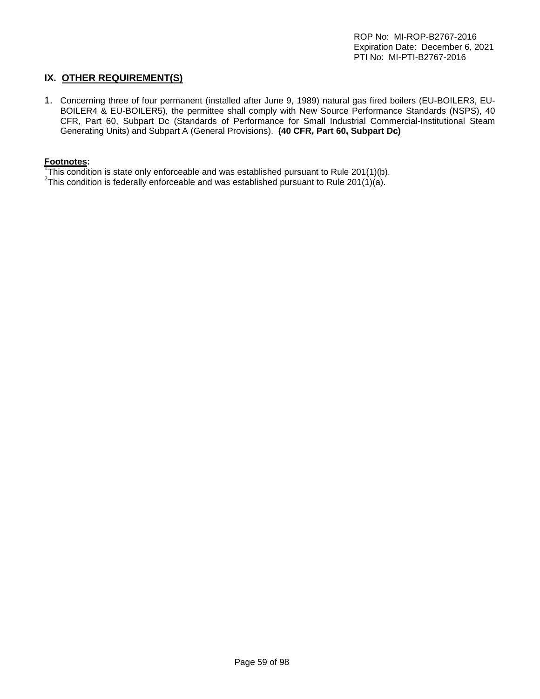# **IX. OTHER REQUIREMENT(S)**

1. Concerning three of four permanent (installed after June 9, 1989) natural gas fired boilers (EU-BOILER3, EU-BOILER4 & EU-BOILER5), the permittee shall comply with New Source Performance Standards (NSPS), 40 CFR, Part 60, Subpart Dc (Standards of Performance for Small Industrial Commercial-Institutional Steam Generating Units) and Subpart A (General Provisions). **(40 CFR, Part 60, Subpart Dc)**

#### **Footnotes:**

<sup>1</sup>This condition is state only enforceable and was established pursuant to Rule 201(1)(b).<br><sup>2</sup>This condition is foderally enforceable and was established pursuant to Rule 201(1)(c).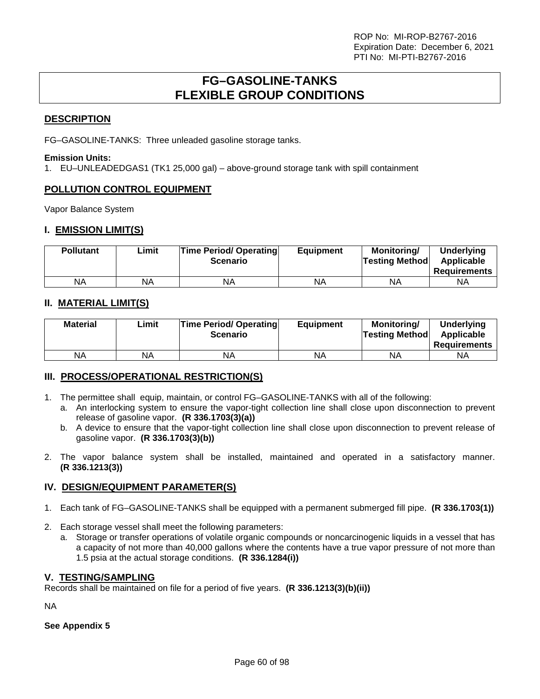# **FG–GASOLINE-TANKS FLEXIBLE GROUP CONDITIONS**

# **DESCRIPTION**

FG–GASOLINE-TANKS: Three unleaded gasoline storage tanks.

#### **Emission Units:**

1. EU–UNLEADEDGAS1 (TK1 25,000 gal) – above-ground storage tank with spill containment

# **POLLUTION CONTROL EQUIPMENT**

Vapor Balance System

# **I. EMISSION LIMIT(S)**

| <b>Pollutant</b> | ∟imit | <b>Time Period/ Operating</b><br><b>Scenario</b> | <b>Equipment</b> | Monitoring/<br><b>Testing Method</b> | <b>Underlying</b><br>Applicable<br><b>Requirements</b> |
|------------------|-------|--------------------------------------------------|------------------|--------------------------------------|--------------------------------------------------------|
| <b>NA</b>        | NA    | NA                                               | NA               | <b>NA</b>                            | ΝA                                                     |

# **II. MATERIAL LIMIT(S)**

| <b>Material</b> | Limit | <b>Time Period/ Operating</b><br><b>Scenario</b> | <b>Equipment</b> | Monitorina/<br><b>Testing Method</b> | Underlying<br>Applicable<br><b>Requirements</b> |
|-----------------|-------|--------------------------------------------------|------------------|--------------------------------------|-------------------------------------------------|
| ΝA              | NA    | ΝA                                               | NA               | ΝA                                   | ΝA                                              |

# **III. PROCESS/OPERATIONAL RESTRICTION(S)**

- 1. The permittee shall equip, maintain, or control FG–GASOLINE-TANKS with all of the following:
	- a. An interlocking system to ensure the vapor-tight collection line shall close upon disconnection to prevent release of gasoline vapor. **(R 336.1703(3)(a))**
	- b. A device to ensure that the vapor-tight collection line shall close upon disconnection to prevent release of gasoline vapor. **(R 336.1703(3)(b))**
- 2. The vapor balance system shall be installed, maintained and operated in a satisfactory manner. **(R 336.1213(3))**

# **IV. DESIGN/EQUIPMENT PARAMETER(S)**

- 1. Each tank of FG–GASOLINE-TANKS shall be equipped with a permanent submerged fill pipe. **(R 336.1703(1))**
- 2. Each storage vessel shall meet the following parameters:
	- a. Storage or transfer operations of volatile organic compounds or noncarcinogenic liquids in a vessel that has a capacity of not more than 40,000 gallons where the contents have a true vapor pressure of not more than 1.5 psia at the actual storage conditions. **(R 336.1284(i))**

# **V. TESTING/SAMPLING**

Records shall be maintained on file for a period of five years. **(R 336.1213(3)(b)(ii))**

NA

**See Appendix 5**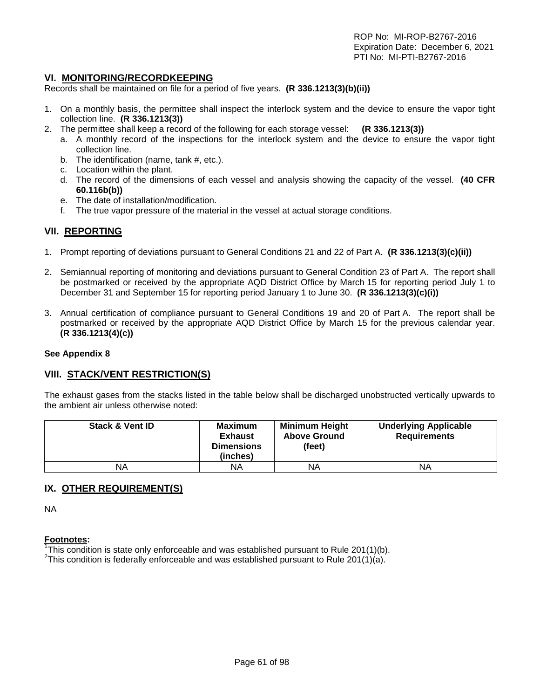# **VI. MONITORING/RECORDKEEPING**

Records shall be maintained on file for a period of five years. **(R 336.1213(3)(b)(ii))**

- 1. On a monthly basis, the permittee shall inspect the interlock system and the device to ensure the vapor tight collection line. **(R 336.1213(3))**
- 2. The permittee shall keep a record of the following for each storage vessel: **(R 336.1213(3))**
	- a. A monthly record of the inspections for the interlock system and the device to ensure the vapor tight collection line.
		- b. The identification (name, tank #, etc.).
		- c. Location within the plant.
		- d. The record of the dimensions of each vessel and analysis showing the capacity of the vessel. **(40 CFR 60.116b(b))**
		- e. The date of installation/modification.
		- f. The true vapor pressure of the material in the vessel at actual storage conditions.

# **VII. REPORTING**

- 1. Prompt reporting of deviations pursuant to General Conditions 21 and 22 of Part A. **(R 336.1213(3)(c)(ii))**
- 2. Semiannual reporting of monitoring and deviations pursuant to General Condition 23 of Part A. The report shall be postmarked or received by the appropriate AQD District Office by March 15 for reporting period July 1 to December 31 and September 15 for reporting period January 1 to June 30. **(R 336.1213(3)(c)(i))**
- 3. Annual certification of compliance pursuant to General Conditions 19 and 20 of Part A. The report shall be postmarked or received by the appropriate AQD District Office by March 15 for the previous calendar year. **(R 336.1213(4)(c))**

#### **See Appendix 8**

# **VIII. STACK/VENT RESTRICTION(S)**

The exhaust gases from the stacks listed in the table below shall be discharged unobstructed vertically upwards to the ambient air unless otherwise noted:

| <b>Stack &amp; Vent ID</b> | <b>Maximum</b><br><b>Exhaust</b><br><b>Dimensions</b><br>(inches) | <b>Minimum Height</b><br><b>Above Ground</b><br>(feet) | <b>Underlying Applicable</b><br><b>Requirements</b> |
|----------------------------|-------------------------------------------------------------------|--------------------------------------------------------|-----------------------------------------------------|
| ΝA                         | ΝA                                                                | ΝA                                                     | <b>NA</b>                                           |

# **IX. OTHER REQUIREMENT(S)**

NA

#### **Footnotes:**

<sup>1</sup>This condition is state only enforceable and was established pursuant to Rule 201(1)(b).<br><sup>2</sup>This condition is foderally enforceable and was established pursuant to Rule 201(1)(c).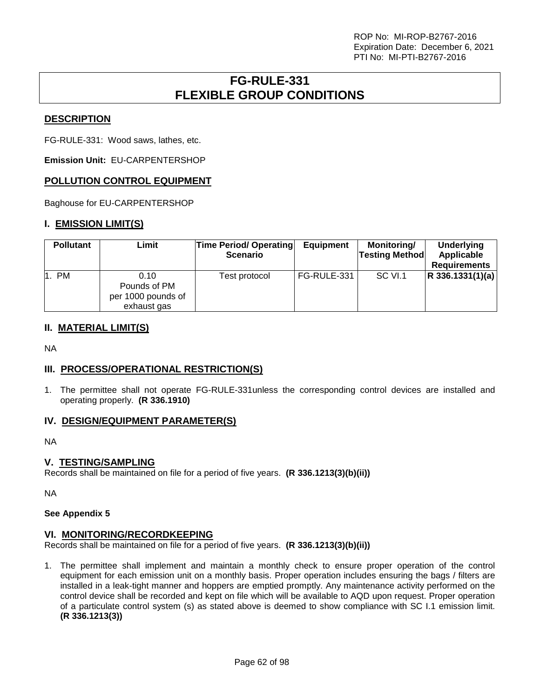# **FG-RULE-331 FLEXIBLE GROUP CONDITIONS**

# **DESCRIPTION**

FG-RULE-331: Wood saws, lathes, etc.

**Emission Unit:** EU-CARPENTERSHOP

# **POLLUTION CONTROL EQUIPMENT**

Baghouse for EU-CARPENTERSHOP

# **I. EMISSION LIMIT(S)**

| <b>Pollutant</b> | Limit                                                     | <b>Time Period/ Operating</b><br><b>Scenario</b> | <b>Equipment</b> | <b>Monitoring/</b><br><b>Testing Method</b> | <b>Underlying</b><br>Applicable<br><b>Requirements</b> |
|------------------|-----------------------------------------------------------|--------------------------------------------------|------------------|---------------------------------------------|--------------------------------------------------------|
| 1. PM            | 0.10<br>Pounds of PM<br>per 1000 pounds of<br>exhaust gas | Test protocol                                    | FG-RULE-331      | SC VI.1                                     | $ R$ 336.1331(1)(a)                                    |

# **II. MATERIAL LIMIT(S)**

NA

# **III. PROCESS/OPERATIONAL RESTRICTION(S)**

1. The permittee shall not operate FG-RULE-331unless the corresponding control devices are installed and operating properly. **(R 336.1910)**

# **IV. DESIGN/EQUIPMENT PARAMETER(S)**

NA

# **V. TESTING/SAMPLING**

Records shall be maintained on file for a period of five years. **(R 336.1213(3)(b)(ii))**

NA

# **See Appendix 5**

# **VI. MONITORING/RECORDKEEPING**

Records shall be maintained on file for a period of five years. **(R 336.1213(3)(b)(ii))**

1. The permittee shall implement and maintain a monthly check to ensure proper operation of the control equipment for each emission unit on a monthly basis. Proper operation includes ensuring the bags / filters are installed in a leak-tight manner and hoppers are emptied promptly. Any maintenance activity performed on the control device shall be recorded and kept on file which will be available to AQD upon request. Proper operation of a particulate control system (s) as stated above is deemed to show compliance with SC I.1 emission limit. **(R 336.1213(3))**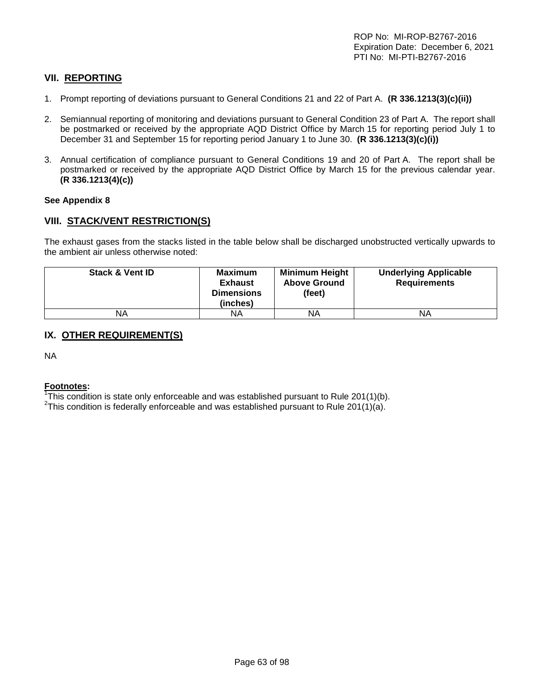# **VII. REPORTING**

- 1. Prompt reporting of deviations pursuant to General Conditions 21 and 22 of Part A. **(R 336.1213(3)(c)(ii))**
- 2. Semiannual reporting of monitoring and deviations pursuant to General Condition 23 of Part A. The report shall be postmarked or received by the appropriate AQD District Office by March 15 for reporting period July 1 to December 31 and September 15 for reporting period January 1 to June 30. **(R 336.1213(3)(c)(i))**
- 3. Annual certification of compliance pursuant to General Conditions 19 and 20 of Part A. The report shall be postmarked or received by the appropriate AQD District Office by March 15 for the previous calendar year. **(R 336.1213(4)(c))**

#### **See Appendix 8**

# **VIII. STACK/VENT RESTRICTION(S)**

The exhaust gases from the stacks listed in the table below shall be discharged unobstructed vertically upwards to the ambient air unless otherwise noted:

| <b>Stack &amp; Vent ID</b> | Maximum<br><b>Exhaust</b><br><b>Dimensions</b><br>(inches) | <b>Minimum Height</b><br><b>Above Ground</b><br>(feet) | <b>Underlying Applicable</b><br><b>Requirements</b> |
|----------------------------|------------------------------------------------------------|--------------------------------------------------------|-----------------------------------------------------|
| NA                         | ΝA                                                         | ΝA                                                     | <b>NA</b>                                           |

# **IX. OTHER REQUIREMENT(S)**

NA

#### **Footnotes:**

<sup>1</sup>This condition is state only enforceable and was established pursuant to Rule 201(1)(b).<br><sup>2</sup>This condition is foderally enforceable and was established pursuant to Rule 201(1)(c).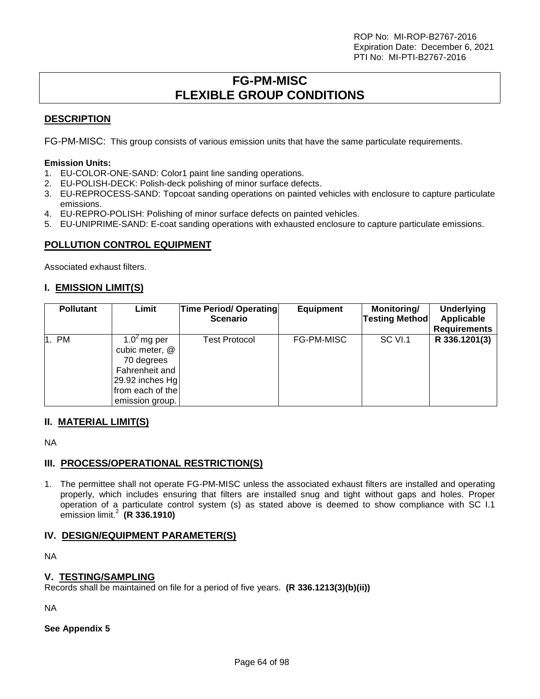# **FG-PM-MISC FLEXIBLE GROUP CONDITIONS**

# **DESCRIPTION**

FG-PM-MISC: This group consists of various emission units that have the same particulate requirements.

#### **Emission Units:**

- 1. EU-COLOR-ONE-SAND: Color1 paint line sanding operations.
- 2. EU-POLISH-DECK: Polish-deck polishing of minor surface defects.
- 3. EU-REPROCESS-SAND: Topcoat sanding operations on painted vehicles with enclosure to capture particulate emissions.
- 4. EU-REPRO-POLISH: Polishing of minor surface defects on painted vehicles.
- 5. EU-UNIPRIME-SAND: E-coat sanding operations with exhausted enclosure to capture particulate emissions.

# **POLLUTION CONTROL EQUIPMENT**

Associated exhaust filters.

# **I. EMISSION LIMIT(S)**

| <b>Pollutant</b> | Limit                                                                                                                      | <b>Time Period/ Operating</b><br><b>Scenario</b> | <b>Equipment</b> | Monitoring/<br><b>Testing Method</b> | <b>Underlying</b><br>Applicable<br><b>Requirements</b> |
|------------------|----------------------------------------------------------------------------------------------------------------------------|--------------------------------------------------|------------------|--------------------------------------|--------------------------------------------------------|
| 1. PM            | 1.0 $2$ mg per<br>cubic meter, @<br>70 degrees<br>Fahrenheit and<br>29.92 inches Hg<br>from each of the<br>emission group. | <b>Test Protocol</b>                             | FG-PM-MISC       | SC VI.1                              | R 336.1201(3)                                          |

# **II. MATERIAL LIMIT(S)**

NA

# **III. PROCESS/OPERATIONAL RESTRICTION(S)**

1. The permittee shall not operate FG-PM-MISC unless the associated exhaust filters are installed and operating properly, which includes ensuring that filters are installed snug and tight without gaps and holes. Proper operation of a particulate control system (s) as stated above is deemed to show compliance with SC I.1 emission limit.<sup>2</sup> **(R 336.1910)**

# **IV. DESIGN/EQUIPMENT PARAMETER(S)**

NA

# **V. TESTING/SAMPLING**

Records shall be maintained on file for a period of five years. **(R 336.1213(3)(b)(ii))**

NA

# **See Appendix 5**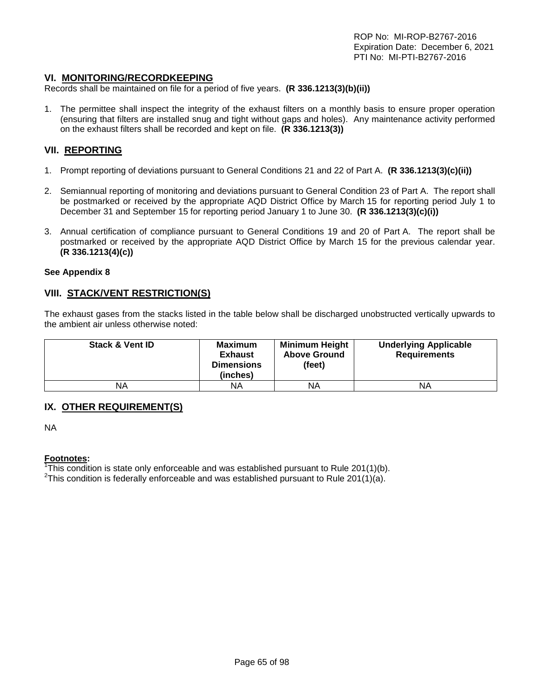#### **VI. MONITORING/RECORDKEEPING**

Records shall be maintained on file for a period of five years. **(R 336.1213(3)(b)(ii))**

1. The permittee shall inspect the integrity of the exhaust filters on a monthly basis to ensure proper operation (ensuring that filters are installed snug and tight without gaps and holes). Any maintenance activity performed on the exhaust filters shall be recorded and kept on file. **(R 336.1213(3))**

# **VII. REPORTING**

- 1. Prompt reporting of deviations pursuant to General Conditions 21 and 22 of Part A. **(R 336.1213(3)(c)(ii))**
- 2. Semiannual reporting of monitoring and deviations pursuant to General Condition 23 of Part A. The report shall be postmarked or received by the appropriate AQD District Office by March 15 for reporting period July 1 to December 31 and September 15 for reporting period January 1 to June 30. **(R 336.1213(3)(c)(i))**
- 3. Annual certification of compliance pursuant to General Conditions 19 and 20 of Part A. The report shall be postmarked or received by the appropriate AQD District Office by March 15 for the previous calendar year. **(R 336.1213(4)(c))**

#### **See Appendix 8**

#### **VIII. STACK/VENT RESTRICTION(S)**

The exhaust gases from the stacks listed in the table below shall be discharged unobstructed vertically upwards to the ambient air unless otherwise noted:

| <b>Stack &amp; Vent ID</b> | <b>Maximum</b><br><b>Exhaust</b><br><b>Dimensions</b><br>(inches) | <b>Minimum Height</b><br><b>Above Ground</b><br>(feet) | <b>Underlying Applicable</b><br><b>Requirements</b> |
|----------------------------|-------------------------------------------------------------------|--------------------------------------------------------|-----------------------------------------------------|
| ΝA                         | ΝA                                                                | ΝA                                                     | ΝA                                                  |

# **IX. OTHER REQUIREMENT(S)**

NA

#### **Footnotes:**

<sup>1</sup>This condition is state only enforceable and was established pursuant to Rule 201(1)(b).<br><sup>2</sup>This condition is foderally enforceable and was established pursuant to Rule 201(1)(a).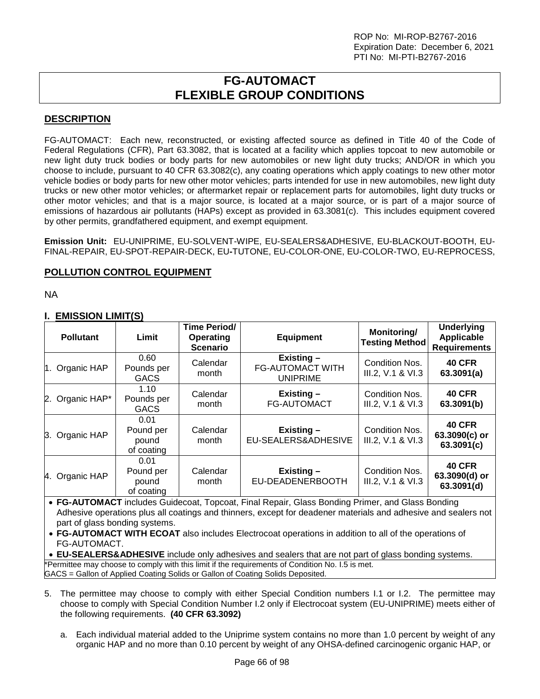# **FG-AUTOMACT FLEXIBLE GROUP CONDITIONS**

# **DESCRIPTION**

FG-AUTOMACT: Each new, reconstructed, or existing affected source as defined in Title 40 of the Code of Federal Regulations (CFR), Part 63.3082, that is located at a facility which applies topcoat to new automobile or new light duty truck bodies or body parts for new automobiles or new light duty trucks; AND/OR in which you choose to include, pursuant to 40 CFR 63.3082(c), any coating operations which apply coatings to new other motor vehicle bodies or body parts for new other motor vehicles; parts intended for use in new automobiles, new light duty trucks or new other motor vehicles; or aftermarket repair or replacement parts for automobiles, light duty trucks or other motor vehicles; and that is a major source, is located at a major source, or is part of a major source of emissions of hazardous air pollutants (HAPs) except as provided in 63.3081(c). This includes equipment covered by other permits, grandfathered equipment, and exempt equipment.

**Emission Unit:** EU-UNIPRIME, EU-SOLVENT-WIPE, EU-SEALERS&ADHESIVE, EU-BLACKOUT-BOOTH, EU-FINAL-REPAIR, EU-SPOT-REPAIR-DECK, EU**-**TUTONE, EU-COLOR-ONE, EU-COLOR-TWO, EU-REPROCESS,

# **POLLUTION CONTROL EQUIPMENT**

NA

# **I. EMISSION LIMIT(S)**

| <b>Pollutant</b> | Limit                                    | Time Period/<br><b>Operating</b><br><b>Scenario</b> | <b>Equipment</b>                                        | Monitoring/<br><b>Testing Method</b> | <b>Underlying</b><br><b>Applicable</b><br><b>Requirements</b> |
|------------------|------------------------------------------|-----------------------------------------------------|---------------------------------------------------------|--------------------------------------|---------------------------------------------------------------|
| 1. Organic HAP   | 0.60<br>Pounds per<br><b>GACS</b>        | Calendar<br>month                                   | Existing-<br><b>FG-AUTOMACT WITH</b><br><b>UNIPRIME</b> | Condition Nos.<br>III.2, V.1 & VI.3  | <b>40 CFR</b><br>63.3091(a)                                   |
| 2. Organic HAP*  | 1.10<br>Pounds per<br><b>GACS</b>        | Calendar<br>month                                   | Existing -<br><b>FG-AUTOMACT</b>                        | Condition Nos.<br>III.2, V.1 & VI.3  | <b>40 CFR</b><br>63.3091(b)                                   |
| 3. Organic HAP   | 0.01<br>Pound per<br>pound<br>of coating | Calendar<br>month                                   | Existing -<br>EU-SEALERS&ADHESIVE                       | Condition Nos.<br>III.2, V.1 & VI.3  | <b>40 CFR</b><br>63.3090(c) or<br>63.3091(c)                  |
| 4. Organic HAP   | 0.01<br>Pound per<br>pound<br>of coating | Calendar<br>month                                   | Existing -<br>EU-DEADENERBOOTH                          | Condition Nos.<br>III.2, V.1 & VI.3  | <b>40 CFR</b><br>63.3090(d) or<br>63.3091(d)                  |

• **FG-AUTOMACT** includes Guidecoat, Topcoat, Final Repair, Glass Bonding Primer, and Glass Bonding Adhesive operations plus all coatings and thinners, except for deadener materials and adhesive and sealers not part of glass bonding systems.

• **FG-AUTOMACT WITH ECOAT** also includes Electrocoat operations in addition to all of the operations of FG-AUTOMACT.

• **EU-SEALERS&ADHESIVE** include only adhesives and sealers that are not part of glass bonding systems. \*Permittee may choose to comply with this limit if the requirements of Condition No. I.5 is met. GACS = Gallon of Applied Coating Solids or Gallon of Coating Solids Deposited.

- 5. The permittee may choose to comply with either Special Condition numbers I.1 or I.2. The permittee may choose to comply with Special Condition Number I.2 only if Electrocoat system (EU-UNIPRIME) meets either of the following requirements. **(40 CFR 63.3092)**
	- a. Each individual material added to the Uniprime system contains no more than 1.0 percent by weight of any organic HAP and no more than 0.10 percent by weight of any OHSA-defined carcinogenic organic HAP, or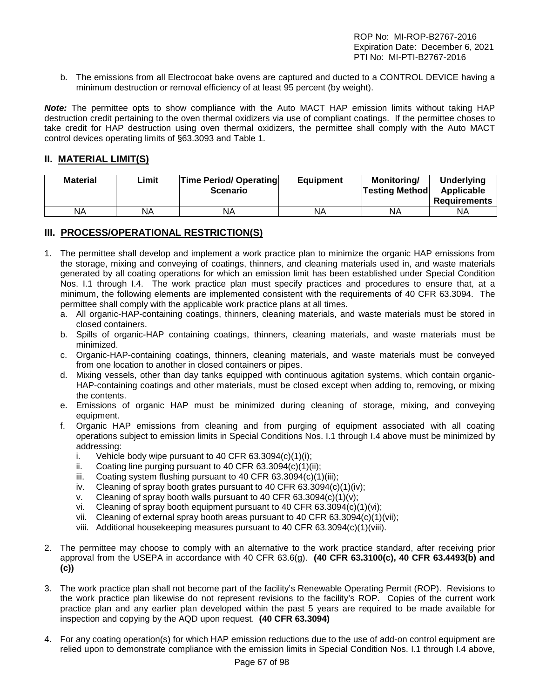b. The emissions from all Electrocoat bake ovens are captured and ducted to a CONTROL DEVICE having a minimum destruction or removal efficiency of at least 95 percent (by weight).

*Note:* The permittee opts to show compliance with the Auto MACT HAP emission limits without taking HAP destruction credit pertaining to the oven thermal oxidizers via use of compliant coatings. If the permittee choses to take credit for HAP destruction using oven thermal oxidizers, the permittee shall comply with the Auto MACT control devices operating limits of §63.3093 and Table 1.

# **II. MATERIAL LIMIT(S)**

| <b>Material</b> | Limit | <b>Time Period/ Operating</b><br><b>Scenario</b> | <b>Equipment</b> | Monitoring/<br><b>Testing Method</b> | Underlying<br>Applicable<br><b>Requirements</b> |
|-----------------|-------|--------------------------------------------------|------------------|--------------------------------------|-------------------------------------------------|
| ΝA              | NA    | ΝA                                               | NA               | ΝA                                   | NA                                              |

# **III. PROCESS/OPERATIONAL RESTRICTION(S)**

- 1. The permittee shall develop and implement a work practice plan to minimize the organic HAP emissions from the storage, mixing and conveying of coatings, thinners, and cleaning materials used in, and waste materials generated by all coating operations for which an emission limit has been established under Special Condition Nos. I.1 through I.4. The work practice plan must specify practices and procedures to ensure that, at a minimum, the following elements are implemented consistent with the requirements of 40 CFR 63.3094. The permittee shall comply with the applicable work practice plans at all times.
	- a. All organic-HAP-containing coatings, thinners, cleaning materials, and waste materials must be stored in closed containers.
	- b. Spills of organic-HAP containing coatings, thinners, cleaning materials, and waste materials must be minimized.
	- c. Organic-HAP-containing coatings, thinners, cleaning materials, and waste materials must be conveyed from one location to another in closed containers or pipes.
	- d. Mixing vessels, other than day tanks equipped with continuous agitation systems, which contain organic-HAP-containing coatings and other materials, must be closed except when adding to, removing, or mixing the contents.
	- e. Emissions of organic HAP must be minimized during cleaning of storage, mixing, and conveying equipment.
	- f. Organic HAP emissions from cleaning and from purging of equipment associated with all coating operations subject to emission limits in Special Conditions Nos. I.1 through I.4 above must be minimized by addressing:
		- i. Vehicle body wipe pursuant to 40 CFR  $63.3094(c)(1)(i)$ ;
		- ii. Coating line purging pursuant to 40 CFR 63.3094(c)(1)(ii);
		- iii. Coating system flushing pursuant to 40 CFR  $63.3094(c)(1)(iii)$ ;
		- iv. Cleaning of spray booth grates pursuant to 40 CFR  $63.3094(c)(1)(iv)$ ;
		- v. Cleaning of spray booth walls pursuant to 40 CFR  $63.3094(c)(1)(v)$ ;
		- vi. Cleaning of spray booth equipment pursuant to 40 CFR 63.3094(c)(1)(vi);
		- vii. Cleaning of external spray booth areas pursuant to 40 CFR 63.3094(c)(1)(vii);
		- viii. Additional housekeeping measures pursuant to 40 CFR 63.3094(c)(1)(viii).
- 2. The permittee may choose to comply with an alternative to the work practice standard, after receiving prior approval from the USEPA in accordance with 40 CFR 63.6(g). **(40 CFR 63.3100(c), 40 CFR 63.4493(b) and (c))**
- 3. The work practice plan shall not become part of the facility's Renewable Operating Permit (ROP). Revisions to the work practice plan likewise do not represent revisions to the facility's ROP. Copies of the current work practice plan and any earlier plan developed within the past 5 years are required to be made available for inspection and copying by the AQD upon request. **(40 CFR 63.3094)**
- 4. For any coating operation(s) for which HAP emission reductions due to the use of add-on control equipment are relied upon to demonstrate compliance with the emission limits in Special Condition Nos. I.1 through I.4 above,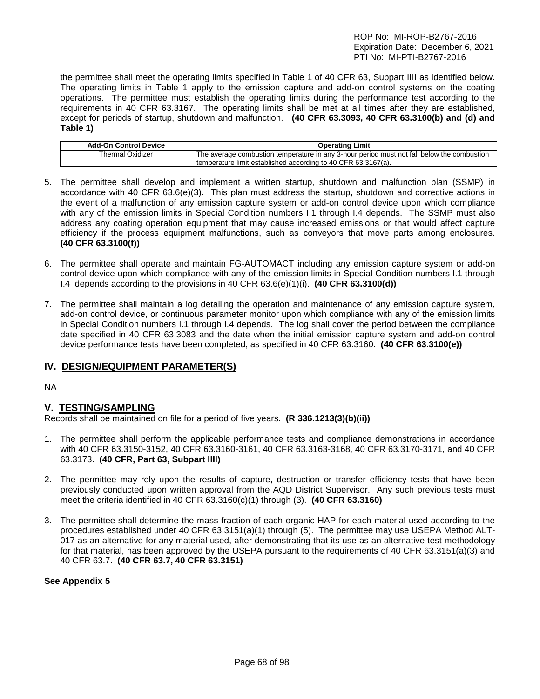the permittee shall meet the operating limits specified in Table 1 of 40 CFR 63, Subpart IIII as identified below. The operating limits in Table 1 apply to the emission capture and add-on control systems on the coating operations. The permittee must establish the operating limits during the performance test according to the requirements in 40 CFR 63.3167. The operating limits shall be met at all times after they are established, except for periods of startup, shutdown and malfunction. **(40 CFR 63.3093, 40 CFR 63.3100(b) and (d) and Table 1)**

| <b>Add-On Control Device</b> | <b>Operating Limit</b>                                                                     |
|------------------------------|--------------------------------------------------------------------------------------------|
| <b>Thermal Oxidizer</b>      | The average combustion temperature in any 3-hour period must not fall below the combustion |
|                              | temperature limit established according to 40 CFR 63.3167(a).                              |

- 5. The permittee shall develop and implement a written startup, shutdown and malfunction plan (SSMP) in accordance with 40 CFR 63.6(e)(3). This plan must address the startup, shutdown and corrective actions in the event of a malfunction of any emission capture system or add-on control device upon which compliance with any of the emission limits in Special Condition numbers I.1 through I.4 depends. The SSMP must also address any coating operation equipment that may cause increased emissions or that would affect capture efficiency if the process equipment malfunctions, such as conveyors that move parts among enclosures. **(40 CFR 63.3100(f))**
- 6. The permittee shall operate and maintain FG-AUTOMACT including any emission capture system or add-on control device upon which compliance with any of the emission limits in Special Condition numbers I.1 through I.4 depends according to the provisions in 40 CFR 63.6(e)(1)(i). **(40 CFR 63.3100(d))**
- 7. The permittee shall maintain a log detailing the operation and maintenance of any emission capture system, add-on control device, or continuous parameter monitor upon which compliance with any of the emission limits in Special Condition numbers I.1 through I.4 depends. The log shall cover the period between the compliance date specified in 40 CFR 63.3083 and the date when the initial emission capture system and add-on control device performance tests have been completed, as specified in 40 CFR 63.3160. **(40 CFR 63.3100(e))**

# **IV. DESIGN/EQUIPMENT PARAMETER(S)**

NA

# **V. TESTING/SAMPLING**

Records shall be maintained on file for a period of five years. **(R 336.1213(3)(b)(ii))**

- 1. The permittee shall perform the applicable performance tests and compliance demonstrations in accordance with 40 CFR 63.3150-3152, 40 CFR 63.3160-3161, 40 CFR 63.3163-3168, 40 CFR 63.3170-3171, and 40 CFR 63.3173. **(40 CFR, Part 63, Subpart IIII)**
- 2. The permittee may rely upon the results of capture, destruction or transfer efficiency tests that have been previously conducted upon written approval from the AQD District Supervisor. Any such previous tests must meet the criteria identified in 40 CFR 63.3160(c)(1) through (3). **(40 CFR 63.3160)**
- 3. The permittee shall determine the mass fraction of each organic HAP for each material used according to the procedures established under 40 CFR 63.3151(a)(1) through (5). The permittee may use USEPA Method ALT-017 as an alternative for any material used, after demonstrating that its use as an alternative test methodology for that material, has been approved by the USEPA pursuant to the requirements of 40 CFR 63.3151(a)(3) and 40 CFR 63.7. **(40 CFR 63.7, 40 CFR 63.3151)**

**See Appendix 5**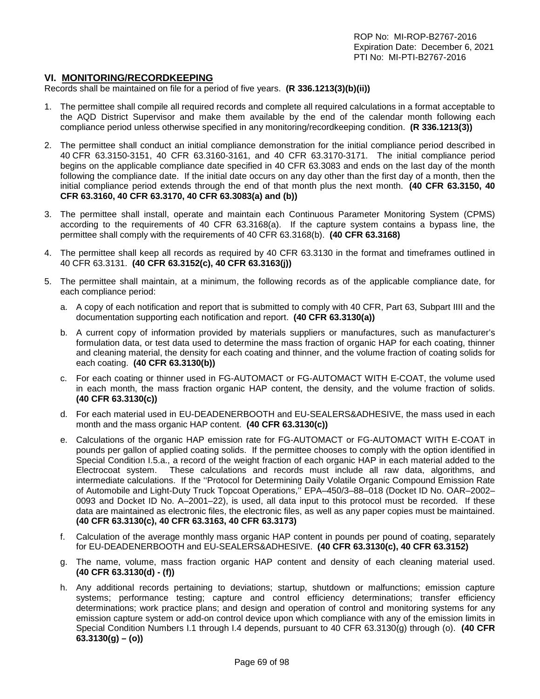# **VI. MONITORING/RECORDKEEPING**

Records shall be maintained on file for a period of five years. **(R 336.1213(3)(b)(ii))**

- 1. The permittee shall compile all required records and complete all required calculations in a format acceptable to the AQD District Supervisor and make them available by the end of the calendar month following each compliance period unless otherwise specified in any monitoring/recordkeeping condition. **(R 336.1213(3))**
- 2. The permittee shall conduct an initial compliance demonstration for the initial compliance period described in 40 CFR 63.3150-3151, 40 CFR 63.3160-3161, and 40 CFR 63.3170-3171. The initial compliance period begins on the applicable compliance date specified in 40 CFR 63.3083 and ends on the last day of the month following the compliance date. If the initial date occurs on any day other than the first day of a month, then the initial compliance period extends through the end of that month plus the next month. **(40 CFR 63.3150, 40 CFR 63.3160, 40 CFR 63.3170, 40 CFR 63.3083(a) and (b))**
- 3. The permittee shall install, operate and maintain each Continuous Parameter Monitoring System (CPMS) according to the requirements of 40 CFR 63.3168(a). If the capture system contains a bypass line, the permittee shall comply with the requirements of 40 CFR 63.3168(b). **(40 CFR 63.3168)**
- 4. The permittee shall keep all records as required by 40 CFR 63.3130 in the format and timeframes outlined in 40 CFR 63.3131. **(40 CFR 63.3152(c), 40 CFR 63.3163(j))**
- 5. The permittee shall maintain, at a minimum, the following records as of the applicable compliance date, for each compliance period:
	- a. A copy of each notification and report that is submitted to comply with 40 CFR, Part 63, Subpart IIII and the documentation supporting each notification and report. **(40 CFR 63.3130(a))**
	- b. A current copy of information provided by materials suppliers or manufactures, such as manufacturer's formulation data, or test data used to determine the mass fraction of organic HAP for each coating, thinner and cleaning material, the density for each coating and thinner, and the volume fraction of coating solids for each coating. **(40 CFR 63.3130(b))**
	- c. For each coating or thinner used in FG-AUTOMACT or FG-AUTOMACT WITH E-COAT, the volume used in each month, the mass fraction organic HAP content, the density, and the volume fraction of solids. **(40 CFR 63.3130(c))**
	- d. For each material used in EU-DEADENERBOOTH and EU-SEALERS&ADHESIVE, the mass used in each month and the mass organic HAP content. **(40 CFR 63.3130(c))**
	- e. Calculations of the organic HAP emission rate for FG-AUTOMACT or FG-AUTOMACT WITH E-COAT in pounds per gallon of applied coating solids. If the permittee chooses to comply with the option identified in Special Condition I.5.a., a record of the weight fraction of each organic HAP in each material added to the Electrocoat system. These calculations and records must include all raw data, algorithms, and intermediate calculations. If the ''Protocol for Determining Daily Volatile Organic Compound Emission Rate of Automobile and Light-Duty Truck Topcoat Operations,'' EPA–450/3–88–018 (Docket ID No. OAR–2002– 0093 and Docket ID No. A–2001–22), is used, all data input to this protocol must be recorded. If these data are maintained as electronic files, the electronic files, as well as any paper copies must be maintained. **(40 CFR 63.3130(c), 40 CFR 63.3163, 40 CFR 63.3173)**
	- f. Calculation of the average monthly mass organic HAP content in pounds per pound of coating, separately for EU-DEADENERBOOTH and EU-SEALERS&ADHESIVE. **(40 CFR 63.3130(c), 40 CFR 63.3152)**
	- g. The name, volume, mass fraction organic HAP content and density of each cleaning material used. **(40 CFR 63.3130(d) - (f))**
	- h. Any additional records pertaining to deviations; startup, shutdown or malfunctions; emission capture systems; performance testing; capture and control efficiency determinations; transfer efficiency determinations; work practice plans; and design and operation of control and monitoring systems for any emission capture system or add-on control device upon which compliance with any of the emission limits in Special Condition Numbers I.1 through I.4 depends, pursuant to 40 CFR 63.3130(g) through (o). **(40 CFR 63.3130(g) – (o))**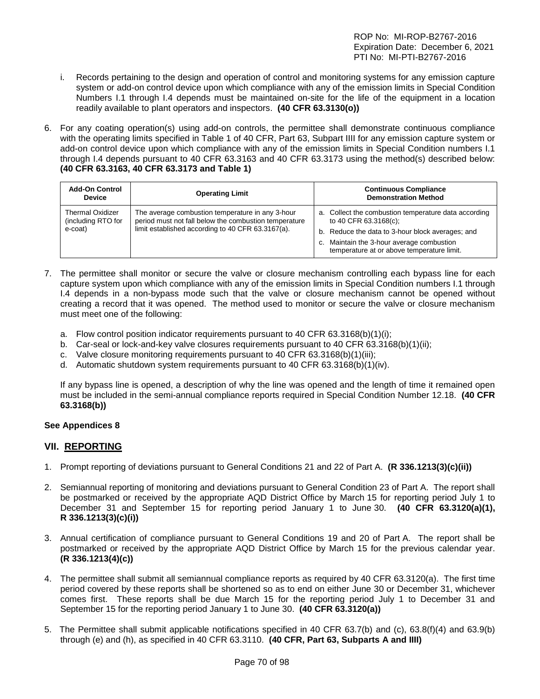- i. Records pertaining to the design and operation of control and monitoring systems for any emission capture system or add-on control device upon which compliance with any of the emission limits in Special Condition Numbers I.1 through I.4 depends must be maintained on-site for the life of the equipment in a location readily available to plant operators and inspectors. **(40 CFR 63.3130(o))**
- 6. For any coating operation(s) using add-on controls, the permittee shall demonstrate continuous compliance with the operating limits specified in Table 1 of 40 CFR, Part 63, Subpart IIII for any emission capture system or add-on control device upon which compliance with any of the emission limits in Special Condition numbers I.1 through I.4 depends pursuant to 40 CFR 63.3163 and 40 CFR 63.3173 using the method(s) described below: **(40 CFR 63.3163, 40 CFR 63.3173 and Table 1)**

| <b>Add-On Control</b><br><b>Device</b>                   | <b>Operating Limit</b>                                                                                                                                         | <b>Continuous Compliance</b><br><b>Demonstration Method</b>                                                                                                                                                                  |
|----------------------------------------------------------|----------------------------------------------------------------------------------------------------------------------------------------------------------------|------------------------------------------------------------------------------------------------------------------------------------------------------------------------------------------------------------------------------|
| <b>Thermal Oxidizer</b><br>(including RTO for<br>e-coat) | The average combustion temperature in any 3-hour<br>period must not fall below the combustion temperature<br>limit established according to 40 CFR 63.3167(a). | a. Collect the combustion temperature data according<br>to 40 CFR 63.3168(c);<br>b. Reduce the data to 3-hour block averages; and<br>c. Maintain the 3-hour average combustion<br>temperature at or above temperature limit. |

- 7. The permittee shall monitor or secure the valve or closure mechanism controlling each bypass line for each capture system upon which compliance with any of the emission limits in Special Condition numbers I.1 through I.4 depends in a non-bypass mode such that the valve or closure mechanism cannot be opened without creating a record that it was opened. The method used to monitor or secure the valve or closure mechanism must meet one of the following:
	- a. Flow control position indicator requirements pursuant to 40 CFR 63.3168(b)(1)(i);
	- b. Car-seal or lock-and-key valve closures requirements pursuant to 40 CFR 63.3168(b)(1)(ii);
	- c. Valve closure monitoring requirements pursuant to 40 CFR 63.3168(b)(1)(iii);
	- d. Automatic shutdown system requirements pursuant to 40 CFR 63.3168(b)(1)(iv).

If any bypass line is opened, a description of why the line was opened and the length of time it remained open must be included in the semi-annual compliance reports required in Special Condition Number 12.18. **(40 CFR 63.3168(b))**

# **See Appendices 8**

# **VII. REPORTING**

- 1. Prompt reporting of deviations pursuant to General Conditions 21 and 22 of Part A. **(R 336.1213(3)(c)(ii))**
- 2. Semiannual reporting of monitoring and deviations pursuant to General Condition 23 of Part A. The report shall be postmarked or received by the appropriate AQD District Office by March 15 for reporting period July 1 to December 31 and September 15 for reporting period January 1 to June 30. **(40 CFR 63.3120(a)(1), R 336.1213(3)(c)(i))**
- 3. Annual certification of compliance pursuant to General Conditions 19 and 20 of Part A. The report shall be postmarked or received by the appropriate AQD District Office by March 15 for the previous calendar year. **(R 336.1213(4)(c))**
- 4. The permittee shall submit all semiannual compliance reports as required by 40 CFR 63.3120(a). The first time period covered by these reports shall be shortened so as to end on either June 30 or December 31, whichever comes first. These reports shall be due March 15 for the reporting period July 1 to December 31 and September 15 for the reporting period January 1 to June 30. **(40 CFR 63.3120(a))**
- 5. The Permittee shall submit applicable notifications specified in 40 CFR 63.7(b) and (c), 63.8(f)(4) and 63.9(b) through (e) and (h), as specified in 40 CFR 63.3110. **(40 CFR, Part 63, Subparts A and IIII)**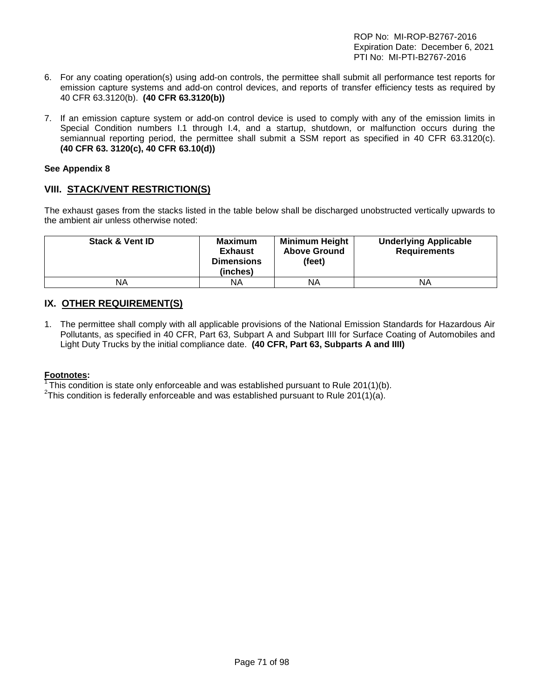- 6. For any coating operation(s) using add-on controls, the permittee shall submit all performance test reports for emission capture systems and add-on control devices, and reports of transfer efficiency tests as required by 40 CFR 63.3120(b). **(40 CFR 63.3120(b))**
- 7. If an emission capture system or add-on control device is used to comply with any of the emission limits in Special Condition numbers I.1 through I.4, and a startup, shutdown, or malfunction occurs during the semiannual reporting period, the permittee shall submit a SSM report as specified in 40 CFR 63.3120(c). **(40 CFR 63. 3120(c), 40 CFR 63.10(d))**

#### **See Appendix 8**

# **VIII. STACK/VENT RESTRICTION(S)**

The exhaust gases from the stacks listed in the table below shall be discharged unobstructed vertically upwards to the ambient air unless otherwise noted:

| <b>Stack &amp; Vent ID</b> | <b>Maximum</b><br><b>Exhaust</b><br><b>Dimensions</b><br>(inches) | <b>Minimum Height</b><br><b>Above Ground</b><br>(feet) | <b>Underlying Applicable</b><br><b>Requirements</b> |
|----------------------------|-------------------------------------------------------------------|--------------------------------------------------------|-----------------------------------------------------|
| ΝA                         | ΝA                                                                | ΝA                                                     | ΝA                                                  |

# **IX. OTHER REQUIREMENT(S)**

1. The permittee shall comply with all applicable provisions of the National Emission Standards for Hazardous Air Pollutants, as specified in 40 CFR, Part 63, Subpart A and Subpart IIII for Surface Coating of Automobiles and Light Duty Trucks by the initial compliance date. **(40 CFR, Part 63, Subparts A and IIII)** 

#### **Footnotes:**

<sup>1</sup> This condition is state only enforceable and was established pursuant to Rule 201(1)(b).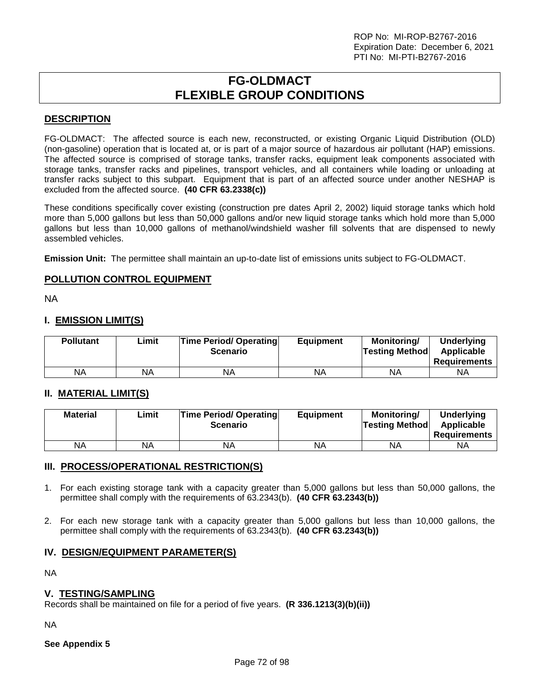# **FG-OLDMACT FLEXIBLE GROUP CONDITIONS**

# **DESCRIPTION**

FG-OLDMACT: The affected source is each new, reconstructed, or existing Organic Liquid Distribution (OLD) (non-gasoline) operation that is located at, or is part of a major source of hazardous air pollutant (HAP) emissions. The affected source is comprised of storage tanks, transfer racks, equipment leak components associated with storage tanks, transfer racks and pipelines, transport vehicles, and all containers while loading or unloading at transfer racks subject to this subpart. Equipment that is part of an affected source under another NESHAP is excluded from the affected source. **(40 CFR 63.2338(c))**

These conditions specifically cover existing (construction pre dates April 2, 2002) liquid storage tanks which hold more than 5,000 gallons but less than 50,000 gallons and/or new liquid storage tanks which hold more than 5,000 gallons but less than 10,000 gallons of methanol/windshield washer fill solvents that are dispensed to newly assembled vehicles.

**Emission Unit:** The permittee shall maintain an up-to-date list of emissions units subject to FG-OLDMACT.

# **POLLUTION CONTROL EQUIPMENT**

NA

# **I. EMISSION LIMIT(S)**

| <b>Pollutant</b> | ∟imit | <b>Time Period/ Operating</b><br><b>Scenario</b> | <b>Equipment</b> | Monitoring/<br><b>Testing Method</b> | <b>Underlying</b><br>Applicable<br><b>Requirements</b> |
|------------------|-------|--------------------------------------------------|------------------|--------------------------------------|--------------------------------------------------------|
| ΝA               | NA    | ΝA                                               | NA               | ΝA                                   | ΝA                                                     |

# **II. MATERIAL LIMIT(S)**

| <b>Material</b> | ∟imit | <b>Time Period/ Operating</b><br><b>Scenario</b> | <b>Equipment</b> | Monitorina/<br><b>Testing Method</b> | <b>Underlying</b><br>Applicable<br>Requirements |
|-----------------|-------|--------------------------------------------------|------------------|--------------------------------------|-------------------------------------------------|
| <b>NA</b>       | NA    | NA                                               | ΝA               | <b>NA</b>                            | NA                                              |

# **III. PROCESS/OPERATIONAL RESTRICTION(S)**

- 1. For each existing storage tank with a capacity greater than 5,000 gallons but less than 50,000 gallons, the permittee shall comply with the requirements of 63.2343(b). **(40 CFR 63.2343(b))**
- 2. For each new storage tank with a capacity greater than 5,000 gallons but less than 10,000 gallons, the permittee shall comply with the requirements of 63.2343(b). **(40 CFR 63.2343(b))**

# **IV. DESIGN/EQUIPMENT PARAMETER(S)**

NA

# **V. TESTING/SAMPLING**

Records shall be maintained on file for a period of five years. **(R 336.1213(3)(b)(ii))**

NA

**See Appendix 5**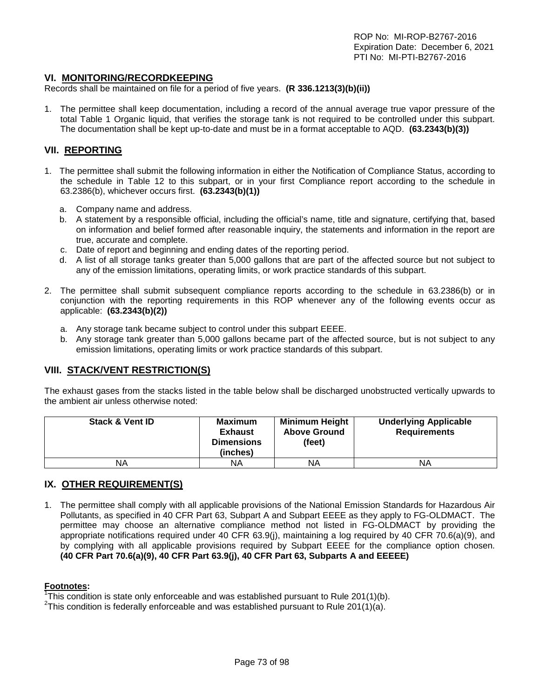#### **VI. MONITORING/RECORDKEEPING**

Records shall be maintained on file for a period of five years. **(R 336.1213(3)(b)(ii))**

1. The permittee shall keep documentation, including a record of the annual average true vapor pressure of the total Table 1 Organic liquid, that verifies the storage tank is not required to be controlled under this subpart. The documentation shall be kept up-to-date and must be in a format acceptable to AQD. **(63.2343(b)(3))**

#### **VII. REPORTING**

- 1. The permittee shall submit the following information in either the Notification of Compliance Status, according to the schedule in Table 12 to this subpart, or in your first Compliance report according to the schedule in 63.2386(b), whichever occurs first. **(63.2343(b)(1))**
	- a. Company name and address.
	- b. A statement by a responsible official, including the official's name, title and signature, certifying that, based on information and belief formed after reasonable inquiry, the statements and information in the report are true, accurate and complete.
	- c. Date of report and beginning and ending dates of the reporting period.
	- d. A list of all storage tanks greater than 5,000 gallons that are part of the affected source but not subject to any of the emission limitations, operating limits, or work practice standards of this subpart.
- 2. The permittee shall submit subsequent compliance reports according to the schedule in 63.2386(b) or in conjunction with the reporting requirements in this ROP whenever any of the following events occur as applicable: **(63.2343(b)(2))**
	- a. Any storage tank became subject to control under this subpart EEEE.
	- b. Any storage tank greater than 5,000 gallons became part of the affected source, but is not subject to any emission limitations, operating limits or work practice standards of this subpart.

## **VIII. STACK/VENT RESTRICTION(S)**

The exhaust gases from the stacks listed in the table below shall be discharged unobstructed vertically upwards to the ambient air unless otherwise noted:

| <b>Stack &amp; Vent ID</b> | <b>Maximum</b><br><b>Exhaust</b><br><b>Dimensions</b><br>(inches) | <b>Minimum Height</b><br><b>Above Ground</b><br>(feet) | <b>Underlying Applicable</b><br><b>Requirements</b> |
|----------------------------|-------------------------------------------------------------------|--------------------------------------------------------|-----------------------------------------------------|
| NA                         | ΝA                                                                | NA                                                     | ΝA                                                  |

## **IX. OTHER REQUIREMENT(S)**

1. The permittee shall comply with all applicable provisions of the National Emission Standards for Hazardous Air Pollutants, as specified in 40 CFR Part 63, Subpart A and Subpart EEEE as they apply to FG-OLDMACT. The permittee may choose an alternative compliance method not listed in FG-OLDMACT by providing the appropriate notifications required under 40 CFR 63.9(j), maintaining a log required by 40 CFR 70.6(a)(9), and by complying with all applicable provisions required by Subpart EEEE for the compliance option chosen. **(40 CFR Part 70.6(a)(9), 40 CFR Part 63.9(j), 40 CFR Part 63, Subparts A and EEEEE)**

#### **Footnotes:**

<sup>1</sup>This condition is state only enforceable and was established pursuant to Rule 201(1)(b).<br><sup>2</sup>This condition is foderally enforceable and was established pursuant to Rule 201(1)(c).

<sup>2</sup>This condition is federally enforceable and was established pursuant to Rule 201(1)(a).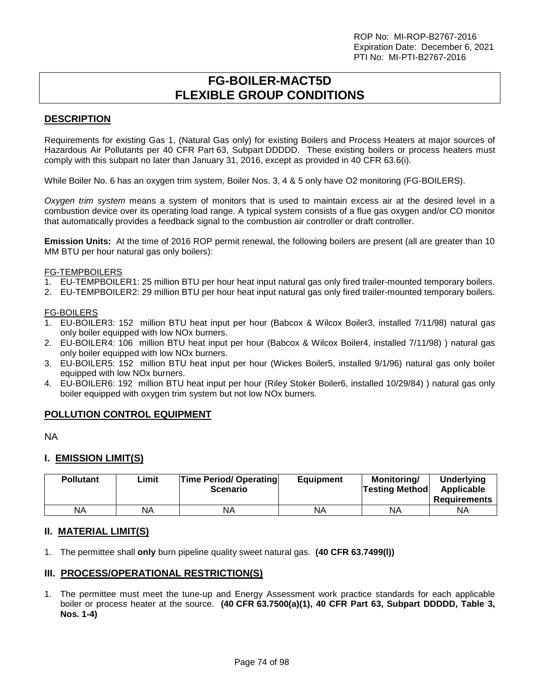# **FG-BOILER-MACT5D FLEXIBLE GROUP CONDITIONS**

## **DESCRIPTION**

Requirements for existing Gas 1, (Natural Gas only) for existing Boilers and Process Heaters at major sources of Hazardous Air Pollutants per 40 CFR Part 63, Subpart DDDDD. These existing boilers or process heaters must comply with this subpart no later than January 31, 2016, except as provided in 40 CFR 63.6(i).

While Boiler No. 6 has an oxygen trim system, Boiler Nos. 3, 4 & 5 only have O2 monitoring (FG-BOILERS).

*Oxygen trim system* means a system of monitors that is used to maintain excess air at the desired level in a combustion device over its operating load range. A typical system consists of a flue gas oxygen and/or CO monitor that automatically provides a feedback signal to the combustion air controller or draft controller.

**Emission Units:** At the time of 2016 ROP permit renewal, the following boilers are present (all are greater than 10 MM BTU per hour natural gas only boilers):

#### FG-TEMPBOILERS

- 1. EU-TEMPBOILER1: 25 million BTU per hour heat input natural gas only fired trailer-mounted temporary boilers.
- 2. EU-TEMPBOILER2: 29 million BTU per hour heat input natural gas only fired trailer-mounted temporary boilers.

#### FG-BOILERS

- 1. EU-BOILER3: 152 million BTU heat input per hour (Babcox & Wilcox Boiler3, installed 7/11/98) natural gas only boiler equipped with low NOx burners.
- 2. EU-BOILER4: 106 million BTU heat input per hour (Babcox & Wilcox Boiler4, installed 7/11/98) ) natural gas only boiler equipped with low NOx burners.
- 3. EU-BOILER5: 152 million BTU heat input per hour (Wickes Boiler5, installed 9/1/96) natural gas only boiler equipped with low NOx burners.
- 4. EU-BOILER6: 192 million BTU heat input per hour (Riley Stoker Boiler6, installed 10/29/84) ) natural gas only boiler equipped with oxygen trim system but not low NOx burners.

## **POLLUTION CONTROL EQUIPMENT**

NA

## **I. EMISSION LIMIT(S)**

| <b>Pollutant</b> | ∟imit | <b>Time Period/ Operating</b><br><b>Scenario</b> | <b>Equipment</b> | Monitoring/<br><b>Testing Method</b> | <b>Underlying</b><br>Applicable<br><b>Requirements</b> |
|------------------|-------|--------------------------------------------------|------------------|--------------------------------------|--------------------------------------------------------|
| ΝA               | ΝA    | <b>NA</b>                                        | ΝA               | <b>NA</b>                            | ΝA                                                     |

## **II. MATERIAL LIMIT(S)**

1. The permittee shall **only** burn pipeline quality sweet natural gas. **(40 CFR 63.7499(l))**

## **III. PROCESS/OPERATIONAL RESTRICTION(S)**

1. The permittee must meet the tune-up and Energy Assessment work practice standards for each applicable boiler or process heater at the source. **(40 CFR 63.7500(a)(1), 40 CFR Part 63, Subpart DDDDD, Table 3, Nos. 1-4)**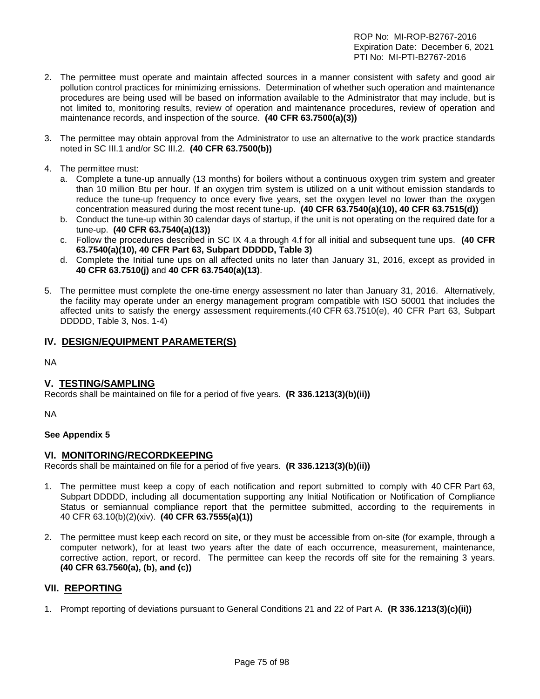- 2. The permittee must operate and maintain affected sources in a manner consistent with safety and good air pollution control practices for minimizing emissions. Determination of whether such operation and maintenance procedures are being used will be based on information available to the Administrator that may include, but is not limited to, monitoring results, review of operation and maintenance procedures, review of operation and maintenance records, and inspection of the source. **(40 CFR 63.7500(a)(3))**
- 3. The permittee may obtain approval from the Administrator to use an alternative to the work practice standards noted in SC III.1 and/or SC III.2. **(40 CFR 63.7500(b))**
- 4. The permittee must:
	- a. Complete a tune-up annually (13 months) for boilers without a continuous oxygen trim system and greater than 10 million Btu per hour. If an oxygen trim system is utilized on a unit without emission standards to reduce the tune-up frequency to once every five years, set the oxygen level no lower than the oxygen concentration measured during the most recent tune-up. **(40 CFR 63.7540(a)(10), 40 CFR 63.7515(d))**
	- b. Conduct the tune-up within 30 calendar days of startup, if the unit is not operating on the required date for a tune-up. **(40 CFR 63.7540(a)(13))**
	- c. Follow the procedures described in SC IX 4.a through 4.f for all initial and subsequent tune ups. **(40 CFR 63.7540(a)(10), 40 CFR Part 63, Subpart DDDDD, Table 3)**
	- d. Complete the Initial tune ups on all affected units no later than January 31, 2016, except as provided in **40 CFR 63.7510(j)** and **40 CFR 63.7540(a)(13)**.
- 5. The permittee must complete the one-time energy assessment no later than January 31, 2016. Alternatively, the facility may operate under an energy management program compatible with ISO 50001 that includes the affected units to satisfy the energy assessment requirements.(40 CFR 63.7510(e), 40 CFR Part 63, Subpart DDDDD, Table 3, Nos. 1-4)

## **IV. DESIGN/EQUIPMENT PARAMETER(S)**

NA

## **V. TESTING/SAMPLING**

Records shall be maintained on file for a period of five years. **(R 336.1213(3)(b)(ii))**

NA

#### **See Appendix 5**

#### **VI. MONITORING/RECORDKEEPING**

Records shall be maintained on file for a period of five years. **(R 336.1213(3)(b)(ii))**

- 1. The permittee must keep a copy of each notification and report submitted to comply with 40 CFR Part 63, Subpart DDDDD, including all documentation supporting any Initial Notification or Notification of Compliance Status or semiannual compliance report that the permittee submitted, according to the requirements in 40 CFR 63.10(b)(2)(xiv). **(40 CFR 63.7555(a)(1))**
- 2. The permittee must keep each record on site, or they must be accessible from on-site (for example, through a computer network), for at least two years after the date of each occurrence, measurement, maintenance, corrective action, report, or record. The permittee can keep the records off site for the remaining 3 years. **(40 CFR 63.7560(a), (b), and (c))**

## **VII. REPORTING**

1. Prompt reporting of deviations pursuant to General Conditions 21 and 22 of Part A. **(R 336.1213(3)(c)(ii))**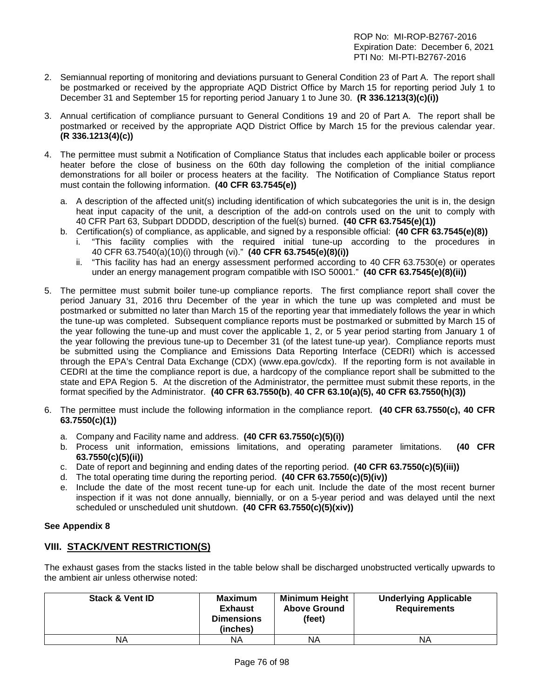- 2. Semiannual reporting of monitoring and deviations pursuant to General Condition 23 of Part A. The report shall be postmarked or received by the appropriate AQD District Office by March 15 for reporting period July 1 to December 31 and September 15 for reporting period January 1 to June 30. **(R 336.1213(3)(c)(i))**
- 3. Annual certification of compliance pursuant to General Conditions 19 and 20 of Part A. The report shall be postmarked or received by the appropriate AQD District Office by March 15 for the previous calendar year. **(R 336.1213(4)(c))**
- 4. The permittee must submit a Notification of Compliance Status that includes each applicable boiler or process heater before the close of business on the 60th day following the completion of the initial compliance demonstrations for all boiler or process heaters at the facility. The Notification of Compliance Status report must contain the following information. **(40 CFR 63.7545(e))**
	- a. A description of the affected unit(s) including identification of which subcategories the unit is in, the design heat input capacity of the unit, a description of the add-on controls used on the unit to comply with 40 CFR Part 63, Subpart DDDDD, description of the fuel(s) burned. **(40 CFR 63.7545(e)(1))**
	- b. Certification(s) of compliance, as applicable, and signed by a responsible official: **(40 CFR 63.7545(e)(8))**
		- i. "This facility complies with the required initial tune-up according to the procedures in 40 CFR 63.7540(a)(10)(i) through (vi)." **(40 CFR 63.7545(e)(8)(i))**
			- ii. "This facility has had an energy assessment performed according to 40 CFR 63.7530(e) or operates under an energy management program compatible with ISO 50001." **(40 CFR 63.7545(e)(8)(ii))**
- 5. The permittee must submit boiler tune-up compliance reports. The first compliance report shall cover the period January 31, 2016 thru December of the year in which the tune up was completed and must be postmarked or submitted no later than March 15 of the reporting year that immediately follows the year in which the tune-up was completed. Subsequent compliance reports must be postmarked or submitted by March 15 of the year following the tune-up and must cover the applicable 1, 2, or 5 year period starting from January 1 of the year following the previous tune-up to December 31 (of the latest tune-up year). Compliance reports must be submitted using the Compliance and Emissions Data Reporting Interface (CEDRI) which is accessed through the EPA's Central Data Exchange (CDX) [\(www.epa.gov/cdx\)](http://www.epa.gov/cdx). If the reporting form is not available in CEDRI at the time the compliance report is due, a hardcopy of the compliance report shall be submitted to the state and EPA Region 5. At the discretion of the Administrator, the permittee must submit these reports, in the format specified by the Administrator. **(40 CFR 63.7550(b)**, **40 CFR 63.10(a)(5), 40 CFR 63.7550(h)(3))**
- 6. The permittee must include the following information in the compliance report. **(40 CFR 63.7550(c), 40 CFR 63.7550(c)(1))**
	- a. Company and Facility name and address. **(40 CFR 63.7550(c)(5)(i))**
	- b. Process unit information, emissions limitations, and operating parameter limitations. **(40 CFR 63.7550(c)(5)(ii))**
	- c. Date of report and beginning and ending dates of the reporting period. **(40 CFR 63.7550(c)(5)(iii))**
	- d. The total operating time during the reporting period. **(40 CFR 63.7550(c)(5)(iv))**
	- e. Include the date of the most recent tune-up for each unit. Include the date of the most recent burner inspection if it was not done annually, biennially, or on a 5-year period and was delayed until the next scheduled or unscheduled unit shutdown. **(40 CFR 63.7550(c)(5)(xiv))**

## **See Appendix 8**

## **VIII. STACK/VENT RESTRICTION(S)**

The exhaust gases from the stacks listed in the table below shall be discharged unobstructed vertically upwards to the ambient air unless otherwise noted:

| <b>Stack &amp; Vent ID</b> | <b>Maximum</b><br><b>Exhaust</b><br><b>Dimensions</b><br>(inches) | <b>Minimum Height</b><br><b>Above Ground</b><br>(feet) | <b>Underlying Applicable</b><br><b>Requirements</b> |
|----------------------------|-------------------------------------------------------------------|--------------------------------------------------------|-----------------------------------------------------|
| NA                         | ΝA                                                                | NA                                                     | ΝA                                                  |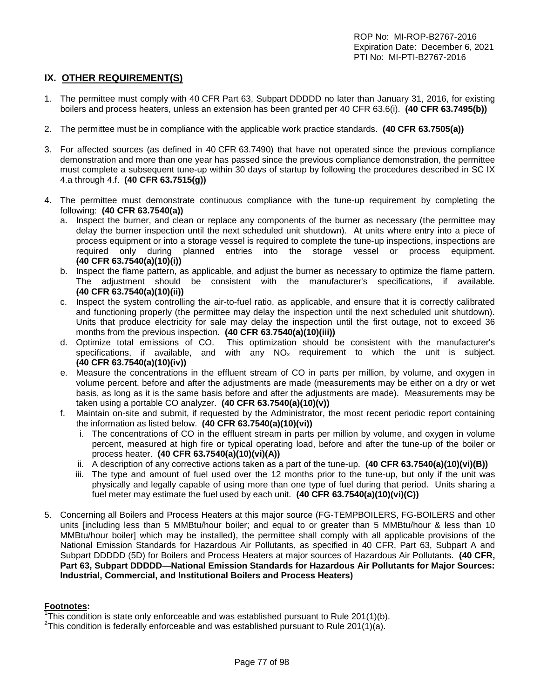## **IX. OTHER REQUIREMENT(S)**

- 1. The permittee must comply with 40 CFR Part 63, Subpart DDDDD no later than January 31, 2016, for existing boilers and process heaters, unless an extension has been granted per 40 CFR 63.6(i). **(40 CFR 63.7495(b))**
- 2. The permittee must be in compliance with the applicable work practice standards. **(40 CFR 63.7505(a))**
- 3. For affected sources (as defined in 40 CFR 63.7490) that have not operated since the previous compliance demonstration and more than one year has passed since the previous compliance demonstration, the permittee must complete a subsequent tune-up within 30 days of startup by following the procedures described in SC IX 4.a through 4.f. **(40 CFR 63.7515(g))**
- 4. The permittee must demonstrate continuous compliance with the tune-up requirement by completing the following: **(40 CFR 63.7540(a))**
	- a. Inspect the burner, and clean or replace any components of the burner as necessary (the permittee may delay the burner inspection until the next scheduled unit shutdown). At units where entry into a piece of process equipment or into a storage vessel is required to complete the tune-up inspections, inspections are required only during planned entries into the storage vessel or process equipment. **(40 CFR 63.7540(a)(10)(i))**
	- b. Inspect the flame pattern, as applicable, and adjust the burner as necessary to optimize the flame pattern. The adjustment should be consistent with the manufacturer's specifications, if available. **(40 CFR 63.7540(a)(10)(ii))**
	- c. Inspect the system controlling the air-to-fuel ratio, as applicable, and ensure that it is correctly calibrated and functioning properly (the permittee may delay the inspection until the next scheduled unit shutdown). Units that produce electricity for sale may delay the inspection until the first outage, not to exceed 36 months from the previous inspection. **(40 CFR 63.7540(a)(10)(iii))**
	- d. Optimize total emissions of CO. This optimization should be consistent with the manufacturer's specifications, if available, and with any  $NO<sub>x</sub>$  requirement to which the unit is subject. **(40 CFR 63.7540(a)(10)(iv))**
	- e. Measure the concentrations in the effluent stream of CO in parts per million, by volume, and oxygen in volume percent, before and after the adjustments are made (measurements may be either on a dry or wet basis, as long as it is the same basis before and after the adjustments are made). Measurements may be taken using a portable CO analyzer. **(40 CFR 63.7540(a)(10)(v))**
	- f. Maintain on-site and submit, if requested by the Administrator, the most recent periodic report containing the information as listed below. **(40 CFR 63.7540(a)(10)(vi))**
		- i. The concentrations of CO in the effluent stream in parts per million by volume, and oxygen in volume percent, measured at high fire or typical operating load, before and after the tune-up of the boiler or process heater. **(40 CFR 63.7540(a)(10)(vi)(A))**
		- ii. A description of any corrective actions taken as a part of the tune-up. **(40 CFR 63.7540(a)(10)(vi)(B))**
		- iii. The type and amount of fuel used over the 12 months prior to the tune-up, but only if the unit was physically and legally capable of using more than one type of fuel during that period. Units sharing a fuel meter may estimate the fuel used by each unit. **(40 CFR 63.7540(a)(10)(vi)(C))**
- 5. Concerning all Boilers and Process Heaters at this major source (FG-TEMPBOILERS, FG-BOILERS and other units [including less than 5 MMBtu/hour boiler; and equal to or greater than 5 MMBtu/hour & less than 10 MMBtu/hour boiler] which may be installed), the permittee shall comply with all applicable provisions of the National Emission Standards for Hazardous Air Pollutants, as specified in 40 CFR, Part 63, Subpart A and Subpart DDDDD (5D) for Boilers and Process Heaters at major sources of Hazardous Air Pollutants. **(40 CFR, Part 63, Subpart DDDDD—National Emission Standards for Hazardous Air Pollutants for Major Sources: Industrial, Commercial, and Institutional Boilers and Process Heaters)**

#### **Footnotes:**

<sup>&</sup>lt;sup>1</sup>This condition is state only enforceable and was established pursuant to Rule 201(1)(b).  $25h$  and  $25h$  and  $25h$  and  $25h$  and  $25h$  and  $25h$  and  $25h$  and  $25h$  and  $25h$  and  $25h$  and  $25h$  and  $25h$  and  $25h$  and

<sup>&</sup>lt;sup>2</sup>This condition is federally enforceable and was established pursuant to Rule 201(1)(a).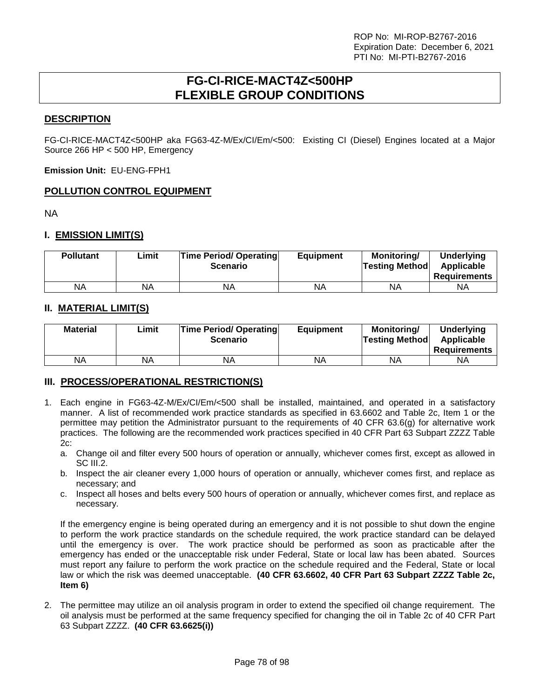## **FG-CI-RICE-MACT4Z<500HP FLEXIBLE GROUP CONDITIONS**

## **DESCRIPTION**

FG-CI-RICE-MACT4Z<500HP aka FG63-4Z-M/Ex/CI/Em/<500: Existing CI (Diesel) Engines located at a Major Source 266 HP < 500 HP, Emergency

**Emission Unit:** EU-ENG-FPH1

## **POLLUTION CONTROL EQUIPMENT**

NA

## **I. EMISSION LIMIT(S)**

| <b>Pollutant</b> | ∟imit | <b>Time Period/ Operating</b><br><b>Scenario</b> | <b>Equipment</b> | Monitorina/<br><b>Testing Method</b> | <b>Underlying</b><br>Applicable<br><b>Requirements</b> |
|------------------|-------|--------------------------------------------------|------------------|--------------------------------------|--------------------------------------------------------|
| NA               | NA    | ΝA                                               | NA               | ΝA                                   | ΝA                                                     |

## **II. MATERIAL LIMIT(S)**

| <b>Material</b> | Limit | <b>Time Period/ Operating</b><br><b>Scenario</b> | <b>Equipment</b> | Monitoring/<br><b>Testing Method</b> | Underlying<br>Applicable<br><b>Requirements</b> |
|-----------------|-------|--------------------------------------------------|------------------|--------------------------------------|-------------------------------------------------|
| <b>NA</b>       | NA.   | ΝA                                               | NA               | ΝA                                   | ΝA                                              |

## **III. PROCESS/OPERATIONAL RESTRICTION(S)**

- 1. Each engine in FG63-4Z-M/Ex/CI/Em/<500 shall be installed, maintained, and operated in a satisfactory manner. A list of recommended work practice standards as specified in 63.6602 and Table 2c, Item 1 or the permittee may petition the Administrator pursuant to the requirements of 40 CFR 63.6(g) for alternative work practices. The following are the recommended work practices specified in 40 CFR Part 63 Subpart ZZZZ Table 2c:
	- a. Change oil and filter every 500 hours of operation or annually, whichever comes first, except as allowed in SC III.2.
	- b. Inspect the air cleaner every 1,000 hours of operation or annually, whichever comes first, and replace as necessary; and
	- c. Inspect all hoses and belts every 500 hours of operation or annually, whichever comes first, and replace as necessary.

If the emergency engine is being operated during an emergency and it is not possible to shut down the engine to perform the work practice standards on the schedule required, the work practice standard can be delayed until the emergency is over. The work practice should be performed as soon as practicable after the emergency has ended or the unacceptable risk under Federal, State or local law has been abated. Sources must report any failure to perform the work practice on the schedule required and the Federal, State or local law or which the risk was deemed unacceptable. **(40 CFR 63.6602, 40 CFR Part 63 Subpart ZZZZ Table 2c, Item 6)**

2. The permittee may utilize an oil analysis program in order to extend the specified oil change requirement. The oil analysis must be performed at the same frequency specified for changing the oil in Table 2c of 40 CFR Part 63 Subpart ZZZZ. **(40 CFR 63.6625(i))**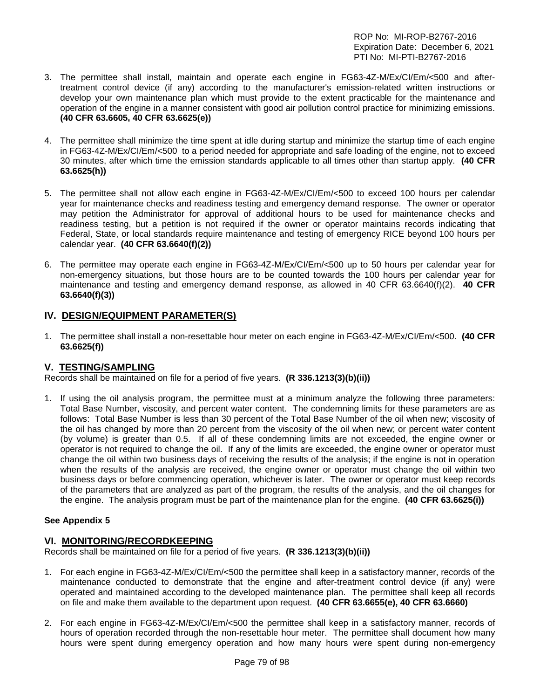- 3. The permittee shall install, maintain and operate each engine in FG63-4Z-M/Ex/CI/Em/<500 and aftertreatment control device (if any) according to the manufacturer's emission-related written instructions or develop your own maintenance plan which must provide to the extent practicable for the maintenance and operation of the engine in a manner consistent with good air pollution control practice for minimizing emissions. **(40 CFR 63.6605, 40 CFR 63.6625(e))**
- 4. The permittee shall minimize the time spent at idle during startup and minimize the startup time of each engine in FG63-4Z-M/Ex/CI/Em/<500 to a period needed for appropriate and safe loading of the engine, not to exceed 30 minutes, after which time the emission standards applicable to all times other than startup apply. **(40 CFR 63.6625(h))**
- 5. The permittee shall not allow each engine in FG63-4Z-M/Ex/CI/Em/<500 to exceed 100 hours per calendar year for maintenance checks and readiness testing and emergency demand response. The owner or operator may petition the Administrator for approval of additional hours to be used for maintenance checks and readiness testing, but a petition is not required if the owner or operator maintains records indicating that Federal, State, or local standards require maintenance and testing of emergency RICE beyond 100 hours per calendar year. **(40 CFR 63.6640(f)(2))**
- 6. The permittee may operate each engine in FG63-4Z-M/Ex/CI/Em/<500 up to 50 hours per calendar year for non-emergency situations, but those hours are to be counted towards the 100 hours per calendar year for maintenance and testing and emergency demand response, as allowed in 40 CFR 63.6640(f)(2). **40 CFR 63.6640(f)(3))**

## **IV. DESIGN/EQUIPMENT PARAMETER(S)**

1. The permittee shall install a non-resettable hour meter on each engine in FG63-4Z-M/Ex/CI/Em/<500. **(40 CFR 63.6625(f))** 

## **V. TESTING/SAMPLING**

Records shall be maintained on file for a period of five years. **(R 336.1213(3)(b)(ii))**

1. If using the oil analysis program, the permittee must at a minimum analyze the following three parameters: Total Base Number, viscosity, and percent water content. The condemning limits for these parameters are as follows: Total Base Number is less than 30 percent of the Total Base Number of the oil when new; viscosity of the oil has changed by more than 20 percent from the viscosity of the oil when new; or percent water content (by volume) is greater than 0.5. If all of these condemning limits are not exceeded, the engine owner or operator is not required to change the oil. If any of the limits are exceeded, the engine owner or operator must change the oil within two business days of receiving the results of the analysis; if the engine is not in operation when the results of the analysis are received, the engine owner or operator must change the oil within two business days or before commencing operation, whichever is later. The owner or operator must keep records of the parameters that are analyzed as part of the program, the results of the analysis, and the oil changes for the engine. The analysis program must be part of the maintenance plan for the engine. **(40 CFR 63.6625(i))**

#### **See Appendix 5**

#### **VI. MONITORING/RECORDKEEPING**

Records shall be maintained on file for a period of five years. **(R 336.1213(3)(b)(ii))**

- 1. For each engine in FG63-4Z-M/Ex/CI/Em/<500 the permittee shall keep in a satisfactory manner, records of the maintenance conducted to demonstrate that the engine and after-treatment control device (if any) were operated and maintained according to the developed maintenance plan. The permittee shall keep all records on file and make them available to the department upon request. **(40 CFR 63.6655(e), 40 CFR 63.6660)**
- 2. For each engine in FG63-4Z-M/Ex/CI/Em/<500 the permittee shall keep in a satisfactory manner, records of hours of operation recorded through the non-resettable hour meter. The permittee shall document how many hours were spent during emergency operation and how many hours were spent during non-emergency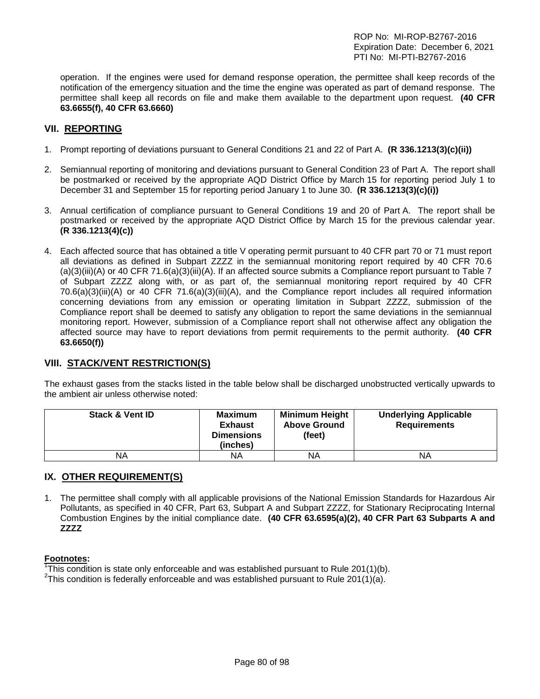operation. If the engines were used for demand response operation, the permittee shall keep records of the notification of the emergency situation and the time the engine was operated as part of demand response. The permittee shall keep all records on file and make them available to the department upon request. **(40 CFR 63.6655(f), 40 CFR 63.6660)**

## **VII. REPORTING**

- 1. Prompt reporting of deviations pursuant to General Conditions 21 and 22 of Part A. **(R 336.1213(3)(c)(ii))**
- 2. Semiannual reporting of monitoring and deviations pursuant to General Condition 23 of Part A. The report shall be postmarked or received by the appropriate AQD District Office by March 15 for reporting period July 1 to December 31 and September 15 for reporting period January 1 to June 30. **(R 336.1213(3)(c)(i))**
- 3. Annual certification of compliance pursuant to General Conditions 19 and 20 of Part A. The report shall be postmarked or received by the appropriate AQD District Office by March 15 for the previous calendar year. **(R 336.1213(4)(c))**
- 4. Each affected source that has obtained a title V operating permit pursuant to 40 CFR part 70 or 71 must report all deviations as defined in Subpart ZZZZ in the semiannual monitoring report required by 40 CFR 70.6 (a)(3)(iii)(A) or 40 CFR 71.6(a)(3)(iii)(A). If an affected source submits a Compliance report pursuant to Table 7 of Subpart ZZZZ along with, or as part of, the semiannual monitoring report required by 40 CFR 70.6(a)(3)(iii)(A) or 40 CFR 71.6(a)(3)(iii)(A), and the Compliance report includes all required information concerning deviations from any emission or operating limitation in Subpart ZZZZ, submission of the Compliance report shall be deemed to satisfy any obligation to report the same deviations in the semiannual monitoring report. However, submission of a Compliance report shall not otherwise affect any obligation the affected source may have to report deviations from permit requirements to the permit authority. **(40 CFR 63.6650(f))**

## **VIII. STACK/VENT RESTRICTION(S)**

The exhaust gases from the stacks listed in the table below shall be discharged unobstructed vertically upwards to the ambient air unless otherwise noted:

| <b>Stack &amp; Vent ID</b> | <b>Maximum</b><br><b>Exhaust</b><br><b>Dimensions</b><br>(inches) | <b>Minimum Height</b><br><b>Above Ground</b><br>(feet) | <b>Underlying Applicable</b><br><b>Requirements</b> |
|----------------------------|-------------------------------------------------------------------|--------------------------------------------------------|-----------------------------------------------------|
| ΝA                         | ΝA                                                                | NA                                                     | ΝA                                                  |

## **IX. OTHER REQUIREMENT(S)**

1. The permittee shall comply with all applicable provisions of the National Emission Standards for Hazardous Air Pollutants, as specified in 40 CFR, Part 63, Subpart A and Subpart ZZZZ, for Stationary Reciprocating Internal Combustion Engines by the initial compliance date. **(40 CFR 63.6595(a)(2), 40 CFR Part 63 Subparts A and ZZZZ**

#### **Footnotes:**

<sup>1</sup>This condition is state only enforceable and was established pursuant to Rule 201(1)(b).<br><sup>2</sup>This condition is foderally enforceable and was established pursuant to Rule 201(1)(c).

<sup>2</sup>This condition is federally enforceable and was established pursuant to Rule 201(1)(a).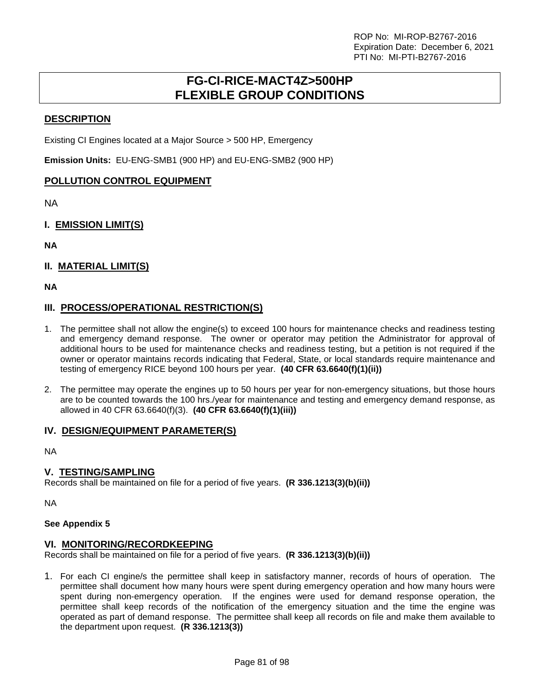## **FG-CI-RICE-MACT4Z>500HP FLEXIBLE GROUP CONDITIONS**

## **DESCRIPTION**

Existing CI Engines located at a Major Source > 500 HP, Emergency

**Emission Units:** EU-ENG-SMB1 (900 HP) and EU-ENG-SMB2 (900 HP)

## **POLLUTION CONTROL EQUIPMENT**

NA

## **I. EMISSION LIMIT(S)**

**NA**

## **II. MATERIAL LIMIT(S)**

**NA**

## **III. PROCESS/OPERATIONAL RESTRICTION(S)**

- 1. The permittee shall not allow the engine(s) to exceed 100 hours for maintenance checks and readiness testing and emergency demand response. The owner or operator may petition the Administrator for approval of additional hours to be used for maintenance checks and readiness testing, but a petition is not required if the owner or operator maintains records indicating that Federal, State, or local standards require maintenance and testing of emergency RICE beyond 100 hours per year. **(40 CFR 63.6640(f)(1)(ii))**
- 2. The permittee may operate the engines up to 50 hours per year for non-emergency situations, but those hours are to be counted towards the 100 hrs./year for maintenance and testing and emergency demand response, as allowed in 40 CFR 63.6640(f)(3). **(40 CFR 63.6640(f)(1)(iii))**

## **IV. DESIGN/EQUIPMENT PARAMETER(S)**

NA

## **V. TESTING/SAMPLING**

Records shall be maintained on file for a period of five years. **(R 336.1213(3)(b)(ii))**

NA

## **See Appendix 5**

## **VI. MONITORING/RECORDKEEPING**

Records shall be maintained on file for a period of five years. **(R 336.1213(3)(b)(ii))**

1. For each CI engine/s the permittee shall keep in satisfactory manner, records of hours of operation. The permittee shall document how many hours were spent during emergency operation and how many hours were spent during non-emergency operation. If the engines were used for demand response operation, the permittee shall keep records of the notification of the emergency situation and the time the engine was operated as part of demand response. The permittee shall keep all records on file and make them available to the department upon request. **(R 336.1213(3))**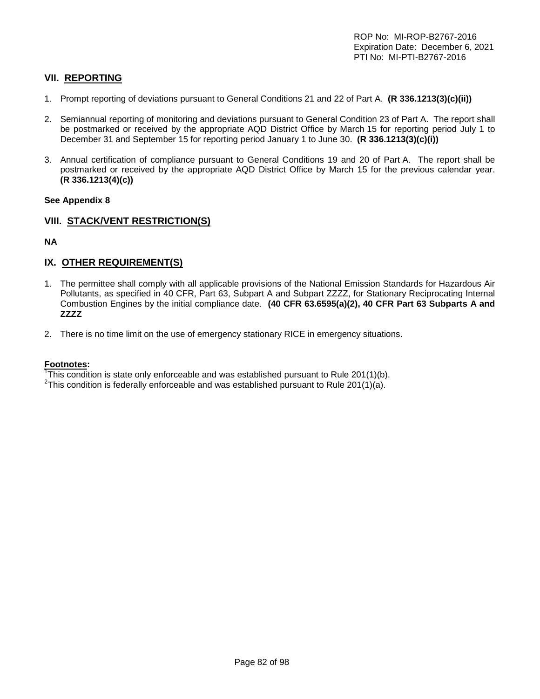## **VII. REPORTING**

- 1. Prompt reporting of deviations pursuant to General Conditions 21 and 22 of Part A. **(R 336.1213(3)(c)(ii))**
- 2. Semiannual reporting of monitoring and deviations pursuant to General Condition 23 of Part A. The report shall be postmarked or received by the appropriate AQD District Office by March 15 for reporting period July 1 to December 31 and September 15 for reporting period January 1 to June 30. **(R 336.1213(3)(c)(i))**
- 3. Annual certification of compliance pursuant to General Conditions 19 and 20 of Part A. The report shall be postmarked or received by the appropriate AQD District Office by March 15 for the previous calendar year. **(R 336.1213(4)(c))**

#### **See Appendix 8**

## **VIII. STACK/VENT RESTRICTION(S)**

**NA**

## **IX. OTHER REQUIREMENT(S)**

- 1. The permittee shall comply with all applicable provisions of the National Emission Standards for Hazardous Air Pollutants, as specified in 40 CFR, Part 63, Subpart A and Subpart ZZZZ, for Stationary Reciprocating Internal Combustion Engines by the initial compliance date. **(40 CFR 63.6595(a)(2), 40 CFR Part 63 Subparts A and ZZZZ**
- 2. There is no time limit on the use of emergency stationary RICE in emergency situations.

#### **Footnotes:**

<sup>1</sup>This condition is state only enforceable and was established pursuant to Rule 201(1)(b).<br><sup>2</sup>This condition is foderally enforceable and was established pursuant to Rule 201(1)(a).

<sup>2</sup>This condition is federally enforceable and was established pursuant to Rule 201(1)(a).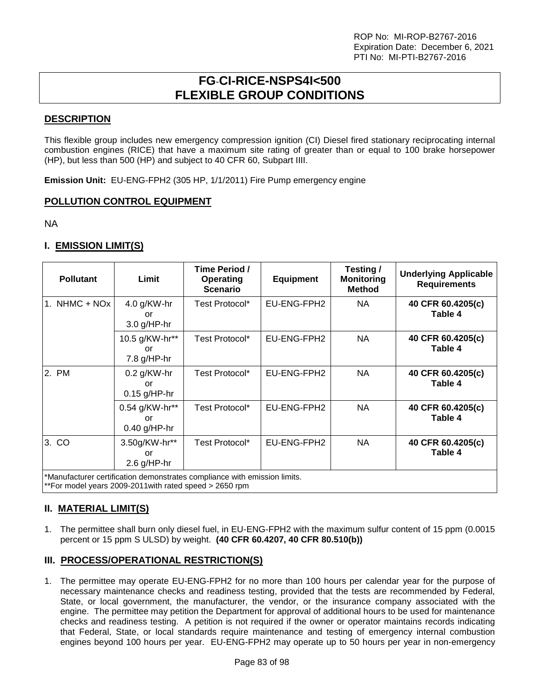# **FG**-**CI-RICE-NSPS4I<500 FLEXIBLE GROUP CONDITIONS**

## **DESCRIPTION**

This flexible group includes new emergency compression ignition (CI) Diesel fired stationary reciprocating internal combustion engines (RICE) that have a maximum site rating of greater than or equal to 100 brake horsepower (HP), but less than 500 (HP) and subject to 40 CFR 60, Subpart IIII.

**Emission Unit:** EU-ENG-FPH2 (305 HP, 1/1/2011) Fire Pump emergency engine

## **POLLUTION CONTROL EQUIPMENT**

NA

## **I. EMISSION LIMIT(S)**

| <b>Pollutant</b>                                                                                                                     | Limit                                  | Time Period /<br><b>Operating</b><br><b>Scenario</b> | <b>Equipment</b> | Testing /<br><b>Monitoring</b><br><b>Method</b> | <b>Underlying Applicable</b><br><b>Requirements</b> |  |
|--------------------------------------------------------------------------------------------------------------------------------------|----------------------------------------|------------------------------------------------------|------------------|-------------------------------------------------|-----------------------------------------------------|--|
| NHMC + NOx<br>1.                                                                                                                     | 4.0 g/KW-hr<br>or<br>$3.0$ g/HP-hr     | Test Protocol*                                       | EU-ENG-FPH2      | <b>NA</b>                                       | 40 CFR 60.4205(c)<br>Table 4                        |  |
|                                                                                                                                      | 10.5 g/KW-hr**<br>or<br>$7.8$ g/HP-hr  | Test Protocol*                                       | EU-ENG-FPH2      | NA.                                             | 40 CFR 60.4205(c)<br>Table 4                        |  |
| 2. PM                                                                                                                                | $0.2$ g/KW-hr<br>or<br>$0.15$ g/HP-hr  | Test Protocol*                                       | EU-ENG-FPH2      | NA                                              | 40 CFR 60.4205(c)<br>Table 4                        |  |
|                                                                                                                                      | 0.54 g/KW-hr**<br>or<br>$0.40$ g/HP-hr | Test Protocol*                                       | EU-ENG-FPH2      | NA.                                             | 40 CFR 60.4205(c)<br>Table 4                        |  |
| 3. CO                                                                                                                                | 3.50g/KW-hr**<br>or<br>$2.6$ g/HP-hr   | Test Protocol*                                       | EU-ENG-FPH2      | NA                                              | 40 CFR 60.4205(c)<br>Table 4                        |  |
| *Manufacturer certification demonstrates compliance with emission limits.<br>**For model years 2009-2011 with rated speed > 2650 rpm |                                        |                                                      |                  |                                                 |                                                     |  |

## **II. MATERIAL LIMIT(S)**

1. The permittee shall burn only diesel fuel, in EU-ENG-FPH2 with the maximum sulfur content of 15 ppm (0.0015 percent or 15 ppm S ULSD) by weight. **(40 CFR 60.4207, 40 CFR 80.510(b))**

## **III. PROCESS/OPERATIONAL RESTRICTION(S)**

1. The permittee may operate EU-ENG-FPH2 for no more than 100 hours per calendar year for the purpose of necessary maintenance checks and readiness testing, provided that the tests are recommended by Federal, State, or local government, the manufacturer, the vendor, or the insurance company associated with the engine. The permittee may petition the Department for approval of additional hours to be used for maintenance checks and readiness testing. A petition is not required if the owner or operator maintains records indicating that Federal, State, or local standards require maintenance and testing of emergency internal combustion engines beyond 100 hours per year. EU-ENG-FPH2 may operate up to 50 hours per year in non-emergency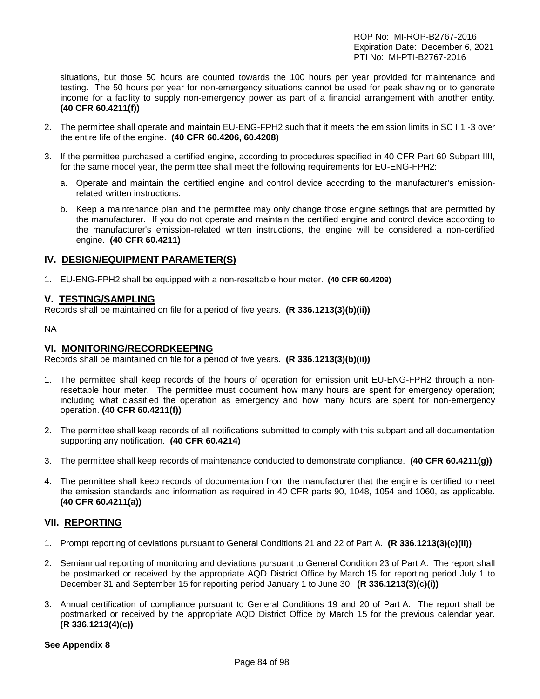situations, but those 50 hours are counted towards the 100 hours per year provided for maintenance and testing. The 50 hours per year for non-emergency situations cannot be used for peak shaving or to generate income for a facility to supply non-emergency power as part of a financial arrangement with another entity. **(40 CFR 60.4211(f))**

- 2. The permittee shall operate and maintain EU-ENG-FPH2 such that it meets the emission limits in SC I.1 -3 over the entire life of the engine. **(40 CFR 60.4206, 60.4208)**
- 3. If the permittee purchased a certified engine, according to procedures specified in 40 CFR Part 60 Subpart IIII, for the same model year, the permittee shall meet the following requirements for EU-ENG-FPH2:
	- a. Operate and maintain the certified engine and control device according to the manufacturer's emissionrelated written instructions.
	- b. Keep a maintenance plan and the permittee may only change those engine settings that are permitted by the manufacturer. If you do not operate and maintain the certified engine and control device according to the manufacturer's emission-related written instructions, the engine will be considered a non-certified engine. **(40 CFR 60.4211)**

## **IV. DESIGN/EQUIPMENT PARAMETER(S)**

1. EU-ENG-FPH2 shall be equipped with a non-resettable hour meter. **(40 CFR 60.4209)**

#### **V. TESTING/SAMPLING**

Records shall be maintained on file for a period of five years. **(R 336.1213(3)(b)(ii))**

NA

#### **VI. MONITORING/RECORDKEEPING**

Records shall be maintained on file for a period of five years. **(R 336.1213(3)(b)(ii))**

- 1. The permittee shall keep records of the hours of operation for emission unit EU-ENG-FPH2 through a nonresettable hour meter. The permittee must document how many hours are spent for emergency operation; including what classified the operation as emergency and how many hours are spent for non-emergency operation. **(40 CFR 60.4211(f))**
- 2. The permittee shall keep records of all notifications submitted to comply with this subpart and all documentation supporting any notification. **(40 CFR 60.4214)**
- 3. The permittee shall keep records of maintenance conducted to demonstrate compliance. **(40 CFR 60.4211(g))**
- 4. The permittee shall keep records of documentation from the manufacturer that the engine is certified to meet the emission standards and information as required in 40 CFR parts 90, 1048, 1054 and 1060, as applicable. **(40 CFR 60.4211(a))**

## **VII. REPORTING**

- 1. Prompt reporting of deviations pursuant to General Conditions 21 and 22 of Part A. **(R 336.1213(3)(c)(ii))**
- 2. Semiannual reporting of monitoring and deviations pursuant to General Condition 23 of Part A. The report shall be postmarked or received by the appropriate AQD District Office by March 15 for reporting period July 1 to December 31 and September 15 for reporting period January 1 to June 30. **(R 336.1213(3)(c)(i))**
- 3. Annual certification of compliance pursuant to General Conditions 19 and 20 of Part A. The report shall be postmarked or received by the appropriate AQD District Office by March 15 for the previous calendar year. **(R 336.1213(4)(c))**

#### **See Appendix 8**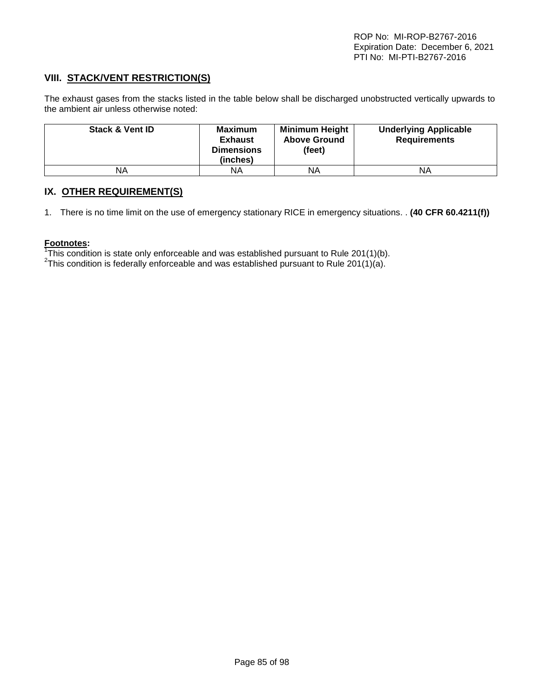## **VIII. STACK/VENT RESTRICTION(S)**

The exhaust gases from the stacks listed in the table below shall be discharged unobstructed vertically upwards to the ambient air unless otherwise noted:

| <b>Stack &amp; Vent ID</b> | <b>Maximum</b><br><b>Exhaust</b><br><b>Dimensions</b><br>(inches) | <b>Minimum Height</b><br><b>Above Ground</b><br>(feet) | <b>Underlying Applicable</b><br><b>Requirements</b> |
|----------------------------|-------------------------------------------------------------------|--------------------------------------------------------|-----------------------------------------------------|
| ΝA                         | ΝA                                                                | ΝA                                                     | ΝA                                                  |

## **IX. OTHER REQUIREMENT(S)**

1. There is no time limit on the use of emergency stationary RICE in emergency situations. . **(40 CFR 60.4211(f))**

#### **Footnotes:**

<sup>1</sup>This condition is state only enforceable and was established pursuant to Rule 201(1)(b).<br><sup>2</sup>This condition is foderally enforceable and was established pursuant to Rule 201(1)(a).

This condition is federally enforceable and was established pursuant to Rule 201(1)(a).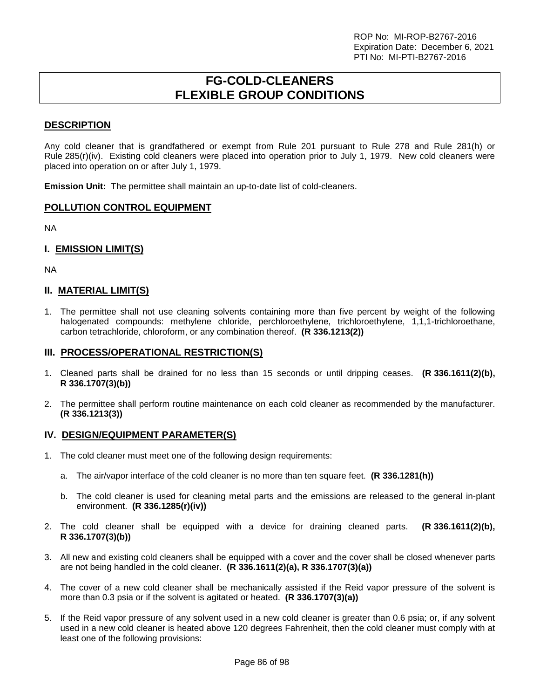## **FG-COLD-CLEANERS FLEXIBLE GROUP CONDITIONS**

## **DESCRIPTION**

Any cold cleaner that is grandfathered or exempt from Rule 201 pursuant to Rule 278 and Rule 281(h) or Rule 285(r)(iv). Existing cold cleaners were placed into operation prior to July 1, 1979. New cold cleaners were placed into operation on or after July 1, 1979.

**Emission Unit:** The permittee shall maintain an up-to-date list of cold-cleaners.

#### **POLLUTION CONTROL EQUIPMENT**

NA

## **I. EMISSION LIMIT(S)**

NA

#### **II. MATERIAL LIMIT(S)**

1. The permittee shall not use cleaning solvents containing more than five percent by weight of the following halogenated compounds: methylene chloride, perchloroethylene, trichloroethylene, 1,1,1-trichloroethane, carbon tetrachloride, chloroform, or any combination thereof. **(R 336.1213(2))**

#### **III. PROCESS/OPERATIONAL RESTRICTION(S)**

- 1. Cleaned parts shall be drained for no less than 15 seconds or until dripping ceases. **(R 336.1611(2)(b), R 336.1707(3)(b))**
- 2. The permittee shall perform routine maintenance on each cold cleaner as recommended by the manufacturer. **(R 336.1213(3))**

#### **IV. DESIGN/EQUIPMENT PARAMETER(S)**

- 1. The cold cleaner must meet one of the following design requirements:
	- a. The air/vapor interface of the cold cleaner is no more than ten square feet. **(R 336.1281(h))**
	- b. The cold cleaner is used for cleaning metal parts and the emissions are released to the general in-plant environment. **(R 336.1285(r)(iv))**
- 2. The cold cleaner shall be equipped with a device for draining cleaned parts. **(R 336.1611(2)(b), R 336.1707(3)(b))**
- 3. All new and existing cold cleaners shall be equipped with a cover and the cover shall be closed whenever parts are not being handled in the cold cleaner. **(R 336.1611(2)(a), R 336.1707(3)(a))**
- 4. The cover of a new cold cleaner shall be mechanically assisted if the Reid vapor pressure of the solvent is more than 0.3 psia or if the solvent is agitated or heated. **(R 336.1707(3)(a))**
- 5. If the Reid vapor pressure of any solvent used in a new cold cleaner is greater than 0.6 psia; or, if any solvent used in a new cold cleaner is heated above 120 degrees Fahrenheit, then the cold cleaner must comply with at least one of the following provisions: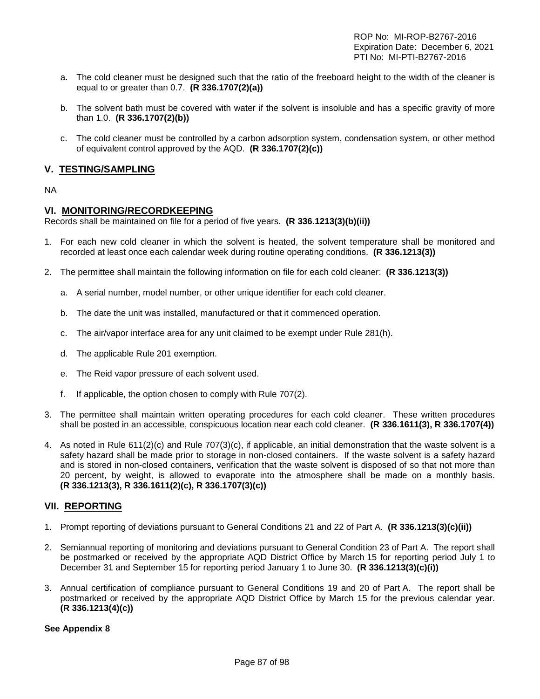- a. The cold cleaner must be designed such that the ratio of the freeboard height to the width of the cleaner is equal to or greater than 0.7. **(R 336.1707(2)(a))**
- b. The solvent bath must be covered with water if the solvent is insoluble and has a specific gravity of more than 1.0. **(R 336.1707(2)(b))**
- c. The cold cleaner must be controlled by a carbon adsorption system, condensation system, or other method of equivalent control approved by the AQD. **(R 336.1707(2)(c))**

## **V. TESTING/SAMPLING**

#### NA

## **VI. MONITORING/RECORDKEEPING**

Records shall be maintained on file for a period of five years. **(R 336.1213(3)(b)(ii))**

- 1. For each new cold cleaner in which the solvent is heated, the solvent temperature shall be monitored and recorded at least once each calendar week during routine operating conditions. **(R 336.1213(3))**
- 2. The permittee shall maintain the following information on file for each cold cleaner: **(R 336.1213(3))**
	- a. A serial number, model number, or other unique identifier for each cold cleaner.
	- b. The date the unit was installed, manufactured or that it commenced operation.
	- c. The air/vapor interface area for any unit claimed to be exempt under Rule 281(h).
	- d. The applicable Rule 201 exemption.
	- e. The Reid vapor pressure of each solvent used.
	- f. If applicable, the option chosen to comply with Rule 707(2).
- 3. The permittee shall maintain written operating procedures for each cold cleaner. These written procedures shall be posted in an accessible, conspicuous location near each cold cleaner. **(R 336.1611(3), R 336.1707(4))**
- 4. As noted in Rule 611(2)(c) and Rule 707(3)(c), if applicable, an initial demonstration that the waste solvent is a safety hazard shall be made prior to storage in non-closed containers. If the waste solvent is a safety hazard and is stored in non-closed containers, verification that the waste solvent is disposed of so that not more than 20 percent, by weight, is allowed to evaporate into the atmosphere shall be made on a monthly basis. **(R 336.1213(3), R 336.1611(2)(c), R 336.1707(3)(c))**

## **VII. REPORTING**

- 1. Prompt reporting of deviations pursuant to General Conditions 21 and 22 of Part A. **(R 336.1213(3)(c)(ii))**
- 2. Semiannual reporting of monitoring and deviations pursuant to General Condition 23 of Part A. The report shall be postmarked or received by the appropriate AQD District Office by March 15 for reporting period July 1 to December 31 and September 15 for reporting period January 1 to June 30. **(R 336.1213(3)(c)(i))**
- 3. Annual certification of compliance pursuant to General Conditions 19 and 20 of Part A. The report shall be postmarked or received by the appropriate AQD District Office by March 15 for the previous calendar year. **(R 336.1213(4)(c))**

#### **See Appendix 8**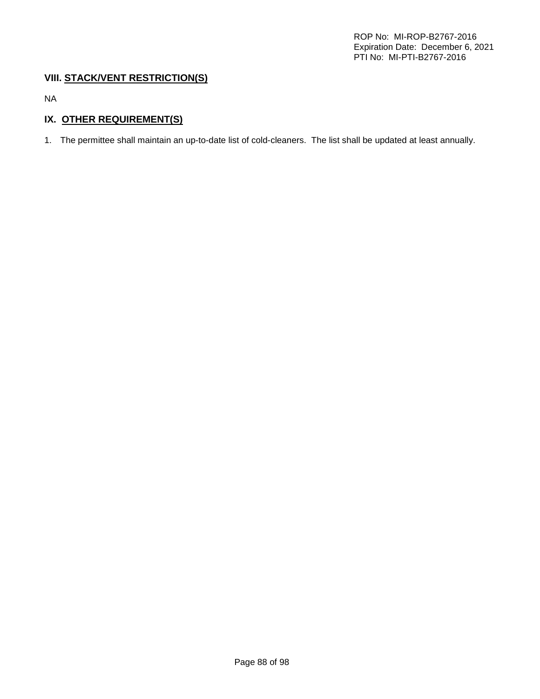## **VIII. STACK/VENT RESTRICTION(S)**

NA

## **IX. OTHER REQUIREMENT(S)**

1. The permittee shall maintain an up-to-date list of cold-cleaners. The list shall be updated at least annually.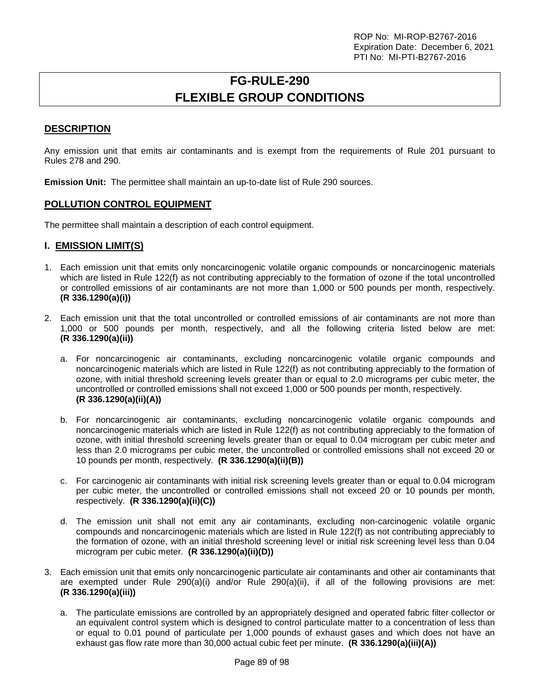# **FG-RULE-290 FLEXIBLE GROUP CONDITIONS**

## **DESCRIPTION**

Any emission unit that emits air contaminants and is exempt from the requirements of Rule 201 pursuant to Rules 278 and 290.

**Emission Unit:** The permittee shall maintain an up-to-date list of Rule 290 sources.

## **POLLUTION CONTROL EQUIPMENT**

The permittee shall maintain a description of each control equipment.

#### **I. EMISSION LIMIT(S)**

- 1. Each emission unit that emits only noncarcinogenic volatile organic compounds or noncarcinogenic materials which are listed in Rule 122(f) as not contributing appreciably to the formation of ozone if the total uncontrolled or controlled emissions of air contaminants are not more than 1,000 or 500 pounds per month, respectively. **(R 336.1290(a)(i))**
- 2. Each emission unit that the total uncontrolled or controlled emissions of air contaminants are not more than 1,000 or 500 pounds per month, respectively, and all the following criteria listed below are met: **(R 336.1290(a)(ii))**
	- a. For noncarcinogenic air contaminants, excluding noncarcinogenic volatile organic compounds and noncarcinogenic materials which are listed in Rule 122(f) as not contributing appreciably to the formation of ozone, with initial threshold screening levels greater than or equal to 2.0 micrograms per cubic meter, the uncontrolled or controlled emissions shall not exceed 1,000 or 500 pounds per month, respectively. **(R 336.1290(a)(ii)(A))**
	- b. For noncarcinogenic air contaminants, excluding noncarcinogenic volatile organic compounds and noncarcinogenic materials which are listed in Rule 122(f) as not contributing appreciably to the formation of ozone, with initial threshold screening levels greater than or equal to 0.04 microgram per cubic meter and less than 2.0 micrograms per cubic meter, the uncontrolled or controlled emissions shall not exceed 20 or 10 pounds per month, respectively. **(R 336.1290(a)(ii)(B))**
	- c. For carcinogenic air contaminants with initial risk screening levels greater than or equal to 0.04 microgram per cubic meter, the uncontrolled or controlled emissions shall not exceed 20 or 10 pounds per month, respectively. **(R 336.1290(a)(ii)(C))**
	- d. The emission unit shall not emit any air contaminants, excluding non-carcinogenic volatile organic compounds and noncarcinogenic materials which are listed in Rule 122(f) as not contributing appreciably to the formation of ozone, with an initial threshold screening level or initial risk screening level less than 0.04 microgram per cubic meter. **(R 336.1290(a)(ii)(D))**
- 3. Each emission unit that emits only noncarcinogenic particulate air contaminants and other air contaminants that are exempted under Rule 290(a)(i) and/or Rule 290(a)(ii), if all of the following provisions are met: **(R 336.1290(a)(iii))**
	- a. The particulate emissions are controlled by an appropriately designed and operated fabric filter collector or an equivalent control system which is designed to control particulate matter to a concentration of less than or equal to 0.01 pound of particulate per 1,000 pounds of exhaust gases and which does not have an exhaust gas flow rate more than 30,000 actual cubic feet per minute. **(R 336.1290(a)(iii)(A))**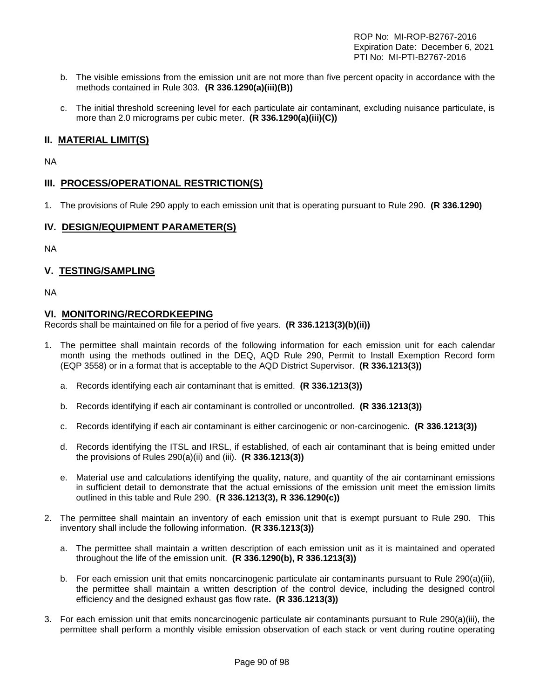- b. The visible emissions from the emission unit are not more than five percent opacity in accordance with the methods contained in Rule 303. **(R 336.1290(a)(iii)(B))**
- c. The initial threshold screening level for each particulate air contaminant, excluding nuisance particulate, is more than 2.0 micrograms per cubic meter. **(R 336.1290(a)(iii)(C))**

## **II. MATERIAL LIMIT(S)**

NA

## **III. PROCESS/OPERATIONAL RESTRICTION(S)**

1. The provisions of Rule 290 apply to each emission unit that is operating pursuant to Rule 290. **(R 336.1290)**

## **IV. DESIGN/EQUIPMENT PARAMETER(S)**

NA

## **V. TESTING/SAMPLING**

NA

#### **VI. MONITORING/RECORDKEEPING**

Records shall be maintained on file for a period of five years. **(R 336.1213(3)(b)(ii))**

- 1. The permittee shall maintain records of the following information for each emission unit for each calendar month using the methods outlined in the DEQ, AQD Rule 290, Permit to Install Exemption Record form (EQP 3558) or in a format that is acceptable to the AQD District Supervisor. **(R 336.1213(3))**
	- a. Records identifying each air contaminant that is emitted. **(R 336.1213(3))**
	- b. Records identifying if each air contaminant is controlled or uncontrolled. **(R 336.1213(3))**
	- c. Records identifying if each air contaminant is either carcinogenic or non-carcinogenic. **(R 336.1213(3))**
	- d. Records identifying the ITSL and IRSL, if established, of each air contaminant that is being emitted under the provisions of Rules 290(a)(ii) and (iii). **(R 336.1213(3))**
	- e. Material use and calculations identifying the quality, nature, and quantity of the air contaminant emissions in sufficient detail to demonstrate that the actual emissions of the emission unit meet the emission limits outlined in this table and Rule 290. **(R 336.1213(3), R 336.1290(c))**
- 2. The permittee shall maintain an inventory of each emission unit that is exempt pursuant to Rule 290. This inventory shall include the following information. **(R 336.1213(3))**
	- a. The permittee shall maintain a written description of each emission unit as it is maintained and operated throughout the life of the emission unit. **(R 336.1290(b), R 336.1213(3))**
	- b. For each emission unit that emits noncarcinogenic particulate air contaminants pursuant to Rule 290(a)(iii), the permittee shall maintain a written description of the control device, including the designed control efficiency and the designed exhaust gas flow rate**. (R 336.1213(3))**
- 3. For each emission unit that emits noncarcinogenic particulate air contaminants pursuant to Rule 290(a)(iii), the permittee shall perform a monthly visible emission observation of each stack or vent during routine operating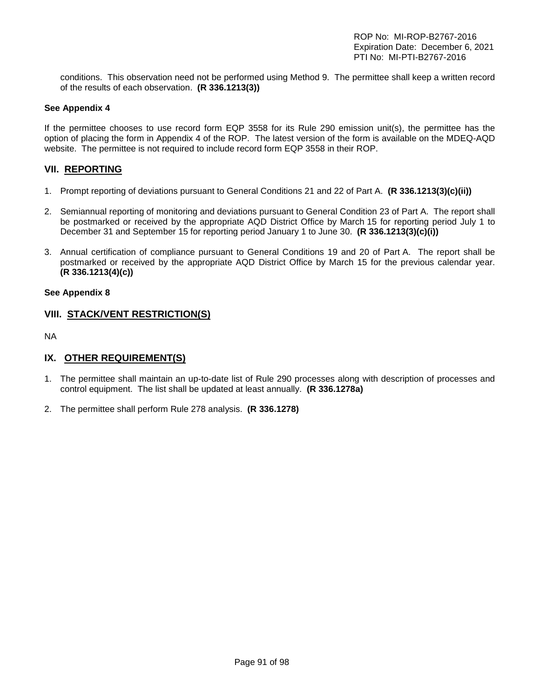conditions. This observation need not be performed using Method 9. The permittee shall keep a written record of the results of each observation. **(R 336.1213(3))**

#### **See Appendix 4**

If the permittee chooses to use record form EQP 3558 for its Rule 290 emission unit(s), the permittee has the option of placing the form in Appendix 4 of the ROP. The latest version of the form is available on the MDEQ-AQD website. The permittee is not required to include record form EQP 3558 in their ROP.

## **VII. REPORTING**

- 1. Prompt reporting of deviations pursuant to General Conditions 21 and 22 of Part A. **(R 336.1213(3)(c)(ii))**
- 2. Semiannual reporting of monitoring and deviations pursuant to General Condition 23 of Part A. The report shall be postmarked or received by the appropriate AQD District Office by March 15 for reporting period July 1 to December 31 and September 15 for reporting period January 1 to June 30. **(R 336.1213(3)(c)(i))**
- 3. Annual certification of compliance pursuant to General Conditions 19 and 20 of Part A. The report shall be postmarked or received by the appropriate AQD District Office by March 15 for the previous calendar year. **(R 336.1213(4)(c))**

#### **See Appendix 8**

## **VIII. STACK/VENT RESTRICTION(S)**

NA

## **IX. OTHER REQUIREMENT(S)**

- 1. The permittee shall maintain an up-to-date list of Rule 290 processes along with description of processes and control equipment. The list shall be updated at least annually. **(R 336.1278a)**
- 2. The permittee shall perform Rule 278 analysis. **(R 336.1278)**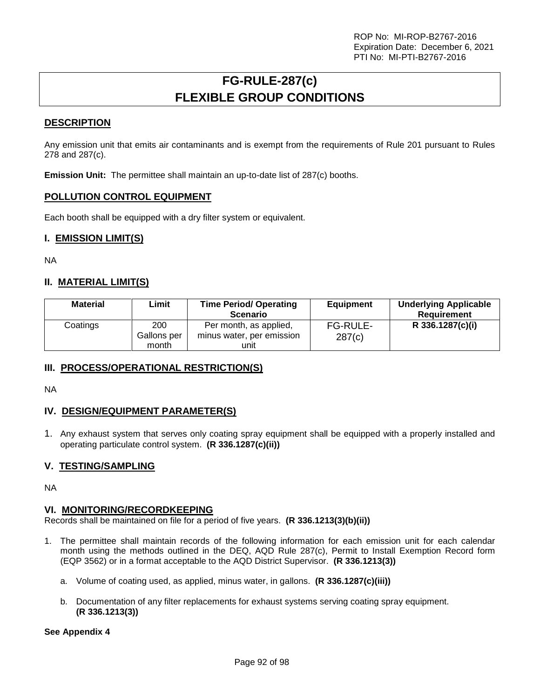# **FG-RULE-287(c) FLEXIBLE GROUP CONDITIONS**

## **DESCRIPTION**

Any emission unit that emits air contaminants and is exempt from the requirements of Rule 201 pursuant to Rules 278 and 287(c).

**Emission Unit:** The permittee shall maintain an up-to-date list of 287(c) booths.

## **POLLUTION CONTROL EQUIPMENT**

Each booth shall be equipped with a dry filter system or equivalent.

## **I. EMISSION LIMIT(S)**

NA

## **II. MATERIAL LIMIT(S)**

| <b>Material</b> | Limit              | <b>Time Period/ Operating</b><br><b>Scenario</b>    | <b>Equipment</b>          | <b>Underlying Applicable</b><br>Requirement |
|-----------------|--------------------|-----------------------------------------------------|---------------------------|---------------------------------------------|
| Coatings        | 200<br>Gallons per | Per month, as applied,<br>minus water, per emission | <b>FG-RULE-</b><br>287(c) | R 336.1287(c)(i)                            |
|                 | month              | unit                                                |                           |                                             |

## **III. PROCESS/OPERATIONAL RESTRICTION(S)**

NA

## **IV. DESIGN/EQUIPMENT PARAMETER(S)**

1. Any exhaust system that serves only coating spray equipment shall be equipped with a properly installed and operating particulate control system. **(R 336.1287(c)(ii))**

## **V. TESTING/SAMPLING**

NA

## **VI. MONITORING/RECORDKEEPING**

Records shall be maintained on file for a period of five years. **(R 336.1213(3)(b)(ii))**

- 1. The permittee shall maintain records of the following information for each emission unit for each calendar month using the methods outlined in the DEQ, AQD Rule 287(c), Permit to Install Exemption Record form (EQP 3562) or in a format acceptable to the AQD District Supervisor. **(R 336.1213(3))**
	- a. Volume of coating used, as applied, minus water, in gallons. **(R 336.1287(c)(iii))**
	- b. Documentation of any filter replacements for exhaust systems serving coating spray equipment. **(R 336.1213(3))**

#### **See Appendix 4**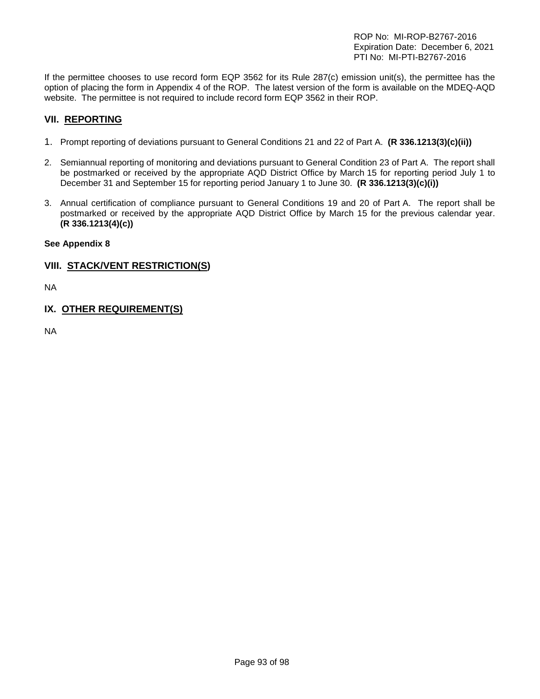If the permittee chooses to use record form EQP 3562 for its Rule 287(c) emission unit(s), the permittee has the option of placing the form in Appendix 4 of the ROP. The latest version of the form is available on the MDEQ-AQD website. The permittee is not required to include record form EQP 3562 in their ROP.

## **VII. REPORTING**

- 1. Prompt reporting of deviations pursuant to General Conditions 21 and 22 of Part A. **(R 336.1213(3)(c)(ii))**
- 2. Semiannual reporting of monitoring and deviations pursuant to General Condition 23 of Part A. The report shall be postmarked or received by the appropriate AQD District Office by March 15 for reporting period July 1 to December 31 and September 15 for reporting period January 1 to June 30. **(R 336.1213(3)(c)(i))**
- 3. Annual certification of compliance pursuant to General Conditions 19 and 20 of Part A. The report shall be postmarked or received by the appropriate AQD District Office by March 15 for the previous calendar year. **(R 336.1213(4)(c))**

## **See Appendix 8**

## **VIII. STACK/VENT RESTRICTION(S)**

NA

## **IX. OTHER REQUIREMENT(S)**

NA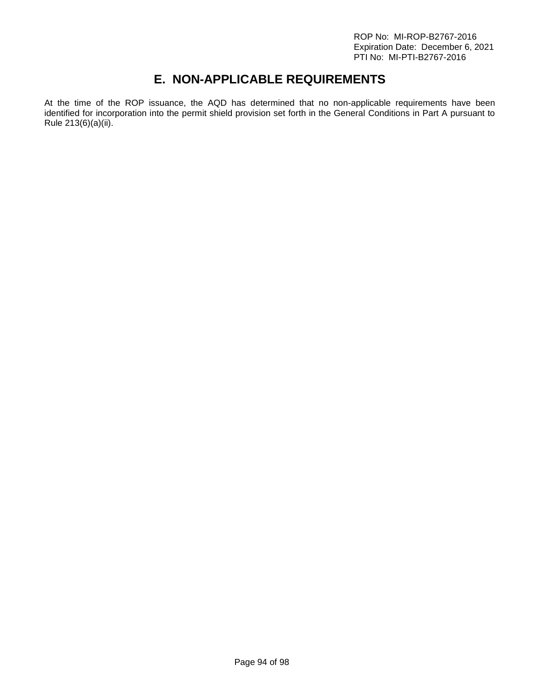# **E. NON-APPLICABLE REQUIREMENTS**

At the time of the ROP issuance, the AQD has determined that no non-applicable requirements have been identified for incorporation into the permit shield provision set forth in the General Conditions in Part A pursuant to Rule 213(6)(a)(ii).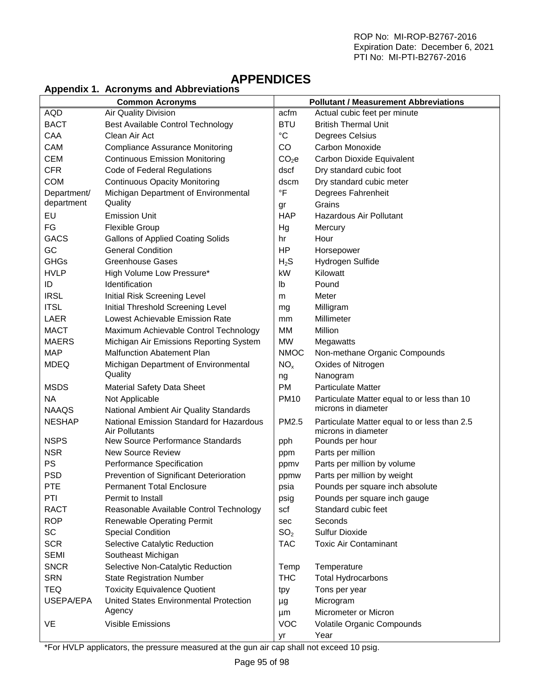# **APPENDICES**

## **Appendix 1. Acronyms and Abbreviations**

|               | <b>Common Acronyms</b>                   |                   | <b>Pollutant / Measurement Abbreviations</b> |
|---------------|------------------------------------------|-------------------|----------------------------------------------|
| <b>AQD</b>    | Air Quality Division                     | acfm              | Actual cubic feet per minute                 |
|               |                                          | <b>BTU</b>        | <b>British Thermal Unit</b>                  |
| <b>BACT</b>   | Best Available Control Technology        |                   |                                              |
| CAA           | Clean Air Act                            | $^{\circ}C$       | Degrees Celsius                              |
| CAM           | <b>Compliance Assurance Monitoring</b>   | CO                | Carbon Monoxide                              |
| <b>CEM</b>    | <b>Continuous Emission Monitoring</b>    | CO <sub>2</sub> e | Carbon Dioxide Equivalent                    |
| <b>CFR</b>    | Code of Federal Regulations              | dscf              | Dry standard cubic foot                      |
| <b>COM</b>    | <b>Continuous Opacity Monitoring</b>     | dscm              | Dry standard cubic meter                     |
| Department/   | Michigan Department of Environmental     | $\circ$ F         | Degrees Fahrenheit                           |
| department    | Quality                                  | gr                | Grains                                       |
| EU            | <b>Emission Unit</b>                     | <b>HAP</b>        | Hazardous Air Pollutant                      |
| FG            | Flexible Group                           | Hg                | Mercury                                      |
| GACS          | <b>Gallons of Applied Coating Solids</b> | hr                | Hour                                         |
| GC            | <b>General Condition</b>                 | HP                | Horsepower                                   |
| GHGs          | <b>Greenhouse Gases</b>                  | $H_2S$            | Hydrogen Sulfide                             |
| <b>HVLP</b>   | High Volume Low Pressure*                | kW                | Kilowatt                                     |
| ID            | Identification                           | Ib                | Pound                                        |
| <b>IRSL</b>   | Initial Risk Screening Level             | m                 | Meter                                        |
| <b>ITSL</b>   | Initial Threshold Screening Level        | mg                | Milligram                                    |
| LAER          | Lowest Achievable Emission Rate          | mm                | Millimeter                                   |
| <b>MACT</b>   | Maximum Achievable Control Technology    | MM                | Million                                      |
| <b>MAERS</b>  | Michigan Air Emissions Reporting System  | <b>MW</b>         | Megawatts                                    |
| <b>MAP</b>    | <b>Malfunction Abatement Plan</b>        | <b>NMOC</b>       | Non-methane Organic Compounds                |
| <b>MDEQ</b>   | Michigan Department of Environmental     | NO <sub>x</sub>   | Oxides of Nitrogen                           |
|               | Quality                                  | ng                | Nanogram                                     |
| <b>MSDS</b>   | <b>Material Safety Data Sheet</b>        | <b>PM</b>         | <b>Particulate Matter</b>                    |
| <b>NA</b>     | Not Applicable                           | <b>PM10</b>       | Particulate Matter equal to or less than 10  |
| <b>NAAQS</b>  | National Ambient Air Quality Standards   |                   | microns in diameter                          |
| <b>NESHAP</b> | National Emission Standard for Hazardous | PM2.5             | Particulate Matter equal to or less than 2.5 |
|               | Air Pollutants                           |                   | microns in diameter                          |
| <b>NSPS</b>   | New Source Performance Standards         | pph               | Pounds per hour                              |
| <b>NSR</b>    | <b>New Source Review</b>                 | ppm               | Parts per million                            |
| <b>PS</b>     | Performance Specification                | ppmy              | Parts per million by volume                  |
| <b>PSD</b>    | Prevention of Significant Deterioration  | ppmw              | Parts per million by weight                  |
| <b>PTE</b>    | <b>Permanent Total Enclosure</b>         | psia              | Pounds per square inch absolute              |
| PTI           | Permit to Install                        | psig              | Pounds per square inch gauge                 |
| RACT          | Reasonable Available Control Technology  | scf               | Standard cubic feet                          |
| <b>ROP</b>    | Renewable Operating Permit               | sec               | Seconds                                      |
| SC            | <b>Special Condition</b>                 | SO <sub>2</sub>   | <b>Sulfur Dioxide</b>                        |
| <b>SCR</b>    | Selective Catalytic Reduction            | <b>TAC</b>        | <b>Toxic Air Contaminant</b>                 |
| <b>SEMI</b>   | Southeast Michigan                       |                   |                                              |
| <b>SNCR</b>   | Selective Non-Catalytic Reduction        | Temp              | Temperature                                  |
| <b>SRN</b>    | <b>State Registration Number</b>         | <b>THC</b>        | <b>Total Hydrocarbons</b>                    |
| TEQ           | <b>Toxicity Equivalence Quotient</b>     | tpy               | Tons per year                                |
| USEPA/EPA     | United States Environmental Protection   | μg                | Microgram                                    |
|               | Agency                                   | μm                | Micrometer or Micron                         |
| VE            | Visible Emissions                        | <b>VOC</b>        | Volatile Organic Compounds                   |
|               |                                          | yr                | Year                                         |
|               |                                          |                   |                                              |

\*For HVLP applicators, the pressure measured at the gun air cap shall not exceed 10 psig.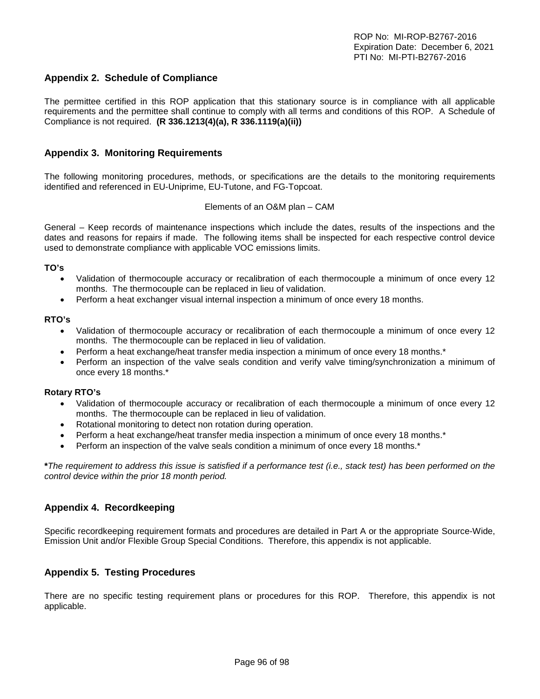## **Appendix 2. Schedule of Compliance**

The permittee certified in this ROP application that this stationary source is in compliance with all applicable requirements and the permittee shall continue to comply with all terms and conditions of this ROP. A Schedule of Compliance is not required. **(R 336.1213(4)(a), R 336.1119(a)(ii))**

#### **Appendix 3. Monitoring Requirements**

The following monitoring procedures, methods, or specifications are the details to the monitoring requirements identified and referenced in EU-Uniprime, EU-Tutone, and FG-Topcoat.

#### Elements of an O&M plan – CAM

General – Keep records of maintenance inspections which include the dates, results of the inspections and the dates and reasons for repairs if made. The following items shall be inspected for each respective control device used to demonstrate compliance with applicable VOC emissions limits.

#### **TO's**

- Validation of thermocouple accuracy or recalibration of each thermocouple a minimum of once every 12 months. The thermocouple can be replaced in lieu of validation.
- Perform a heat exchanger visual internal inspection a minimum of once every 18 months.

#### **RTO's**

- Validation of thermocouple accuracy or recalibration of each thermocouple a minimum of once every 12 months. The thermocouple can be replaced in lieu of validation.
- Perform a heat exchange/heat transfer media inspection a minimum of once every 18 months.\*
- Perform an inspection of the valve seals condition and verify valve timing/synchronization a minimum of once every 18 months.\*

#### **Rotary RTO's**

- Validation of thermocouple accuracy or recalibration of each thermocouple a minimum of once every 12 months. The thermocouple can be replaced in lieu of validation.
- Rotational monitoring to detect non rotation during operation.
- Perform a heat exchange/heat transfer media inspection a minimum of once every 18 months.\*
- Perform an inspection of the valve seals condition a minimum of once every 18 months.\*

**\****The requirement to address this issue is satisfied if a performance test (i.e., stack test) has been performed on the control device within the prior 18 month period.*

#### **Appendix 4. Recordkeeping**

Specific recordkeeping requirement formats and procedures are detailed in Part A or the appropriate Source-Wide, Emission Unit and/or Flexible Group Special Conditions. Therefore, this appendix is not applicable.

#### **Appendix 5. Testing Procedures**

There are no specific testing requirement plans or procedures for this ROP. Therefore, this appendix is not applicable.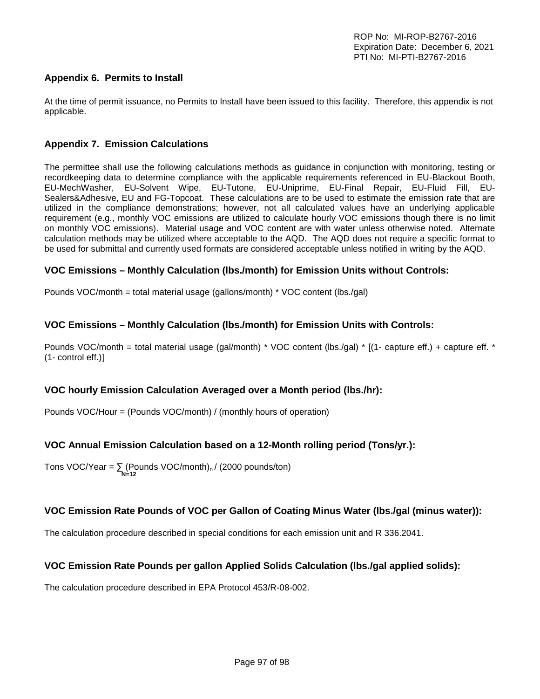## **Appendix 6. Permits to Install**

At the time of permit issuance, no Permits to Install have been issued to this facility. Therefore, this appendix is not applicable.

## **Appendix 7. Emission Calculations**

The permittee shall use the following calculations methods as guidance in conjunction with monitoring, testing or recordkeeping data to determine compliance with the applicable requirements referenced in EU-Blackout Booth, EU-MechWasher, EU-Solvent Wipe, EU-Tutone, EU-Uniprime, EU-Final Repair, EU-Fluid Fill, EU-Sealers&Adhesive, EU and FG-Topcoat. These calculations are to be used to estimate the emission rate that are utilized in the compliance demonstrations; however, not all calculated values have an underlying applicable requirement (e.g., monthly VOC emissions are utilized to calculate hourly VOC emissions though there is no limit on monthly VOC emissions). Material usage and VOC content are with water unless otherwise noted. Alternate calculation methods may be utilized where acceptable to the AQD. The AQD does not require a specific format to be used for submittal and currently used formats are considered acceptable unless notified in writing by the AQD.

## **VOC Emissions – Monthly Calculation (lbs./month) for Emission Units without Controls:**

Pounds VOC/month = total material usage (gallons/month) \* VOC content (lbs./gal)

## **VOC Emissions – Monthly Calculation (lbs./month) for Emission Units with Controls:**

Pounds VOC/month = total material usage (gal/month) \* VOC content (lbs./gal) \* [(1- capture eff.) + capture eff. \* (1- control eff.)]

## **VOC hourly Emission Calculation Averaged over a Month period (lbs./hr):**

Pounds VOC/Hour = (Pounds VOC/month) / (monthly hours of operation)

## **VOC Annual Emission Calculation based on a 12-Month rolling period (Tons/yr.):**

Tons VOC/Year =  $\sum$  (Pounds VOC/month)<sub>n</sub>/ (2000 pounds/ton)  **N=12**

## **VOC Emission Rate Pounds of VOC per Gallon of Coating Minus Water (lbs./gal (minus water)):**

The calculation procedure described in special conditions for each emission unit and R 336.2041.

## **VOC Emission Rate Pounds per gallon Applied Solids Calculation (lbs./gal applied solids):**

The calculation procedure described in EPA Protocol 453/R-08-002.